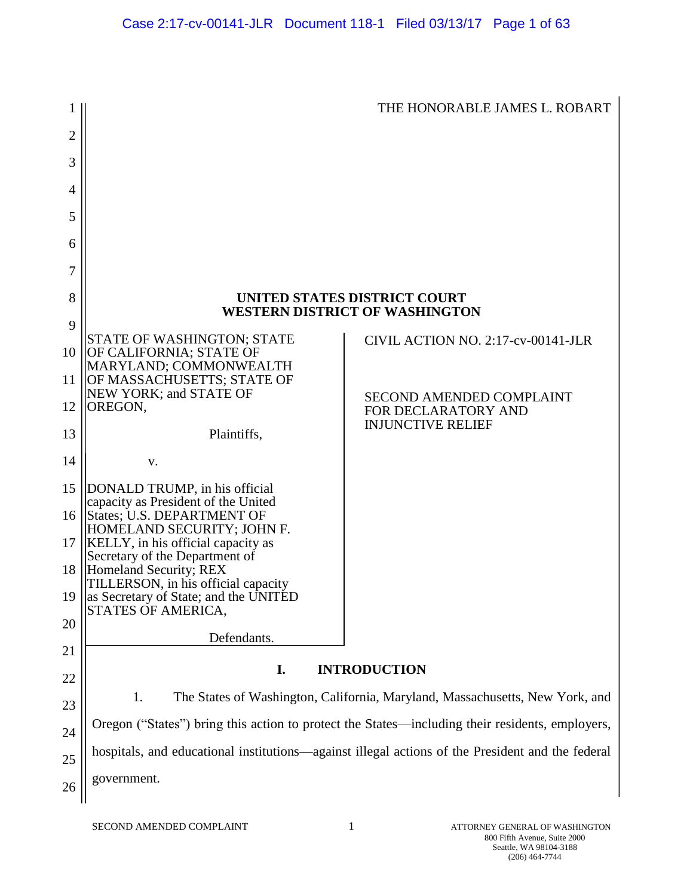| 1               |                                                                                                 | THE HONORABLE JAMES L. ROBART                                                                    |  |  |
|-----------------|-------------------------------------------------------------------------------------------------|--------------------------------------------------------------------------------------------------|--|--|
| $\overline{2}$  |                                                                                                 |                                                                                                  |  |  |
| 3               |                                                                                                 |                                                                                                  |  |  |
| 4               |                                                                                                 |                                                                                                  |  |  |
| 5               |                                                                                                 |                                                                                                  |  |  |
| 6               |                                                                                                 |                                                                                                  |  |  |
| 7               |                                                                                                 |                                                                                                  |  |  |
| 8               | UNITED STATES DISTRICT COURT<br><b>WESTERN DISTRICT OF WASHINGTON</b>                           |                                                                                                  |  |  |
| 9               |                                                                                                 |                                                                                                  |  |  |
| 10              | <b>STATE OF WASHINGTON; STATE</b><br>OF CALIFORNIA; STATE OF                                    | CIVIL ACTION NO. 2:17-cv-00141-JLR                                                               |  |  |
| 11              | MARYLAND; COMMONWEALTH<br>OF MASSACHUSETTS; STATE OF<br>NEW YORK; and STATE OF                  |                                                                                                  |  |  |
| 12              | OREGON,                                                                                         | <b>SECOND AMENDED COMPLAINT</b><br>FOR DECLARATORY AND                                           |  |  |
| 13              | Plaintiffs,                                                                                     | <b>INJUNCTIVE RELIEF</b>                                                                         |  |  |
| 14              | v.                                                                                              |                                                                                                  |  |  |
| 15              | DONALD TRUMP, in his official<br>capacity as President of the United                            |                                                                                                  |  |  |
| 16 <sup>1</sup> | States; U.S. DEPARTMENT OF<br>HOMELAND SECURITY; JOHN F.                                        |                                                                                                  |  |  |
| 17              | KELLY, in his official capacity as<br>Secretary of the Department of                            |                                                                                                  |  |  |
|                 | 18  Homeland Security; REX<br>TILLERSON, in his official capacity                               |                                                                                                  |  |  |
|                 | 19   as Secretary of State; and the UNITED<br>STATES OF AMERICA,                                |                                                                                                  |  |  |
| 20              |                                                                                                 |                                                                                                  |  |  |
| 21              | Defendants.                                                                                     |                                                                                                  |  |  |
| 22              | <b>INTRODUCTION</b><br>I.                                                                       |                                                                                                  |  |  |
| 23              | 1.                                                                                              | The States of Washington, California, Maryland, Massachusetts, New York, and                     |  |  |
| 24              | Oregon ("States") bring this action to protect the States—including their residents, employers, |                                                                                                  |  |  |
| 25              |                                                                                                 | hospitals, and educational institutions—against illegal actions of the President and the federal |  |  |
| 26              | government.                                                                                     |                                                                                                  |  |  |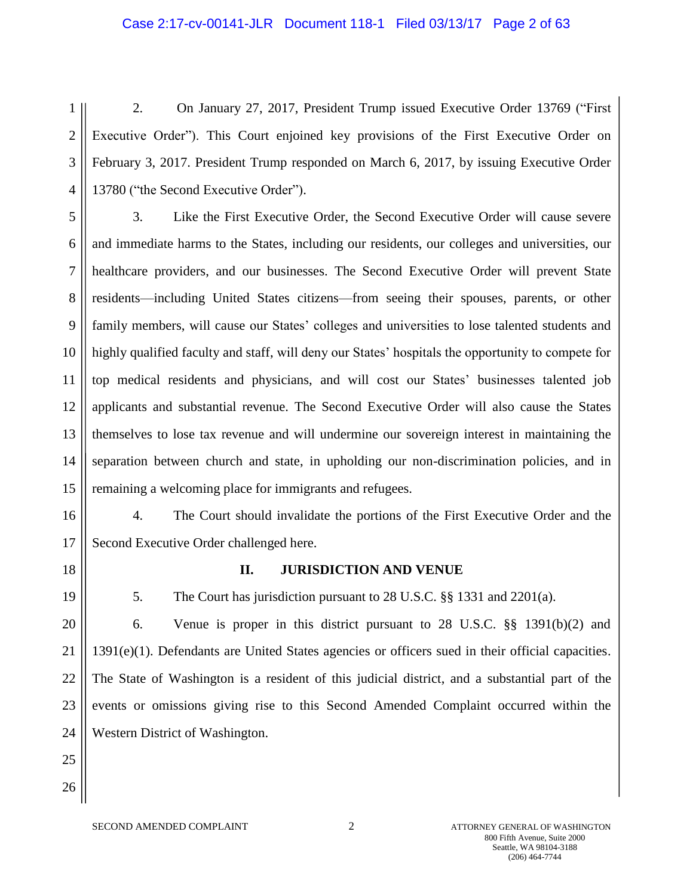# Case 2:17-cv-00141-JLR Document 118-1 Filed 03/13/17 Page 2 of 63

1 2 3 4 2. On January 27, 2017, President Trump issued Executive Order 13769 ("First Executive Order"). This Court enjoined key provisions of the First Executive Order on February 3, 2017. President Trump responded on March 6, 2017, by issuing Executive Order 13780 ("the Second Executive Order").

5 6 7 8 9 10 11 12 13 14 15 3. Like the First Executive Order, the Second Executive Order will cause severe and immediate harms to the States, including our residents, our colleges and universities, our healthcare providers, and our businesses. The Second Executive Order will prevent State residents—including United States citizens—from seeing their spouses, parents, or other family members, will cause our States' colleges and universities to lose talented students and highly qualified faculty and staff, will deny our States' hospitals the opportunity to compete for top medical residents and physicians, and will cost our States' businesses talented job applicants and substantial revenue. The Second Executive Order will also cause the States themselves to lose tax revenue and will undermine our sovereign interest in maintaining the separation between church and state, in upholding our non-discrimination policies, and in remaining a welcoming place for immigrants and refugees.

16 17

4. The Court should invalidate the portions of the First Executive Order and the Second Executive Order challenged here.

- 18
- 19

#### **II. JURISDICTION AND VENUE**

5. The Court has jurisdiction pursuant to 28 U.S.C. §§ 1331 and 2201(a).

20 21 22 23 24 6. Venue is proper in this district pursuant to 28 U.S.C. §§ 1391(b)(2) and 1391(e)(1). Defendants are United States agencies or officers sued in their official capacities. The State of Washington is a resident of this judicial district, and a substantial part of the events or omissions giving rise to this Second Amended Complaint occurred within the Western District of Washington.

25

26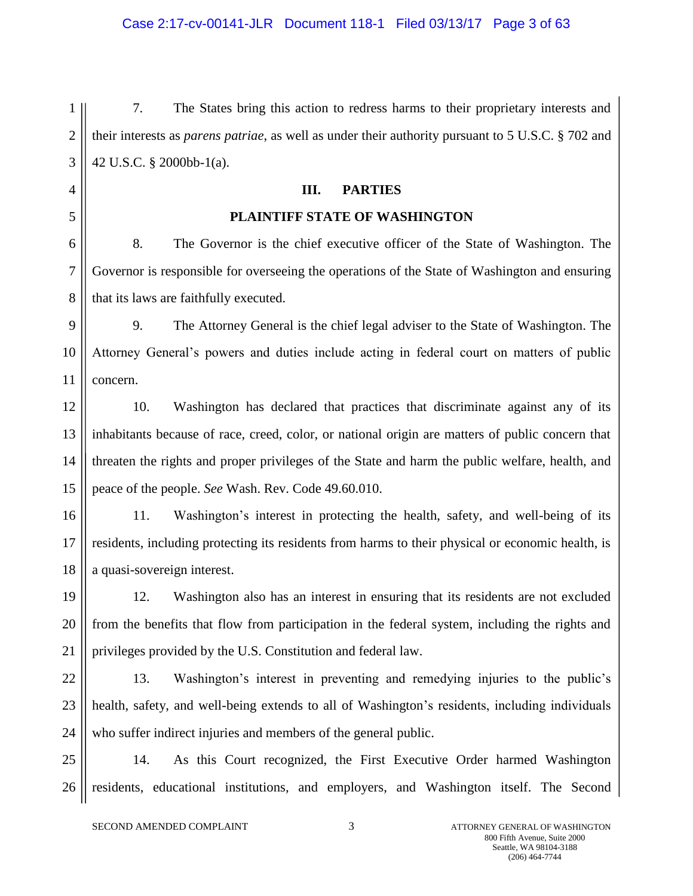1 2 3 7. The States bring this action to redress harms to their proprietary interests and their interests as *parens patriae*, as well as under their authority pursuant to 5 U.S.C. § 702 and 42 U.S.C. § 2000bb-1(a).

### **III. PARTIES**

### **PLAINTIFF STATE OF WASHINGTON**

6 7 8 8. The Governor is the chief executive officer of the State of Washington. The Governor is responsible for overseeing the operations of the State of Washington and ensuring that its laws are faithfully executed.

9 10 11 9. The Attorney General is the chief legal adviser to the State of Washington. The Attorney General's powers and duties include acting in federal court on matters of public concern.

12 13 14 15 10. Washington has declared that practices that discriminate against any of its inhabitants because of race, creed, color, or national origin are matters of public concern that threaten the rights and proper privileges of the State and harm the public welfare, health, and peace of the people. *See* Wash. Rev. Code 49.60.010.

16 17 18 11. Washington's interest in protecting the health, safety, and well-being of its residents, including protecting its residents from harms to their physical or economic health, is a quasi-sovereign interest.

19 20 21 12. Washington also has an interest in ensuring that its residents are not excluded from the benefits that flow from participation in the federal system, including the rights and privileges provided by the U.S. Constitution and federal law.

22 23

24

4

5

13. Washington's interest in preventing and remedying injuries to the public's health, safety, and well-being extends to all of Washington's residents, including individuals who suffer indirect injuries and members of the general public.

25 26 14. As this Court recognized, the First Executive Order harmed Washington residents, educational institutions, and employers, and Washington itself. The Second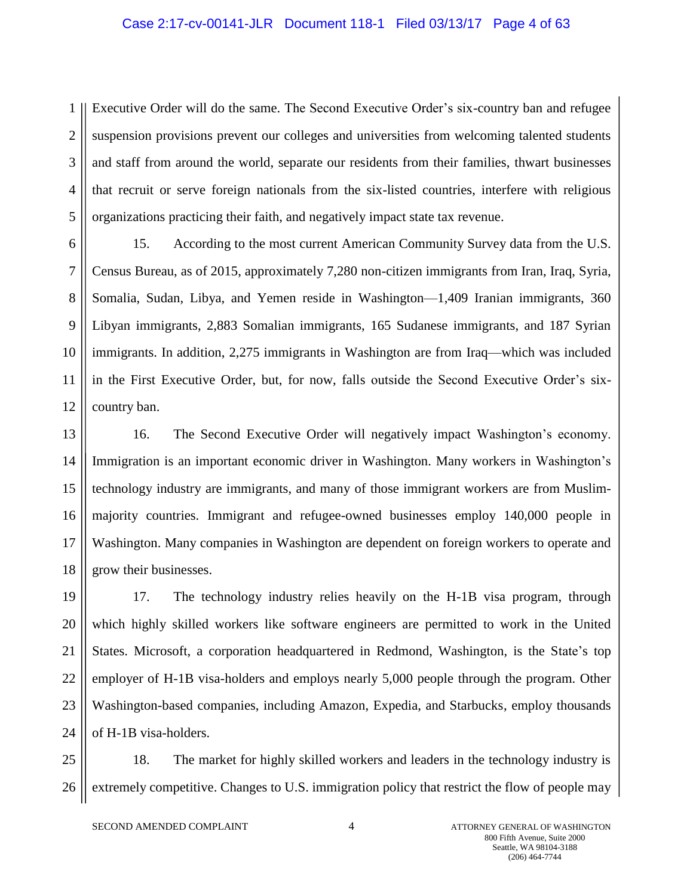#### Case 2:17-cv-00141-JLR Document 118-1 Filed 03/13/17 Page 4 of 63

1 2 3 4 5 Executive Order will do the same. The Second Executive Order's six-country ban and refugee suspension provisions prevent our colleges and universities from welcoming talented students and staff from around the world, separate our residents from their families, thwart businesses that recruit or serve foreign nationals from the six-listed countries, interfere with religious organizations practicing their faith, and negatively impact state tax revenue.

6 7 8 9 10 11 12 15. According to the most current American Community Survey data from the U.S. Census Bureau, as of 2015, approximately 7,280 non-citizen immigrants from Iran, Iraq, Syria, Somalia, Sudan, Libya, and Yemen reside in Washington—1,409 Iranian immigrants, 360 Libyan immigrants, 2,883 Somalian immigrants, 165 Sudanese immigrants, and 187 Syrian immigrants. In addition, 2,275 immigrants in Washington are from Iraq—which was included in the First Executive Order, but, for now, falls outside the Second Executive Order's sixcountry ban.

13 14 15 16 17 18 16. The Second Executive Order will negatively impact Washington's economy. Immigration is an important economic driver in Washington. Many workers in Washington's technology industry are immigrants, and many of those immigrant workers are from Muslimmajority countries. Immigrant and refugee-owned businesses employ 140,000 people in Washington. Many companies in Washington are dependent on foreign workers to operate and grow their businesses.

19 20 21 22 23 24 17. The technology industry relies heavily on the H-1B visa program, through which highly skilled workers like software engineers are permitted to work in the United States. Microsoft, a corporation headquartered in Redmond, Washington, is the State's top employer of H-1B visa-holders and employs nearly 5,000 people through the program. Other Washington-based companies, including Amazon, Expedia, and Starbucks, employ thousands of H-1B visa-holders.

25 26 18. The market for highly skilled workers and leaders in the technology industry is extremely competitive. Changes to U.S. immigration policy that restrict the flow of people may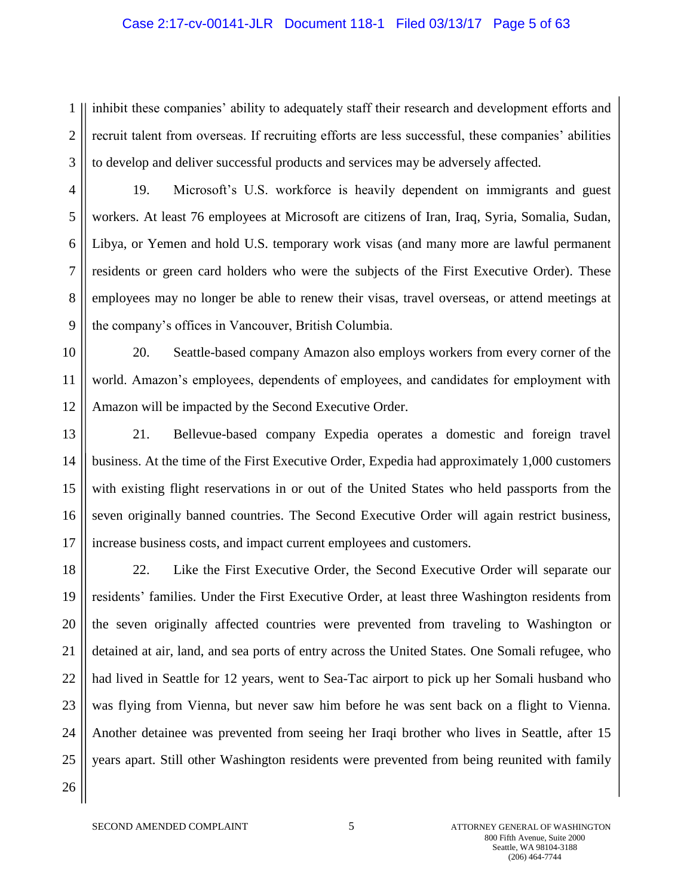# Case 2:17-cv-00141-JLR Document 118-1 Filed 03/13/17 Page 5 of 63

1 2 3 inhibit these companies' ability to adequately staff their research and development efforts and recruit talent from overseas. If recruiting efforts are less successful, these companies' abilities to develop and deliver successful products and services may be adversely affected.

4 5 6 7 8 9 19. Microsoft's U.S. workforce is heavily dependent on immigrants and guest workers. At least 76 employees at Microsoft are citizens of Iran, Iraq, Syria, Somalia, Sudan, Libya, or Yemen and hold U.S. temporary work visas (and many more are lawful permanent residents or green card holders who were the subjects of the First Executive Order). These employees may no longer be able to renew their visas, travel overseas, or attend meetings at the company's offices in Vancouver, British Columbia.

10 11 12 20. Seattle-based company Amazon also employs workers from every corner of the world. Amazon's employees, dependents of employees, and candidates for employment with Amazon will be impacted by the Second Executive Order.

13 14 15 16 17 21. Bellevue-based company Expedia operates a domestic and foreign travel business. At the time of the First Executive Order, Expedia had approximately 1,000 customers with existing flight reservations in or out of the United States who held passports from the seven originally banned countries. The Second Executive Order will again restrict business, increase business costs, and impact current employees and customers.

18 19 20 21 22 23 24 25 26 22. Like the First Executive Order, the Second Executive Order will separate our residents' families. Under the First Executive Order, at least three Washington residents from the seven originally affected countries were prevented from traveling to Washington or detained at air, land, and sea ports of entry across the United States. One Somali refugee, who had lived in Seattle for 12 years, went to Sea-Tac airport to pick up her Somali husband who was flying from Vienna, but never saw him before he was sent back on a flight to Vienna. Another detainee was prevented from seeing her Iraqi brother who lives in Seattle, after 15 years apart. Still other Washington residents were prevented from being reunited with family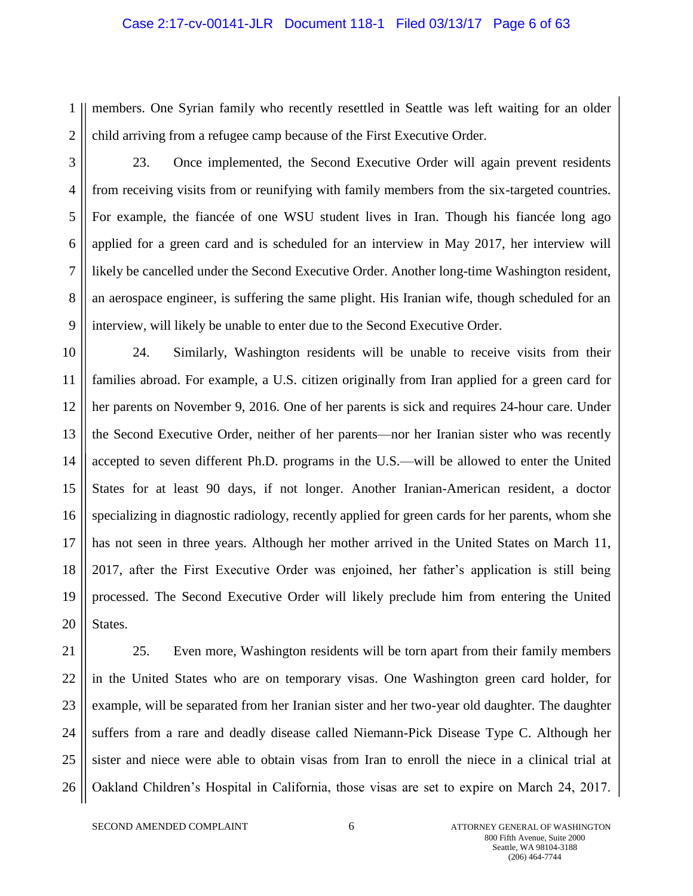# Case 2:17-cv-00141-JLR Document 118-1 Filed 03/13/17 Page 6 of 63

1 2 members. One Syrian family who recently resettled in Seattle was left waiting for an older child arriving from a refugee camp because of the First Executive Order.

3

4 5 6 7 8 9 23. Once implemented, the Second Executive Order will again prevent residents from receiving visits from or reunifying with family members from the six-targeted countries. For example, the fiancée of one WSU student lives in Iran. Though his fiancée long ago applied for a green card and is scheduled for an interview in May 2017, her interview will likely be cancelled under the Second Executive Order. Another long-time Washington resident, an aerospace engineer, is suffering the same plight. His Iranian wife, though scheduled for an interview, will likely be unable to enter due to the Second Executive Order.

10 11 12 13 14 15 16 17 18 19 20 24. Similarly, Washington residents will be unable to receive visits from their families abroad. For example, a U.S. citizen originally from Iran applied for a green card for her parents on November 9, 2016. One of her parents is sick and requires 24-hour care. Under the Second Executive Order, neither of her parents—nor her Iranian sister who was recently accepted to seven different Ph.D. programs in the U.S.—will be allowed to enter the United States for at least 90 days, if not longer. Another Iranian-American resident, a doctor specializing in diagnostic radiology, recently applied for green cards for her parents, whom she has not seen in three years. Although her mother arrived in the United States on March 11, 2017, after the First Executive Order was enjoined, her father's application is still being processed. The Second Executive Order will likely preclude him from entering the United States.

25. Even more, Washington residents will be torn apart from their family members in the United States who are on temporary visas. One Washington green card holder, for example, will be separated from her Iranian sister and her two-year old daughter. The daughter suffers from a rare and deadly disease called Niemann-Pick Disease Type C. Although her sister and niece were able to obtain visas from Iran to enroll the niece in a clinical trial at Oakland Children's Hospital in California, those visas are set to expire on March 24, 2017.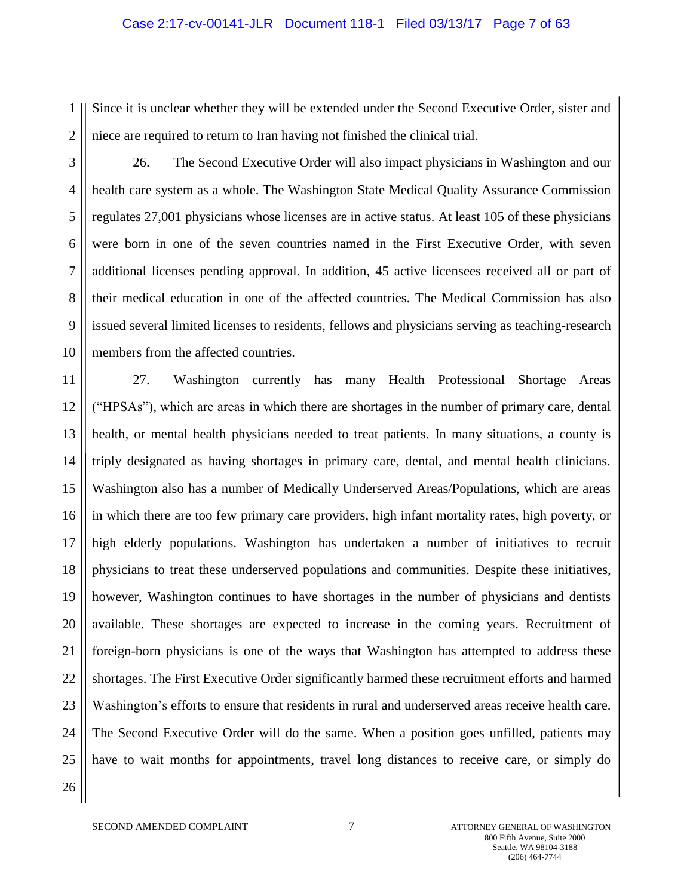#### Case 2:17-cv-00141-JLR Document 118-1 Filed 03/13/17 Page 7 of 63

1 2 Since it is unclear whether they will be extended under the Second Executive Order, sister and niece are required to return to Iran having not finished the clinical trial.

3

4 5 6 7 8 9 10 26. The Second Executive Order will also impact physicians in Washington and our health care system as a whole. The Washington State Medical Quality Assurance Commission regulates 27,001 physicians whose licenses are in active status. At least 105 of these physicians were born in one of the seven countries named in the First Executive Order, with seven additional licenses pending approval. In addition, 45 active licensees received all or part of their medical education in one of the affected countries. The Medical Commission has also issued several limited licenses to residents, fellows and physicians serving as teaching-research members from the affected countries.

11 12 13 14 15 16 17 18 19 20 21 22 23 24 25 26 27. Washington currently has many Health Professional Shortage Areas ("HPSAs"), which are areas in which there are shortages in the number of primary care, dental health, or mental health physicians needed to treat patients. In many situations, a county is triply designated as having shortages in primary care, dental, and mental health clinicians. Washington also has a number of Medically Underserved Areas/Populations, which are areas in which there are too few primary care providers, high infant mortality rates, high poverty, or high elderly populations. Washington has undertaken a number of initiatives to recruit physicians to treat these underserved populations and communities. Despite these initiatives, however, Washington continues to have shortages in the number of physicians and dentists available. These shortages are expected to increase in the coming years. Recruitment of foreign-born physicians is one of the ways that Washington has attempted to address these shortages. The First Executive Order significantly harmed these recruitment efforts and harmed Washington's efforts to ensure that residents in rural and underserved areas receive health care. The Second Executive Order will do the same. When a position goes unfilled, patients may have to wait months for appointments, travel long distances to receive care, or simply do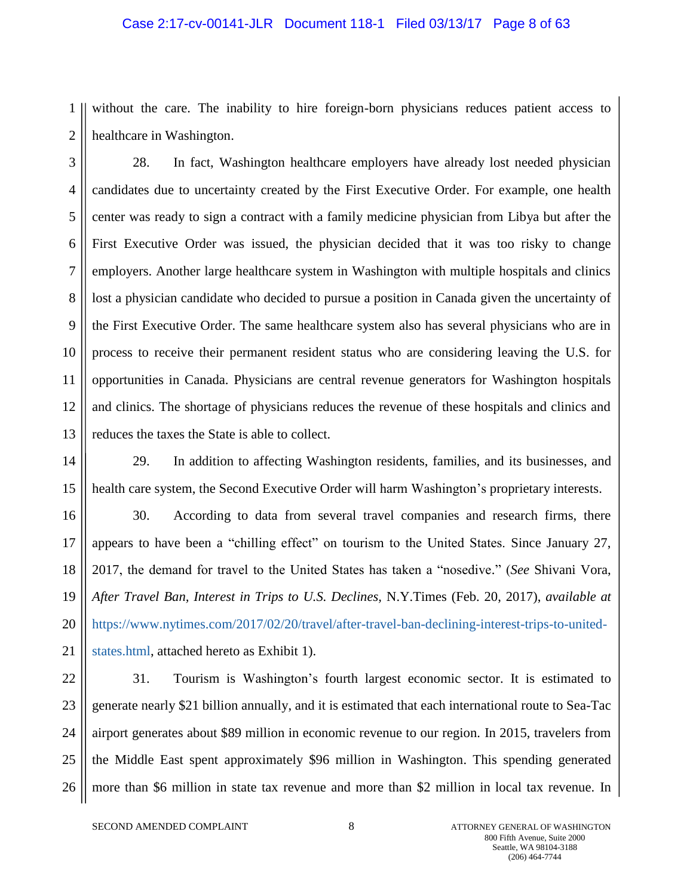# Case 2:17-cv-00141-JLR Document 118-1 Filed 03/13/17 Page 8 of 63

1 2 without the care. The inability to hire foreign-born physicians reduces patient access to healthcare in Washington.

3 4 5 6 7 8 9 10 11 12 13 28. In fact, Washington healthcare employers have already lost needed physician candidates due to uncertainty created by the First Executive Order. For example, one health center was ready to sign a contract with a family medicine physician from Libya but after the First Executive Order was issued, the physician decided that it was too risky to change employers. Another large healthcare system in Washington with multiple hospitals and clinics lost a physician candidate who decided to pursue a position in Canada given the uncertainty of the First Executive Order. The same healthcare system also has several physicians who are in process to receive their permanent resident status who are considering leaving the U.S. for opportunities in Canada. Physicians are central revenue generators for Washington hospitals and clinics. The shortage of physicians reduces the revenue of these hospitals and clinics and reduces the taxes the State is able to collect.

14 15 29. In addition to affecting Washington residents, families, and its businesses, and health care system, the Second Executive Order will harm Washington's proprietary interests.

16 17 18 19 20 21 30. According to data from several travel companies and research firms, there appears to have been a "chilling effect" on tourism to the United States. Since January 27, 2017, the demand for travel to the United States has taken a "nosedive." (*See* Shivani Vora, *After Travel Ban, Interest in Trips to U.S. Declines,* N.Y.Times (Feb. 20, 2017), *available at*  [https://www.nytimes.com/2017/02/20/travel/after-travel-ban-declining-interest-trips-to-united](https://www.nytimes.com/2017/02/20/travel/after-travel-ban-declining-interest-trips-to-united-states.html)[states.html,](https://www.nytimes.com/2017/02/20/travel/after-travel-ban-declining-interest-trips-to-united-states.html) attached hereto as Exhibit 1).

22 23 24 25 26 31. Tourism is Washington's fourth largest economic sector. It is estimated to generate nearly \$21 billion annually, and it is estimated that each international route to Sea-Tac airport generates about \$89 million in economic revenue to our region. In 2015, travelers from the Middle East spent approximately \$96 million in Washington. This spending generated more than \$6 million in state tax revenue and more than \$2 million in local tax revenue. In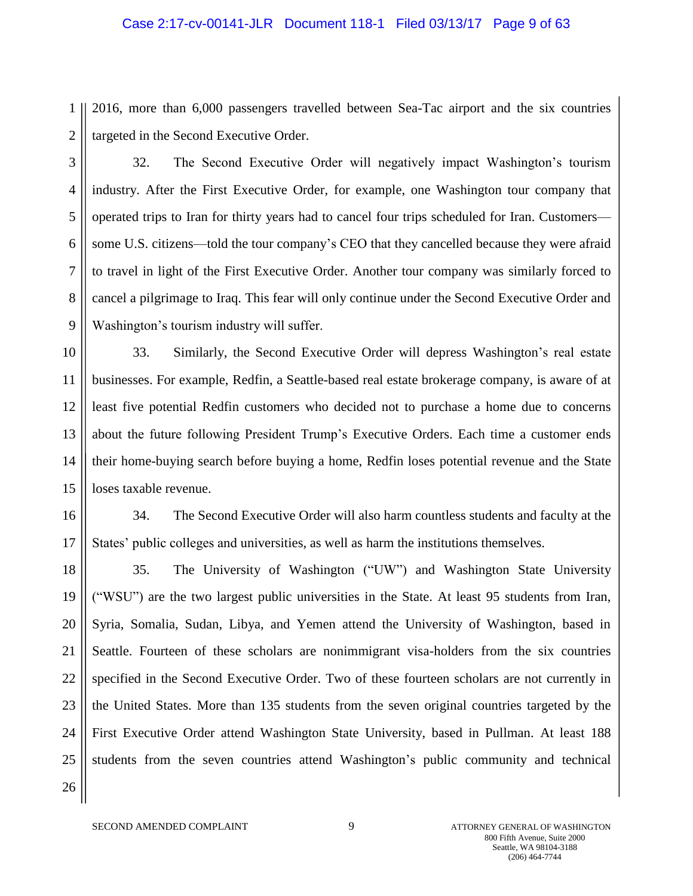# Case 2:17-cv-00141-JLR Document 118-1 Filed 03/13/17 Page 9 of 63

1 2 2016, more than 6,000 passengers travelled between Sea-Tac airport and the six countries targeted in the Second Executive Order.

3 4 5 6 7 8 9 32. The Second Executive Order will negatively impact Washington's tourism industry. After the First Executive Order, for example, one Washington tour company that operated trips to Iran for thirty years had to cancel four trips scheduled for Iran. Customers some U.S. citizens—told the tour company's CEO that they cancelled because they were afraid to travel in light of the First Executive Order. Another tour company was similarly forced to cancel a pilgrimage to Iraq. This fear will only continue under the Second Executive Order and Washington's tourism industry will suffer.

10 11 12 13 14 15 33. Similarly, the Second Executive Order will depress Washington's real estate businesses. For example, Redfin, a Seattle-based real estate brokerage company, is aware of at least five potential Redfin customers who decided not to purchase a home due to concerns about the future following President Trump's Executive Orders. Each time a customer ends their home-buying search before buying a home, Redfin loses potential revenue and the State loses taxable revenue.

16 17 34. The Second Executive Order will also harm countless students and faculty at the States' public colleges and universities, as well as harm the institutions themselves.

18 19 20 21 22 23 24 25 26 35. The University of Washington ("UW") and Washington State University ("WSU") are the two largest public universities in the State. At least 95 students from Iran, Syria, Somalia, Sudan, Libya, and Yemen attend the University of Washington, based in Seattle. Fourteen of these scholars are nonimmigrant visa-holders from the six countries specified in the Second Executive Order. Two of these fourteen scholars are not currently in the United States. More than 135 students from the seven original countries targeted by the First Executive Order attend Washington State University, based in Pullman. At least 188 students from the seven countries attend Washington's public community and technical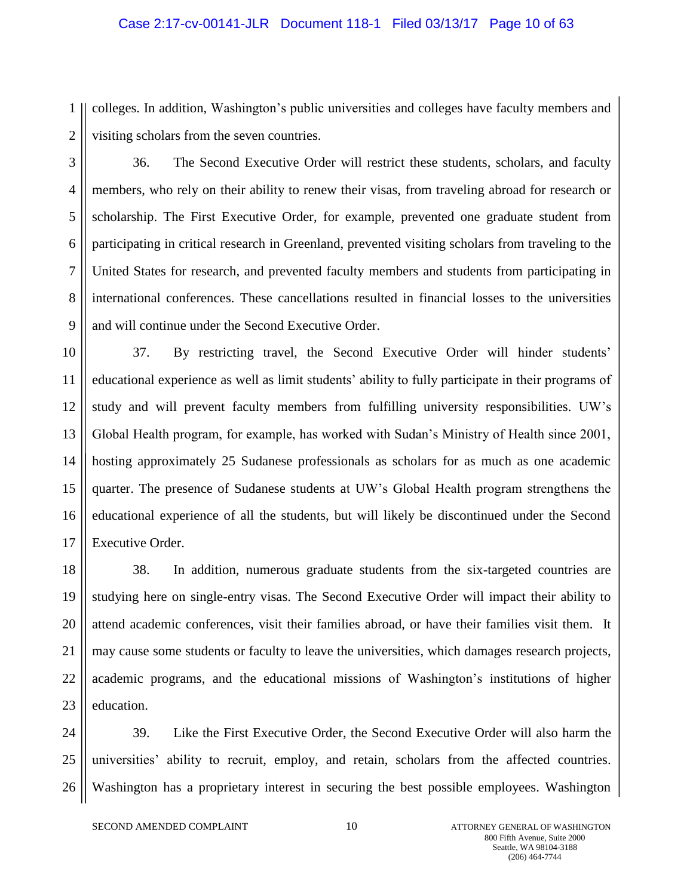#### Case 2:17-cv-00141-JLR Document 118-1 Filed 03/13/17 Page 10 of 63

1 2 colleges. In addition, Washington's public universities and colleges have faculty members and visiting scholars from the seven countries.

3 4 5 6 7 8 9 36. The Second Executive Order will restrict these students, scholars, and faculty members, who rely on their ability to renew their visas, from traveling abroad for research or scholarship. The First Executive Order, for example, prevented one graduate student from participating in critical research in Greenland, prevented visiting scholars from traveling to the United States for research, and prevented faculty members and students from participating in international conferences. These cancellations resulted in financial losses to the universities and will continue under the Second Executive Order.

10 11 12 13 14 15 16 17 37. By restricting travel, the Second Executive Order will hinder students' educational experience as well as limit students' ability to fully participate in their programs of study and will prevent faculty members from fulfilling university responsibilities. UW's Global Health program, for example, has worked with Sudan's Ministry of Health since 2001, hosting approximately 25 Sudanese professionals as scholars for as much as one academic quarter. The presence of Sudanese students at UW's Global Health program strengthens the educational experience of all the students, but will likely be discontinued under the Second Executive Order.

18 19 20 21 22 23 38. In addition, numerous graduate students from the six-targeted countries are studying here on single-entry visas. The Second Executive Order will impact their ability to attend academic conferences, visit their families abroad, or have their families visit them. It may cause some students or faculty to leave the universities, which damages research projects, academic programs, and the educational missions of Washington's institutions of higher education.

24 25 26 39. Like the First Executive Order, the Second Executive Order will also harm the universities' ability to recruit, employ, and retain, scholars from the affected countries. Washington has a proprietary interest in securing the best possible employees. Washington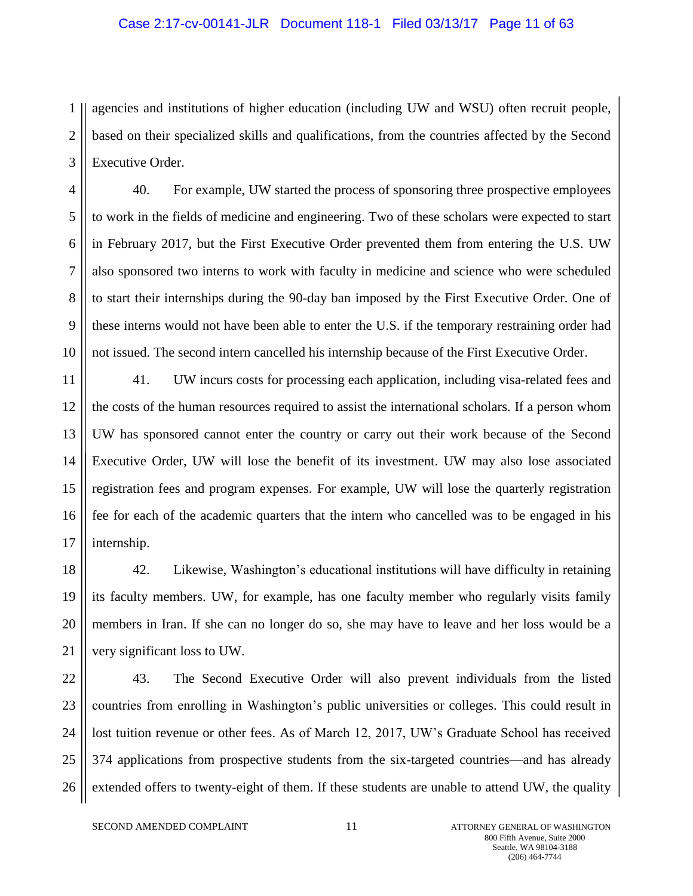#### Case 2:17-cv-00141-JLR Document 118-1 Filed 03/13/17 Page 11 of 63

1 2 3 agencies and institutions of higher education (including UW and WSU) often recruit people, based on their specialized skills and qualifications, from the countries affected by the Second Executive Order.

4 5 6 7 8 9 10 40. For example, UW started the process of sponsoring three prospective employees to work in the fields of medicine and engineering. Two of these scholars were expected to start in February 2017, but the First Executive Order prevented them from entering the U.S. UW also sponsored two interns to work with faculty in medicine and science who were scheduled to start their internships during the 90-day ban imposed by the First Executive Order. One of these interns would not have been able to enter the U.S. if the temporary restraining order had not issued. The second intern cancelled his internship because of the First Executive Order.

11 12 13 14 15 16 17 41. UW incurs costs for processing each application, including visa-related fees and the costs of the human resources required to assist the international scholars. If a person whom UW has sponsored cannot enter the country or carry out their work because of the Second Executive Order, UW will lose the benefit of its investment. UW may also lose associated registration fees and program expenses. For example, UW will lose the quarterly registration fee for each of the academic quarters that the intern who cancelled was to be engaged in his internship.

18 19 20 21 42. Likewise, Washington's educational institutions will have difficulty in retaining its faculty members. UW, for example, has one faculty member who regularly visits family members in Iran. If she can no longer do so, she may have to leave and her loss would be a very significant loss to UW.

22 23 24 25 26 43. The Second Executive Order will also prevent individuals from the listed countries from enrolling in Washington's public universities or colleges. This could result in lost tuition revenue or other fees. As of March 12, 2017, UW's Graduate School has received 374 applications from prospective students from the six-targeted countries—and has already extended offers to twenty-eight of them. If these students are unable to attend UW, the quality

SECOND AMENDED COMPLAINT 11 1 ATTORNEY GENERAL OF WASHINGTON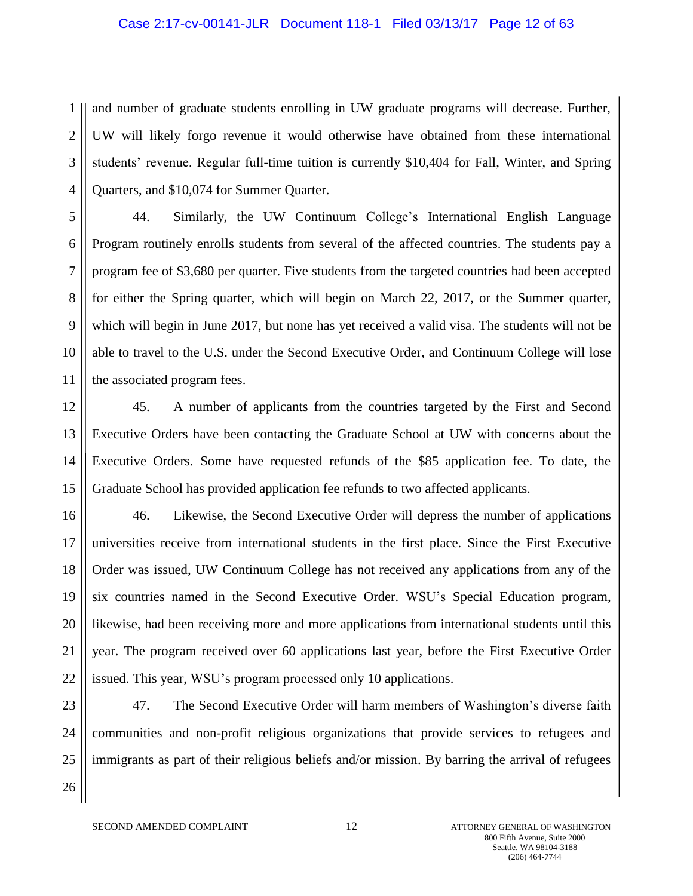#### Case 2:17-cv-00141-JLR Document 118-1 Filed 03/13/17 Page 12 of 63

1 2 3 4 and number of graduate students enrolling in UW graduate programs will decrease. Further, UW will likely forgo revenue it would otherwise have obtained from these international students' revenue. Regular full-time tuition is currently \$10,404 for Fall, Winter, and Spring Quarters, and \$10,074 for Summer Quarter.

5 6 7 8 9 10 11 44. Similarly, the UW Continuum College's International English Language Program routinely enrolls students from several of the affected countries. The students pay a program fee of \$3,680 per quarter. Five students from the targeted countries had been accepted for either the Spring quarter, which will begin on March 22, 2017, or the Summer quarter, which will begin in June 2017, but none has yet received a valid visa. The students will not be able to travel to the U.S. under the Second Executive Order, and Continuum College will lose the associated program fees.

12 13 14 15 45. A number of applicants from the countries targeted by the First and Second Executive Orders have been contacting the Graduate School at UW with concerns about the Executive Orders. Some have requested refunds of the \$85 application fee. To date, the Graduate School has provided application fee refunds to two affected applicants.

16 17 18 19 20 21 22 46. Likewise, the Second Executive Order will depress the number of applications universities receive from international students in the first place. Since the First Executive Order was issued, UW Continuum College has not received any applications from any of the six countries named in the Second Executive Order. WSU's Special Education program, likewise, had been receiving more and more applications from international students until this year. The program received over 60 applications last year, before the First Executive Order issued. This year, WSU's program processed only 10 applications.

23 24 25 26 47. The Second Executive Order will harm members of Washington's diverse faith communities and non-profit religious organizations that provide services to refugees and immigrants as part of their religious beliefs and/or mission. By barring the arrival of refugees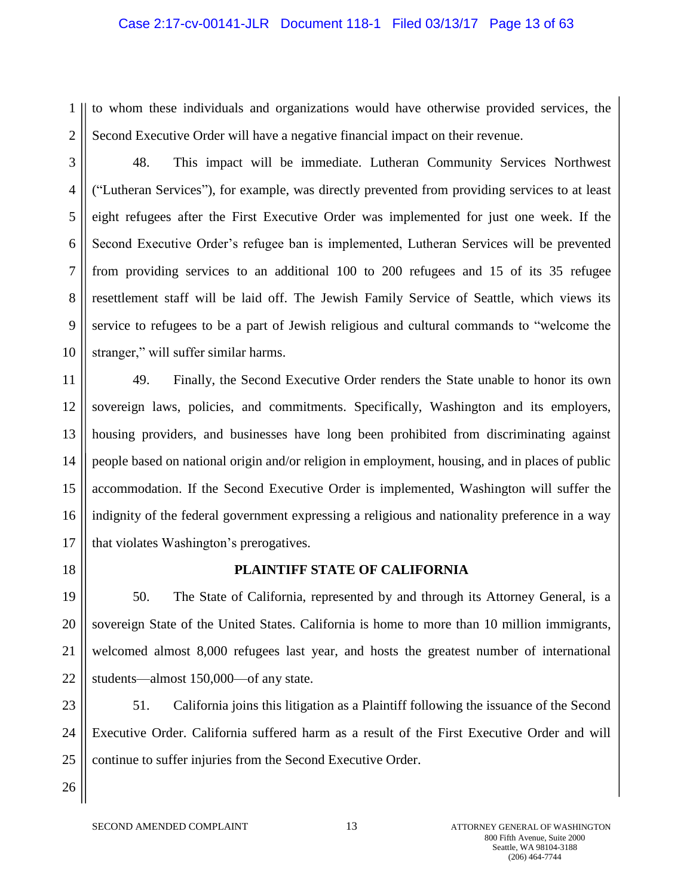#### Case 2:17-cv-00141-JLR Document 118-1 Filed 03/13/17 Page 13 of 63

1 2 to whom these individuals and organizations would have otherwise provided services, the Second Executive Order will have a negative financial impact on their revenue.

3

4 5 6 7 8 9 10 48. This impact will be immediate. Lutheran Community Services Northwest ("Lutheran Services"), for example, was directly prevented from providing services to at least eight refugees after the First Executive Order was implemented for just one week. If the Second Executive Order's refugee ban is implemented, Lutheran Services will be prevented from providing services to an additional 100 to 200 refugees and 15 of its 35 refugee resettlement staff will be laid off. The Jewish Family Service of Seattle, which views its service to refugees to be a part of Jewish religious and cultural commands to "welcome the stranger," will suffer similar harms.

11 12 13 14 15 16 17 49. Finally, the Second Executive Order renders the State unable to honor its own sovereign laws, policies, and commitments. Specifically, Washington and its employers, housing providers, and businesses have long been prohibited from discriminating against people based on national origin and/or religion in employment, housing, and in places of public accommodation. If the Second Executive Order is implemented, Washington will suffer the indignity of the federal government expressing a religious and nationality preference in a way that violates Washington's prerogatives.

18

# **PLAINTIFF STATE OF CALIFORNIA**

19 20 21 22 50. The State of California, represented by and through its Attorney General, is a sovereign State of the United States. California is home to more than 10 million immigrants, welcomed almost 8,000 refugees last year, and hosts the greatest number of international students—almost 150,000—of any state.

23 24 25 51. California joins this litigation as a Plaintiff following the issuance of the Second Executive Order. California suffered harm as a result of the First Executive Order and will continue to suffer injuries from the Second Executive Order.

26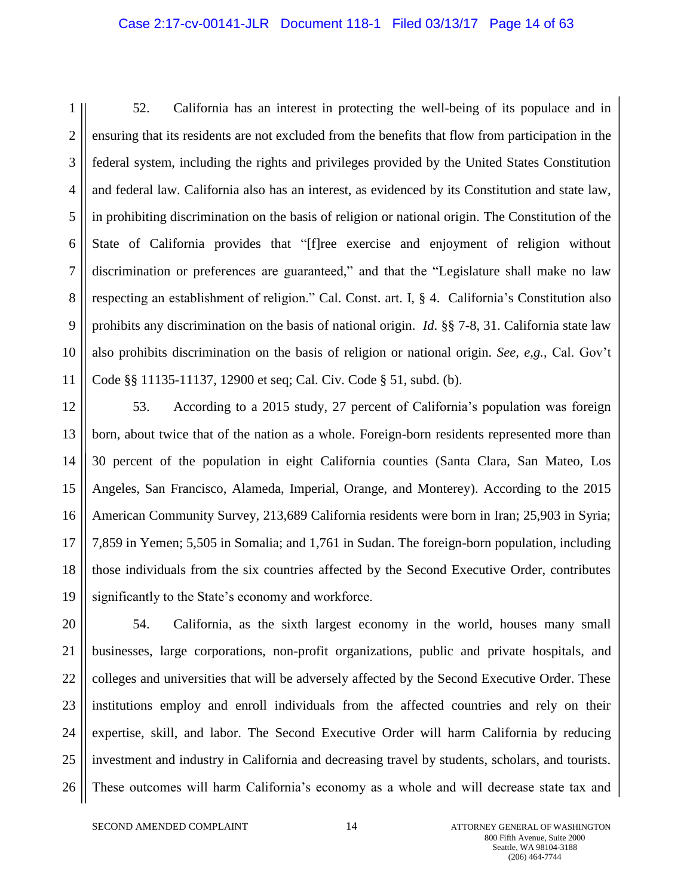#### Case 2:17-cv-00141-JLR Document 118-1 Filed 03/13/17 Page 14 of 63

1 2 3 4 5 6 7 8 9 10 11 52. California has an interest in protecting the well-being of its populace and in ensuring that its residents are not excluded from the benefits that flow from participation in the federal system, including the rights and privileges provided by the United States Constitution and federal law. California also has an interest, as evidenced by its Constitution and state law, in prohibiting discrimination on the basis of religion or national origin. The Constitution of the State of California provides that "[f]ree exercise and enjoyment of religion without discrimination or preferences are guaranteed," and that the "Legislature shall make no law respecting an establishment of religion." Cal. Const. art. I, § 4. California's Constitution also prohibits any discrimination on the basis of national origin. *Id*. §§ 7-8, 31. California state law also prohibits discrimination on the basis of religion or national origin. *See, e,g.*, Cal. Gov't Code §§ 11135-11137, 12900 et seq; Cal. Civ. Code § 51, subd. (b).

12 13 14 15 16 17 18 19 53. According to a 2015 study, 27 percent of California's population was foreign born, about twice that of the nation as a whole. Foreign-born residents represented more than 30 percent of the population in eight California counties (Santa Clara, San Mateo, Los Angeles, San Francisco, Alameda, Imperial, Orange, and Monterey). According to the 2015 American Community Survey, 213,689 California residents were born in Iran; 25,903 in Syria; 7,859 in Yemen; 5,505 in Somalia; and 1,761 in Sudan. The foreign-born population, including those individuals from the six countries affected by the Second Executive Order, contributes significantly to the State's economy and workforce.

20 21 22 23 24 25 26 54. California, as the sixth largest economy in the world, houses many small businesses, large corporations, non-profit organizations, public and private hospitals, and colleges and universities that will be adversely affected by the Second Executive Order. These institutions employ and enroll individuals from the affected countries and rely on their expertise, skill, and labor. The Second Executive Order will harm California by reducing investment and industry in California and decreasing travel by students, scholars, and tourists. These outcomes will harm California's economy as a whole and will decrease state tax and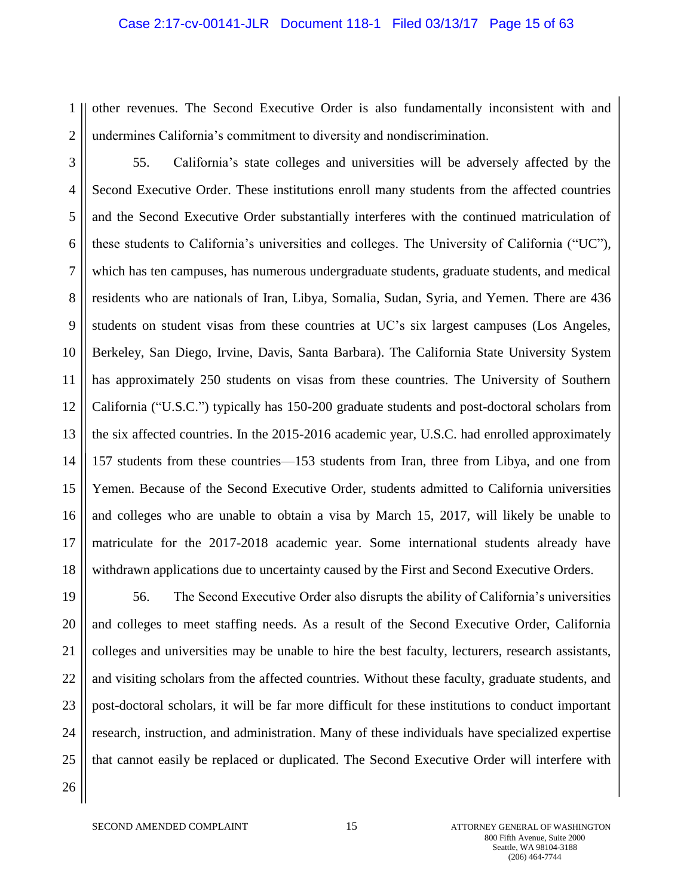#### Case 2:17-cv-00141-JLR Document 118-1 Filed 03/13/17 Page 15 of 63

1 2 other revenues. The Second Executive Order is also fundamentally inconsistent with and undermines California's commitment to diversity and nondiscrimination.

3 4 5 6 7 8 9 10 11 12 13 14 15 16 17 18 55. California's state colleges and universities will be adversely affected by the Second Executive Order. These institutions enroll many students from the affected countries and the Second Executive Order substantially interferes with the continued matriculation of these students to California's universities and colleges. The University of California ("UC"), which has ten campuses, has numerous undergraduate students, graduate students, and medical residents who are nationals of Iran, Libya, Somalia, Sudan, Syria, and Yemen. There are 436 students on student visas from these countries at UC's six largest campuses (Los Angeles, Berkeley, San Diego, Irvine, Davis, Santa Barbara). The California State University System has approximately 250 students on visas from these countries. The University of Southern California ("U.S.C.") typically has 150-200 graduate students and post-doctoral scholars from the six affected countries. In the 2015-2016 academic year, U.S.C. had enrolled approximately 157 students from these countries—153 students from Iran, three from Libya, and one from Yemen. Because of the Second Executive Order, students admitted to California universities and colleges who are unable to obtain a visa by March 15, 2017, will likely be unable to matriculate for the 2017-2018 academic year. Some international students already have withdrawn applications due to uncertainty caused by the First and Second Executive Orders.

19 20 21 22 23 24 25 26 56. The Second Executive Order also disrupts the ability of California's universities and colleges to meet staffing needs. As a result of the Second Executive Order, California colleges and universities may be unable to hire the best faculty, lecturers, research assistants, and visiting scholars from the affected countries. Without these faculty, graduate students, and post-doctoral scholars, it will be far more difficult for these institutions to conduct important research, instruction, and administration. Many of these individuals have specialized expertise that cannot easily be replaced or duplicated. The Second Executive Order will interfere with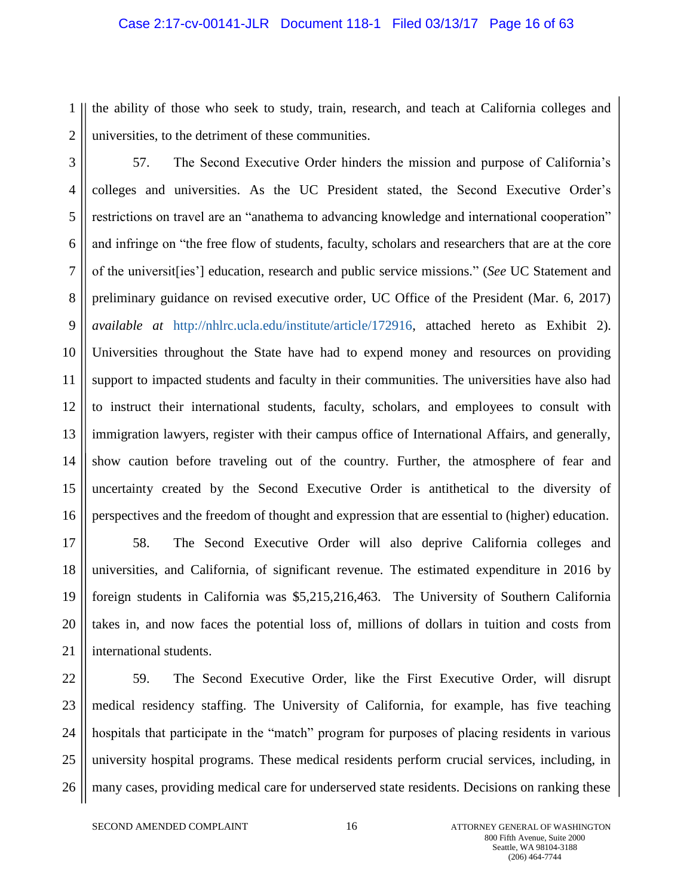#### Case 2:17-cv-00141-JLR Document 118-1 Filed 03/13/17 Page 16 of 63

1 2 the ability of those who seek to study, train, research, and teach at California colleges and universities, to the detriment of these communities.

3 4 5 6 7 8 9 10 11 12 13 14 15 16 57. The Second Executive Order hinders the mission and purpose of California's colleges and universities. As the UC President stated, the Second Executive Order's restrictions on travel are an "anathema to advancing knowledge and international cooperation" and infringe on "the free flow of students, faculty, scholars and researchers that are at the core of the universit[ies'] education, research and public service missions." (*See* UC Statement and preliminary guidance on revised executive order, UC Office of the President (Mar. 6, 2017) *available at* [http://nhlrc.ucla.edu/institute/article/172916,](http://nhlrc.ucla.edu/institute/article/172916) attached hereto as Exhibit 2). Universities throughout the State have had to expend money and resources on providing support to impacted students and faculty in their communities. The universities have also had to instruct their international students, faculty, scholars, and employees to consult with immigration lawyers, register with their campus office of International Affairs, and generally, show caution before traveling out of the country. Further, the atmosphere of fear and uncertainty created by the Second Executive Order is antithetical to the diversity of perspectives and the freedom of thought and expression that are essential to (higher) education.

17 18 19 20 21 58. The Second Executive Order will also deprive California colleges and universities, and California, of significant revenue. The estimated expenditure in 2016 by foreign students in California was \$5,215,216,463. The University of Southern California takes in, and now faces the potential loss of, millions of dollars in tuition and costs from international students.

22

23 24 25 26 59. The Second Executive Order, like the First Executive Order, will disrupt medical residency staffing. The University of California, for example, has five teaching hospitals that participate in the "match" program for purposes of placing residents in various university hospital programs. These medical residents perform crucial services, including, in many cases, providing medical care for underserved state residents. Decisions on ranking these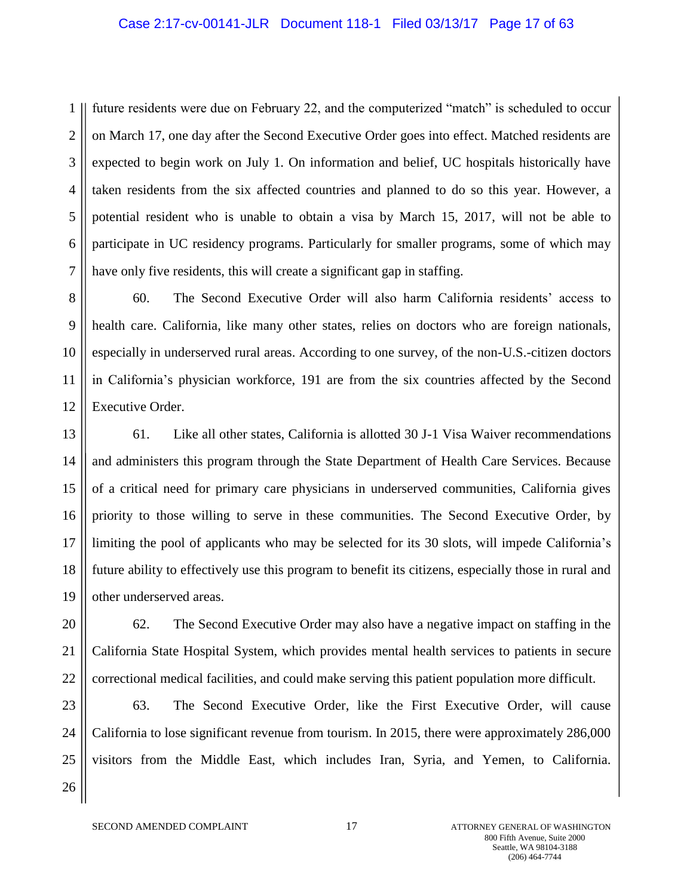#### Case 2:17-cv-00141-JLR Document 118-1 Filed 03/13/17 Page 17 of 63

1 2 3 4 5 6 7 future residents were due on February 22, and the computerized "match" is scheduled to occur on March 17, one day after the Second Executive Order goes into effect. Matched residents are expected to begin work on July 1. On information and belief, UC hospitals historically have taken residents from the six affected countries and planned to do so this year. However, a potential resident who is unable to obtain a visa by March 15, 2017, will not be able to participate in UC residency programs. Particularly for smaller programs, some of which may have only five residents, this will create a significant gap in staffing.

8 9 10 11 12 60. The Second Executive Order will also harm California residents' access to health care. California, like many other states, relies on doctors who are foreign nationals, especially in underserved rural areas. According to one survey, of the non-U.S.-citizen doctors in California's physician workforce, 191 are from the six countries affected by the Second Executive Order.

13 14 15 16 17 18 19 61. Like all other states, California is allotted 30 J-1 Visa Waiver recommendations and administers this program through the State Department of Health Care Services. Because of a critical need for primary care physicians in underserved communities, California gives priority to those willing to serve in these communities. The Second Executive Order, by limiting the pool of applicants who may be selected for its 30 slots, will impede California's future ability to effectively use this program to benefit its citizens, especially those in rural and other underserved areas.

20 21 22 62. The Second Executive Order may also have a negative impact on staffing in the California State Hospital System, which provides mental health services to patients in secure correctional medical facilities, and could make serving this patient population more difficult.

23 24 25 26 63. The Second Executive Order, like the First Executive Order, will cause California to lose significant revenue from tourism. In 2015, there were approximately 286,000 visitors from the Middle East, which includes Iran, Syria, and Yemen, to California.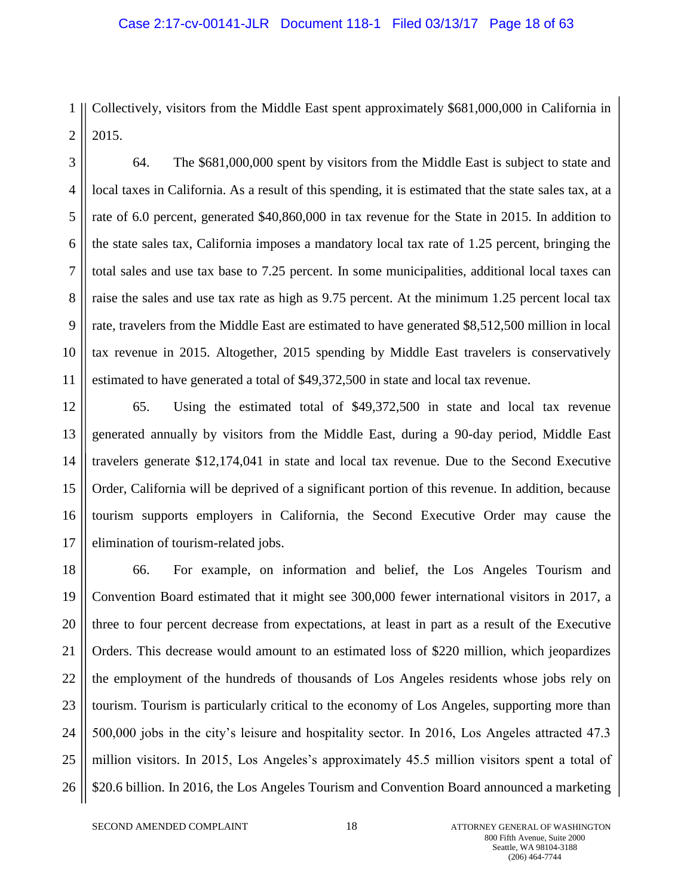#### Case 2:17-cv-00141-JLR Document 118-1 Filed 03/13/17 Page 18 of 63

1 2 Collectively, visitors from the Middle East spent approximately \$681,000,000 in California in 2015.

3 4 5 6 7 8 9 10 11 64. The \$681,000,000 spent by visitors from the Middle East is subject to state and local taxes in California. As a result of this spending, it is estimated that the state sales tax, at a rate of 6.0 percent, generated \$40,860,000 in tax revenue for the State in 2015. In addition to the state sales tax, California imposes a mandatory local tax rate of 1.25 percent, bringing the total sales and use tax base to 7.25 percent. In some municipalities, additional local taxes can raise the sales and use tax rate as high as 9.75 percent. At the minimum 1.25 percent local tax rate, travelers from the Middle East are estimated to have generated \$8,512,500 million in local tax revenue in 2015. Altogether, 2015 spending by Middle East travelers is conservatively estimated to have generated a total of \$49,372,500 in state and local tax revenue.

12 13 14 15 16 17 65. Using the estimated total of \$49,372,500 in state and local tax revenue generated annually by visitors from the Middle East, during a 90-day period, Middle East travelers generate \$12,174,041 in state and local tax revenue. Due to the Second Executive Order, California will be deprived of a significant portion of this revenue. In addition, because tourism supports employers in California, the Second Executive Order may cause the elimination of tourism-related jobs.

18 19 20 21 22 23 24 25 26 66. For example, on information and belief, the Los Angeles Tourism and Convention Board estimated that it might see 300,000 fewer international visitors in 2017, a three to four percent decrease from expectations, at least in part as a result of the Executive Orders. This decrease would amount to an estimated loss of \$220 million, which jeopardizes the employment of the hundreds of thousands of Los Angeles residents whose jobs rely on tourism. Tourism is particularly critical to the economy of Los Angeles, supporting more than 500,000 jobs in the city's leisure and hospitality sector. In 2016, Los Angeles attracted 47.3 million visitors. In 2015, Los Angeles's approximately 45.5 million visitors spent a total of \$20.6 billion. In 2016, the Los Angeles Tourism and Convention Board announced a marketing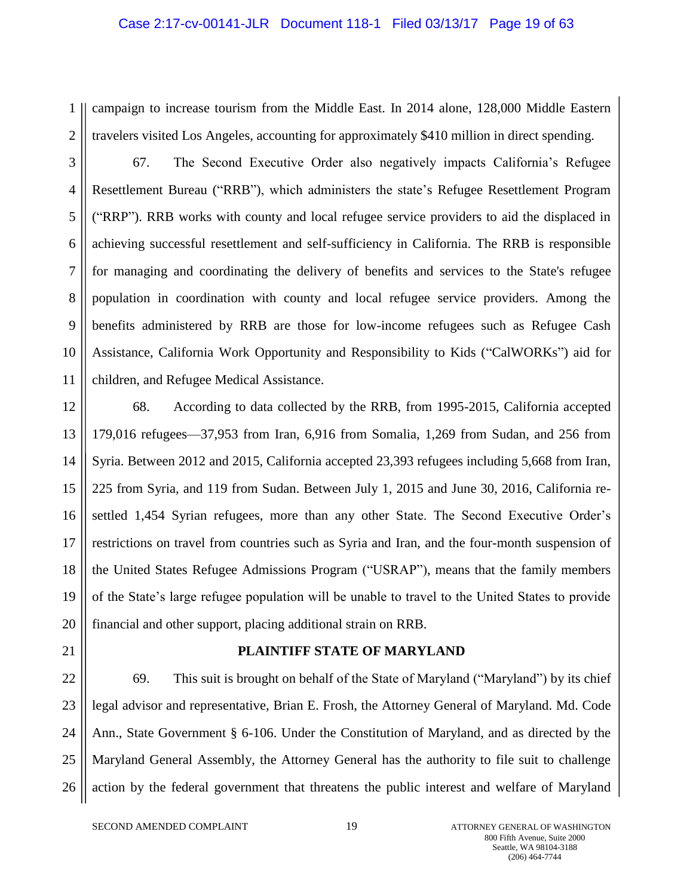#### Case 2:17-cv-00141-JLR Document 118-1 Filed 03/13/17 Page 19 of 63

1 2 campaign to increase tourism from the Middle East. In 2014 alone, 128,000 Middle Eastern travelers visited Los Angeles, accounting for approximately \$410 million in direct spending.

3

4 5 6 7 8 9 10 11 67. The Second Executive Order also negatively impacts California's Refugee Resettlement Bureau ("RRB"), which administers the state's Refugee Resettlement Program ("RRP"). RRB works with county and local refugee service providers to aid the displaced in achieving successful resettlement and self-sufficiency in California. The RRB is responsible for managing and coordinating the delivery of benefits and services to the State's refugee population in coordination with county and local refugee service providers. Among the benefits administered by RRB are those for low-income refugees such as Refugee Cash Assistance, California Work Opportunity and Responsibility to Kids ("CalWORKs") aid for children, and Refugee Medical Assistance.

12 13 14 15 16 17 18 19 20 68. According to data collected by the RRB, from 1995-2015, California accepted 179,016 refugees—37,953 from Iran, 6,916 from Somalia, 1,269 from Sudan, and 256 from Syria. Between 2012 and 2015, California accepted 23,393 refugees including 5,668 from Iran, 225 from Syria, and 119 from Sudan. Between July 1, 2015 and June 30, 2016, California resettled 1,454 Syrian refugees, more than any other State. The Second Executive Order's restrictions on travel from countries such as Syria and Iran, and the four-month suspension of the United States Refugee Admissions Program ("USRAP"), means that the family members of the State's large refugee population will be unable to travel to the United States to provide financial and other support, placing additional strain on RRB.

21

# **PLAINTIFF STATE OF MARYLAND**

22 23 24 25 26 69. This suit is brought on behalf of the State of Maryland ("Maryland") by its chief legal advisor and representative, Brian E. Frosh, the Attorney General of Maryland. Md. Code Ann., State Government § 6-106. Under the Constitution of Maryland, and as directed by the Maryland General Assembly, the Attorney General has the authority to file suit to challenge action by the federal government that threatens the public interest and welfare of Maryland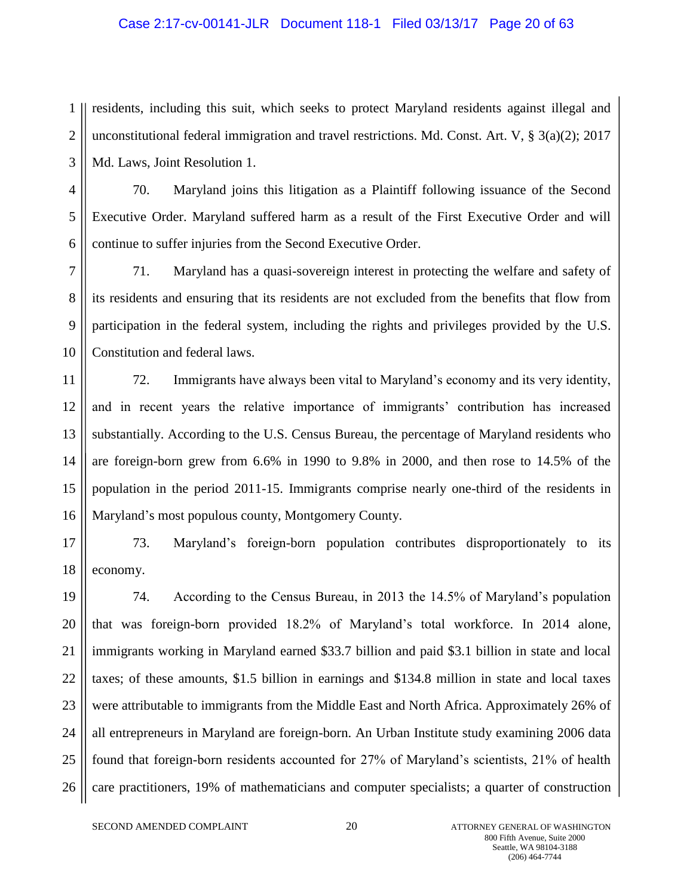#### Case 2:17-cv-00141-JLR Document 118-1 Filed 03/13/17 Page 20 of 63

1 2 3 residents, including this suit, which seeks to protect Maryland residents against illegal and unconstitutional federal immigration and travel restrictions. Md. Const. Art. V,  $\S$  3(a)(2); 2017 Md. Laws, Joint Resolution 1.

4 5 6 70. Maryland joins this litigation as a Plaintiff following issuance of the Second Executive Order. Maryland suffered harm as a result of the First Executive Order and will continue to suffer injuries from the Second Executive Order.

7 8 9 10 71. Maryland has a quasi-sovereign interest in protecting the welfare and safety of its residents and ensuring that its residents are not excluded from the benefits that flow from participation in the federal system, including the rights and privileges provided by the U.S. Constitution and federal laws.

11 12 13 14 15 16 72. Immigrants have always been vital to Maryland's economy and its very identity, and in recent years the relative importance of immigrants' contribution has increased substantially. According to the U.S. Census Bureau, the percentage of Maryland residents who are foreign-born grew from 6.6% in 1990 to 9.8% in 2000, and then rose to 14.5% of the population in the period 2011-15. Immigrants comprise nearly one-third of the residents in Maryland's most populous county, Montgomery County.

17 18 73. Maryland's foreign-born population contributes disproportionately to its economy.

19 20 21 22 23 24 25 26 74. According to the Census Bureau, in 2013 the 14.5% of Maryland's population that was foreign-born provided 18.2% of Maryland's total workforce. In 2014 alone, immigrants working in Maryland earned \$33.7 billion and paid \$3.1 billion in state and local taxes; of these amounts, \$1.5 billion in earnings and \$134.8 million in state and local taxes were attributable to immigrants from the Middle East and North Africa. Approximately 26% of all entrepreneurs in Maryland are foreign-born. An Urban Institute study examining 2006 data found that foreign-born residents accounted for 27% of Maryland's scientists, 21% of health care practitioners, 19% of mathematicians and computer specialists; a quarter of construction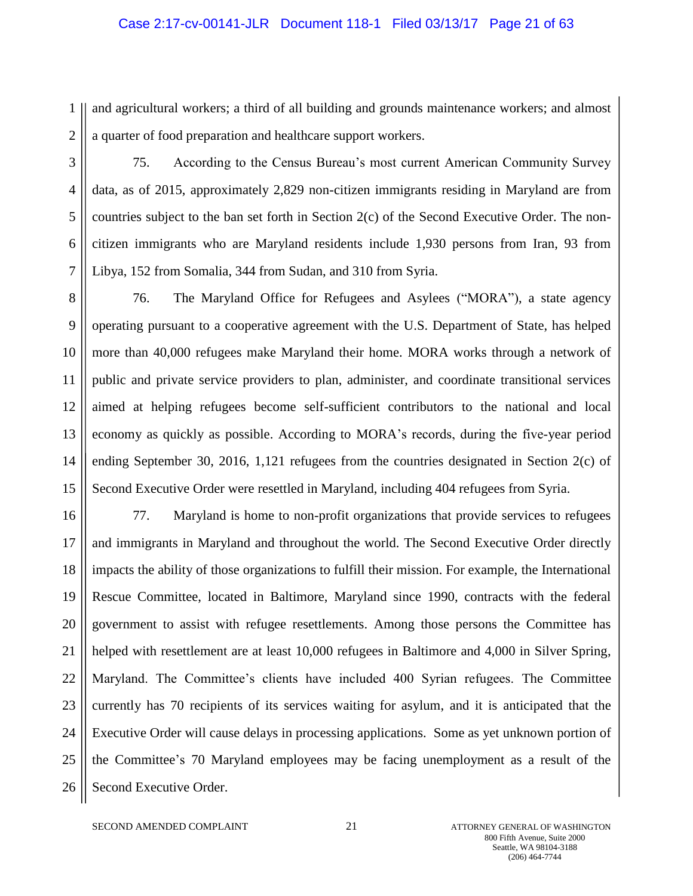#### Case 2:17-cv-00141-JLR Document 118-1 Filed 03/13/17 Page 21 of 63

1 2 and agricultural workers; a third of all building and grounds maintenance workers; and almost a quarter of food preparation and healthcare support workers.

3

4

5

6

7

75. According to the Census Bureau's most current American Community Survey data, as of 2015, approximately 2,829 non-citizen immigrants residing in Maryland are from countries subject to the ban set forth in Section 2(c) of the Second Executive Order. The noncitizen immigrants who are Maryland residents include 1,930 persons from Iran, 93 from Libya, 152 from Somalia, 344 from Sudan, and 310 from Syria.

8 9 10 11 12 13 14 15 76. The Maryland Office for Refugees and Asylees ("MORA"), a state agency operating pursuant to a cooperative agreement with the U.S. Department of State, has helped more than 40,000 refugees make Maryland their home. MORA works through a network of public and private service providers to plan, administer, and coordinate transitional services aimed at helping refugees become self-sufficient contributors to the national and local economy as quickly as possible. According to MORA's records, during the five-year period ending September 30, 2016, 1,121 refugees from the countries designated in Section 2(c) of Second Executive Order were resettled in Maryland, including 404 refugees from Syria.

16 17 18 19 20 21 22 23 24 25 26 77. Maryland is home to non-profit organizations that provide services to refugees and immigrants in Maryland and throughout the world. The Second Executive Order directly impacts the ability of those organizations to fulfill their mission. For example, the International Rescue Committee, located in Baltimore, Maryland since 1990, contracts with the federal government to assist with refugee resettlements. Among those persons the Committee has helped with resettlement are at least 10,000 refugees in Baltimore and 4,000 in Silver Spring, Maryland. The Committee's clients have included 400 Syrian refugees. The Committee currently has 70 recipients of its services waiting for asylum, and it is anticipated that the Executive Order will cause delays in processing applications. Some as yet unknown portion of the Committee's 70 Maryland employees may be facing unemployment as a result of the Second Executive Order.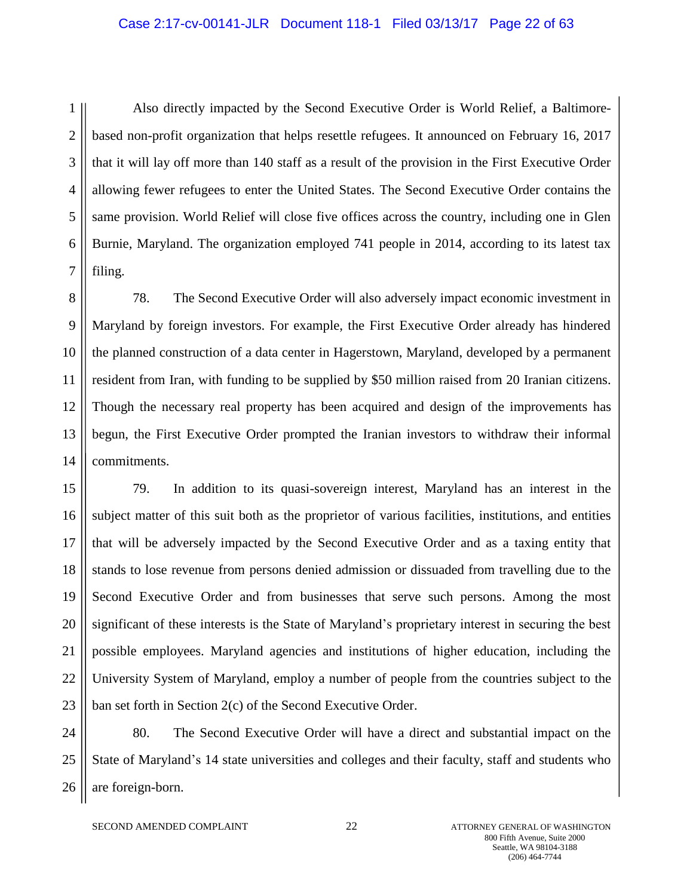#### Case 2:17-cv-00141-JLR Document 118-1 Filed 03/13/17 Page 22 of 63

1 2 3 4 5 6 7 Also directly impacted by the Second Executive Order is World Relief, a Baltimorebased non-profit organization that helps resettle refugees. It announced on February 16, 2017 that it will lay off more than 140 staff as a result of the provision in the First Executive Order allowing fewer refugees to enter the United States. The Second Executive Order contains the same provision. World Relief will close five offices across the country, including one in Glen Burnie, Maryland. The organization employed 741 people in 2014, according to its latest tax filing.

8 9 10 11 12 13 14 78. The Second Executive Order will also adversely impact economic investment in Maryland by foreign investors. For example, the First Executive Order already has hindered the planned construction of a data center in Hagerstown, Maryland, developed by a permanent resident from Iran, with funding to be supplied by \$50 million raised from 20 Iranian citizens. Though the necessary real property has been acquired and design of the improvements has begun, the First Executive Order prompted the Iranian investors to withdraw their informal commitments.

15 16 17 18 19 20 21 22 23 79. In addition to its quasi-sovereign interest, Maryland has an interest in the subject matter of this suit both as the proprietor of various facilities, institutions, and entities that will be adversely impacted by the Second Executive Order and as a taxing entity that stands to lose revenue from persons denied admission or dissuaded from travelling due to the Second Executive Order and from businesses that serve such persons. Among the most significant of these interests is the State of Maryland's proprietary interest in securing the best possible employees. Maryland agencies and institutions of higher education, including the University System of Maryland, employ a number of people from the countries subject to the ban set forth in Section 2(c) of the Second Executive Order.

24 25 26 80. The Second Executive Order will have a direct and substantial impact on the State of Maryland's 14 state universities and colleges and their faculty, staff and students who are foreign-born.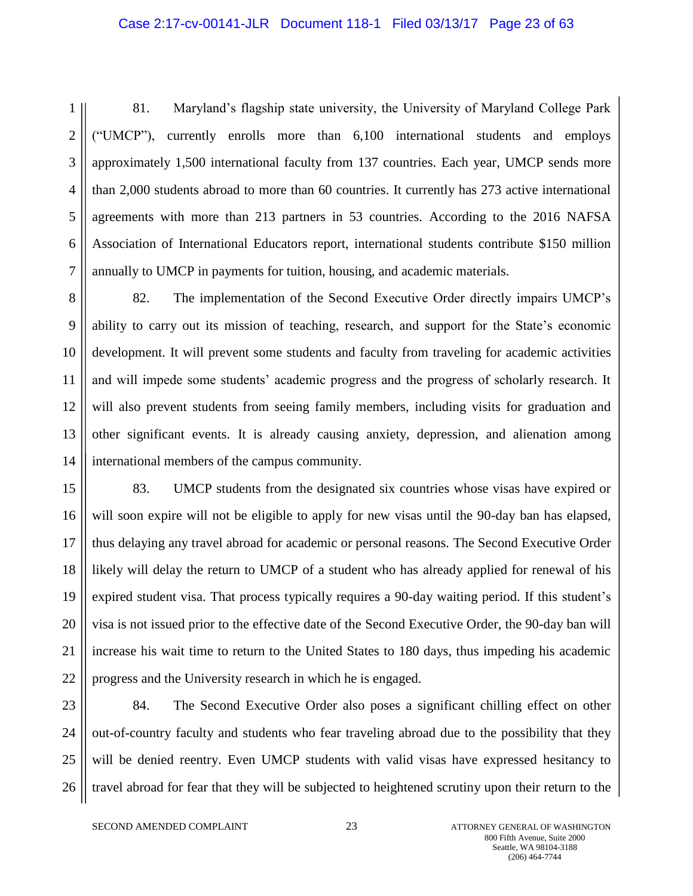#### Case 2:17-cv-00141-JLR Document 118-1 Filed 03/13/17 Page 23 of 63

1 2 3 4 5 6 7 81. Maryland's flagship state university, the University of Maryland College Park ("UMCP"), currently enrolls more than 6,100 international students and employs approximately 1,500 international faculty from 137 countries. Each year, UMCP sends more than 2,000 students abroad to more than 60 countries. It currently has 273 active international agreements with more than 213 partners in 53 countries. According to the 2016 NAFSA Association of International Educators report, international students contribute \$150 million annually to UMCP in payments for tuition, housing, and academic materials.

8 9 10 11 12 13 14 82. The implementation of the Second Executive Order directly impairs UMCP's ability to carry out its mission of teaching, research, and support for the State's economic development. It will prevent some students and faculty from traveling for academic activities and will impede some students' academic progress and the progress of scholarly research. It will also prevent students from seeing family members, including visits for graduation and other significant events. It is already causing anxiety, depression, and alienation among international members of the campus community.

15 16 17 18 19 20 21 22 83. UMCP students from the designated six countries whose visas have expired or will soon expire will not be eligible to apply for new visas until the 90-day ban has elapsed, thus delaying any travel abroad for academic or personal reasons. The Second Executive Order likely will delay the return to UMCP of a student who has already applied for renewal of his expired student visa. That process typically requires a 90-day waiting period. If this student's visa is not issued prior to the effective date of the Second Executive Order, the 90-day ban will increase his wait time to return to the United States to 180 days, thus impeding his academic progress and the University research in which he is engaged.

23 24 25 26 84. The Second Executive Order also poses a significant chilling effect on other out-of-country faculty and students who fear traveling abroad due to the possibility that they will be denied reentry. Even UMCP students with valid visas have expressed hesitancy to travel abroad for fear that they will be subjected to heightened scrutiny upon their return to the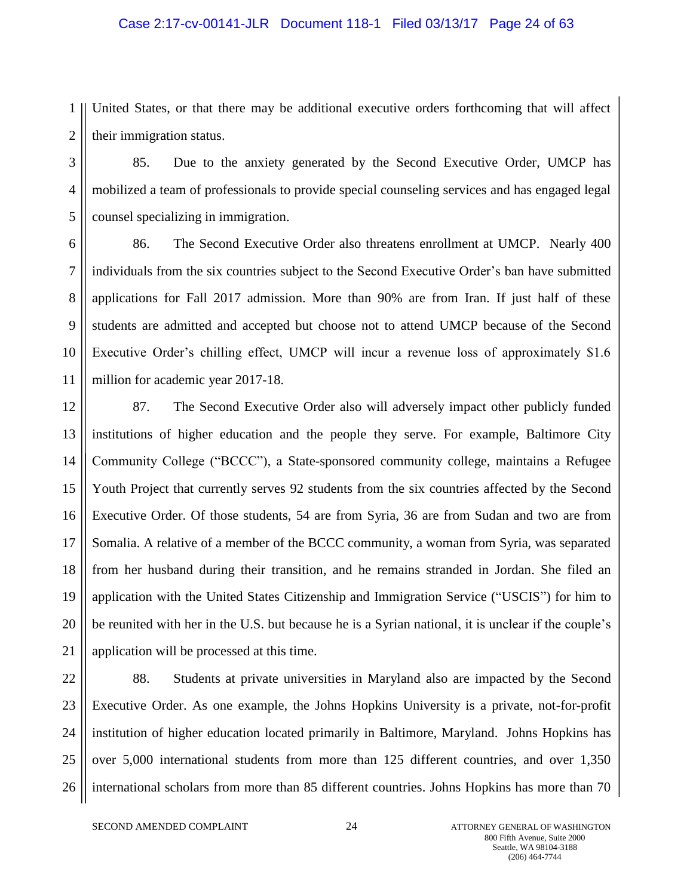#### Case 2:17-cv-00141-JLR Document 118-1 Filed 03/13/17 Page 24 of 63

1 2 United States, or that there may be additional executive orders forthcoming that will affect their immigration status.

3 4 5 85. Due to the anxiety generated by the Second Executive Order, UMCP has mobilized a team of professionals to provide special counseling services and has engaged legal counsel specializing in immigration.

6 7 8 9 10 11 86. The Second Executive Order also threatens enrollment at UMCP. Nearly 400 individuals from the six countries subject to the Second Executive Order's ban have submitted applications for Fall 2017 admission. More than 90% are from Iran. If just half of these students are admitted and accepted but choose not to attend UMCP because of the Second Executive Order's chilling effect, UMCP will incur a revenue loss of approximately \$1.6 million for academic year 2017-18.

12 13 14 15 16 17 18 19 20 21 87. The Second Executive Order also will adversely impact other publicly funded institutions of higher education and the people they serve. For example, Baltimore City Community College ("BCCC"), a State-sponsored community college, maintains a Refugee Youth Project that currently serves 92 students from the six countries affected by the Second Executive Order. Of those students, 54 are from Syria, 36 are from Sudan and two are from Somalia. A relative of a member of the BCCC community, a woman from Syria, was separated from her husband during their transition, and he remains stranded in Jordan. She filed an application with the United States Citizenship and Immigration Service ("USCIS") for him to be reunited with her in the U.S. but because he is a Syrian national, it is unclear if the couple's application will be processed at this time.

22 23 24 25 26 88. Students at private universities in Maryland also are impacted by the Second Executive Order. As one example, the Johns Hopkins University is a private, not-for-profit institution of higher education located primarily in Baltimore, Maryland. Johns Hopkins has over 5,000 international students from more than 125 different countries, and over 1,350 international scholars from more than 85 different countries. Johns Hopkins has more than 70

SECOND AMENDED COMPLAINT 24 ATTORNEY GENERAL OF WASHINGTON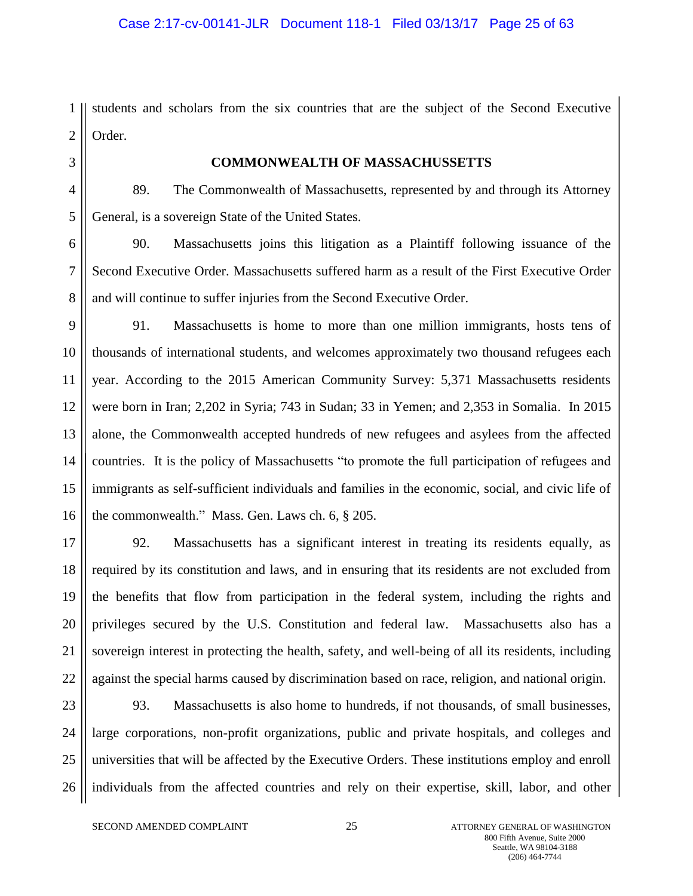1 2 students and scholars from the six countries that are the subject of the Second Executive Order.

3 4

5

## **COMMONWEALTH OF MASSACHUSSETTS**

89. The Commonwealth of Massachusetts, represented by and through its Attorney General, is a sovereign State of the United States.

6 7 8 90. Massachusetts joins this litigation as a Plaintiff following issuance of the Second Executive Order. Massachusetts suffered harm as a result of the First Executive Order and will continue to suffer injuries from the Second Executive Order.

9 10 11 12 13 14 15 16 91. Massachusetts is home to more than one million immigrants, hosts tens of thousands of international students, and welcomes approximately two thousand refugees each year. According to the 2015 American Community Survey: 5,371 Massachusetts residents were born in Iran; 2,202 in Syria; 743 in Sudan; 33 in Yemen; and 2,353 in Somalia. In 2015 alone, the Commonwealth accepted hundreds of new refugees and asylees from the affected countries. It is the policy of Massachusetts "to promote the full participation of refugees and immigrants as self-sufficient individuals and families in the economic, social, and civic life of the commonwealth." Mass. Gen. Laws ch. 6, § 205.

17 18 19 20 21 22 92. Massachusetts has a significant interest in treating its residents equally, as required by its constitution and laws, and in ensuring that its residents are not excluded from the benefits that flow from participation in the federal system, including the rights and privileges secured by the U.S. Constitution and federal law. Massachusetts also has a sovereign interest in protecting the health, safety, and well-being of all its residents, including against the special harms caused by discrimination based on race, religion, and national origin.

23 24 25 26 93. Massachusetts is also home to hundreds, if not thousands, of small businesses, large corporations, non-profit organizations, public and private hospitals, and colleges and universities that will be affected by the Executive Orders. These institutions employ and enroll individuals from the affected countries and rely on their expertise, skill, labor, and other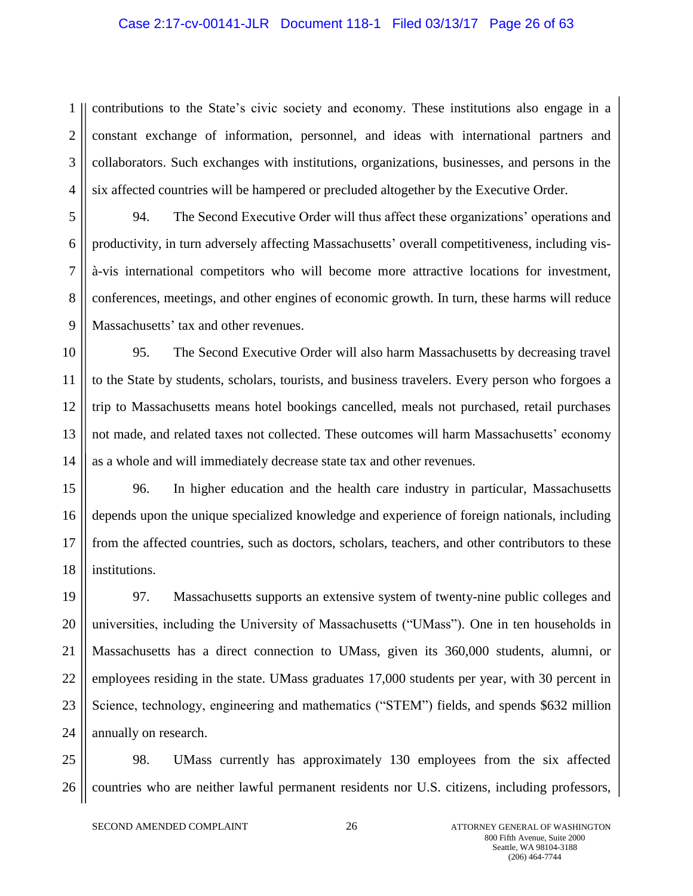#### Case 2:17-cv-00141-JLR Document 118-1 Filed 03/13/17 Page 26 of 63

1 2 3 4 contributions to the State's civic society and economy. These institutions also engage in a constant exchange of information, personnel, and ideas with international partners and collaborators. Such exchanges with institutions, organizations, businesses, and persons in the six affected countries will be hampered or precluded altogether by the Executive Order.

5 6 7 8 9 94. The Second Executive Order will thus affect these organizations' operations and productivity, in turn adversely affecting Massachusetts' overall competitiveness, including visà-vis international competitors who will become more attractive locations for investment, conferences, meetings, and other engines of economic growth. In turn, these harms will reduce Massachusetts' tax and other revenues.

10 11 12 13 14 95. The Second Executive Order will also harm Massachusetts by decreasing travel to the State by students, scholars, tourists, and business travelers. Every person who forgoes a trip to Massachusetts means hotel bookings cancelled, meals not purchased, retail purchases not made, and related taxes not collected. These outcomes will harm Massachusetts' economy as a whole and will immediately decrease state tax and other revenues.

15 16 17 18 96. In higher education and the health care industry in particular, Massachusetts depends upon the unique specialized knowledge and experience of foreign nationals, including from the affected countries, such as doctors, scholars, teachers, and other contributors to these institutions.

19 20 21 22 23 24 97. Massachusetts supports an extensive system of twenty-nine public colleges and universities, including the University of Massachusetts ("UMass"). One in ten households in Massachusetts has a direct connection to UMass, given its 360,000 students, alumni, or employees residing in the state. UMass graduates 17,000 students per year, with 30 percent in Science, technology, engineering and mathematics ("STEM") fields, and spends \$632 million annually on research.

25 26 98. UMass currently has approximately 130 employees from the six affected countries who are neither lawful permanent residents nor U.S. citizens, including professors,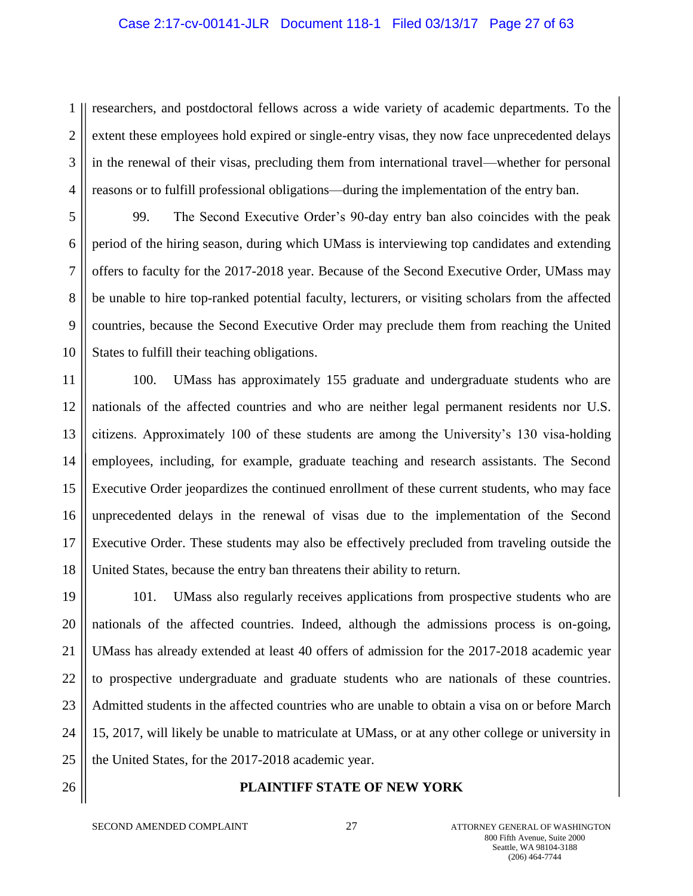#### Case 2:17-cv-00141-JLR Document 118-1 Filed 03/13/17 Page 27 of 63

1 2 3 4 researchers, and postdoctoral fellows across a wide variety of academic departments. To the extent these employees hold expired or single-entry visas, they now face unprecedented delays in the renewal of their visas, precluding them from international travel—whether for personal reasons or to fulfill professional obligations—during the implementation of the entry ban.

5 6 7 8 9 10 99. The Second Executive Order's 90-day entry ban also coincides with the peak period of the hiring season, during which UMass is interviewing top candidates and extending offers to faculty for the 2017-2018 year. Because of the Second Executive Order, UMass may be unable to hire top-ranked potential faculty, lecturers, or visiting scholars from the affected countries, because the Second Executive Order may preclude them from reaching the United States to fulfill their teaching obligations.

11 12 13 14 15 16 17 18 100. UMass has approximately 155 graduate and undergraduate students who are nationals of the affected countries and who are neither legal permanent residents nor U.S. citizens. Approximately 100 of these students are among the University's 130 visa-holding employees, including, for example, graduate teaching and research assistants. The Second Executive Order jeopardizes the continued enrollment of these current students, who may face unprecedented delays in the renewal of visas due to the implementation of the Second Executive Order. These students may also be effectively precluded from traveling outside the United States, because the entry ban threatens their ability to return.

19 20 21 22 23 24 25 101. UMass also regularly receives applications from prospective students who are nationals of the affected countries. Indeed, although the admissions process is on-going, UMass has already extended at least 40 offers of admission for the 2017-2018 academic year to prospective undergraduate and graduate students who are nationals of these countries. Admitted students in the affected countries who are unable to obtain a visa on or before March 15, 2017, will likely be unable to matriculate at UMass, or at any other college or university in the United States, for the 2017-2018 academic year.

26

#### **PLAINTIFF STATE OF NEW YORK**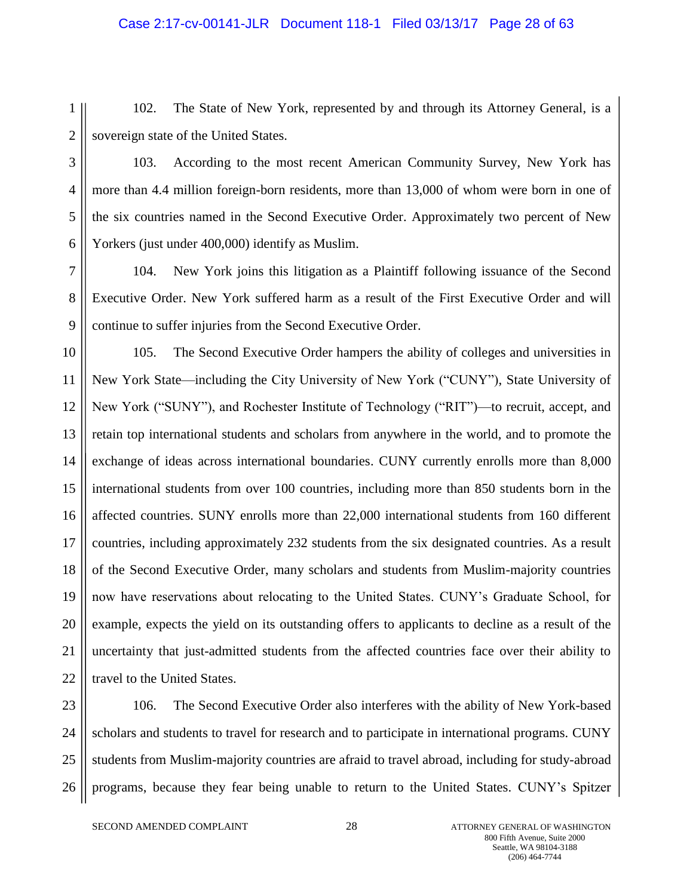#### Case 2:17-cv-00141-JLR Document 118-1 Filed 03/13/17 Page 28 of 63

1 2 102. The State of New York, represented by and through its Attorney General, is a sovereign state of the United States.

3

4

5

6

103. According to the most recent American Community Survey, New York has more than 4.4 million foreign-born residents, more than 13,000 of whom were born in one of the six countries named in the Second Executive Order. Approximately two percent of New Yorkers (just under 400,000) identify as Muslim.

7 8 9 104. New York joins this litigation as a Plaintiff following issuance of the Second Executive Order. New York suffered harm as a result of the First Executive Order and will continue to suffer injuries from the Second Executive Order.

10 11 12 13 14 15 16 17 18 19 20 21 22 105. The Second Executive Order hampers the ability of colleges and universities in New York State—including the City University of New York ("CUNY"), State University of New York ("SUNY"), and Rochester Institute of Technology ("RIT")—to recruit, accept, and retain top international students and scholars from anywhere in the world, and to promote the exchange of ideas across international boundaries. CUNY currently enrolls more than 8,000 international students from over 100 countries, including more than 850 students born in the affected countries. SUNY enrolls more than 22,000 international students from 160 different countries, including approximately 232 students from the six designated countries. As a result of the Second Executive Order, many scholars and students from Muslim-majority countries now have reservations about relocating to the United States. CUNY's Graduate School, for example, expects the yield on its outstanding offers to applicants to decline as a result of the uncertainty that just-admitted students from the affected countries face over their ability to travel to the United States.

23 24 25 26 106. The Second Executive Order also interferes with the ability of New York-based scholars and students to travel for research and to participate in international programs. CUNY students from Muslim-majority countries are afraid to travel abroad, including for study-abroad programs, because they fear being unable to return to the United States. CUNY's Spitzer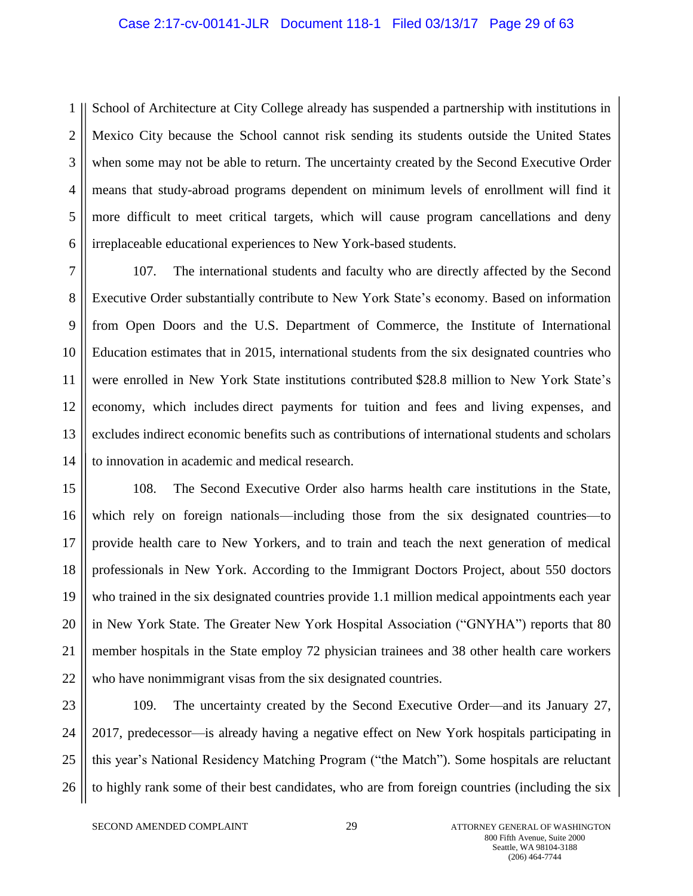#### Case 2:17-cv-00141-JLR Document 118-1 Filed 03/13/17 Page 29 of 63

1 2 3 4 5 6 School of Architecture at City College already has suspended a partnership with institutions in Mexico City because the School cannot risk sending its students outside the United States when some may not be able to return. The uncertainty created by the Second Executive Order means that study-abroad programs dependent on minimum levels of enrollment will find it more difficult to meet critical targets, which will cause program cancellations and deny irreplaceable educational experiences to New York-based students.

7 8 9 10 11 12 13 14 107. The international students and faculty who are directly affected by the Second Executive Order substantially contribute to New York State's economy. Based on information from Open Doors and the U.S. Department of Commerce, the Institute of International Education estimates that in 2015, international students from the six designated countries who were enrolled in New York State institutions contributed \$28.8 million to New York State's economy, which includes direct payments for tuition and fees and living expenses, and excludes indirect economic benefits such as contributions of international students and scholars to innovation in academic and medical research.

15 16 17 18 19 20 21 22 108. The Second Executive Order also harms health care institutions in the State, which rely on foreign nationals—including those from the six designated countries—to provide health care to New Yorkers, and to train and teach the next generation of medical professionals in New York. According to the Immigrant Doctors Project, about 550 doctors who trained in the six designated countries provide 1.1 million medical appointments each year in New York State. The Greater New York Hospital Association ("GNYHA") reports that 80 member hospitals in the State employ 72 physician trainees and 38 other health care workers who have nonimmigrant visas from the six designated countries.

23 24 25 26 109. The uncertainty created by the Second Executive Order—and its January 27, 2017, predecessor—is already having a negative effect on New York hospitals participating in this year's National Residency Matching Program ("the Match"). Some hospitals are reluctant to highly rank some of their best candidates, who are from foreign countries (including the six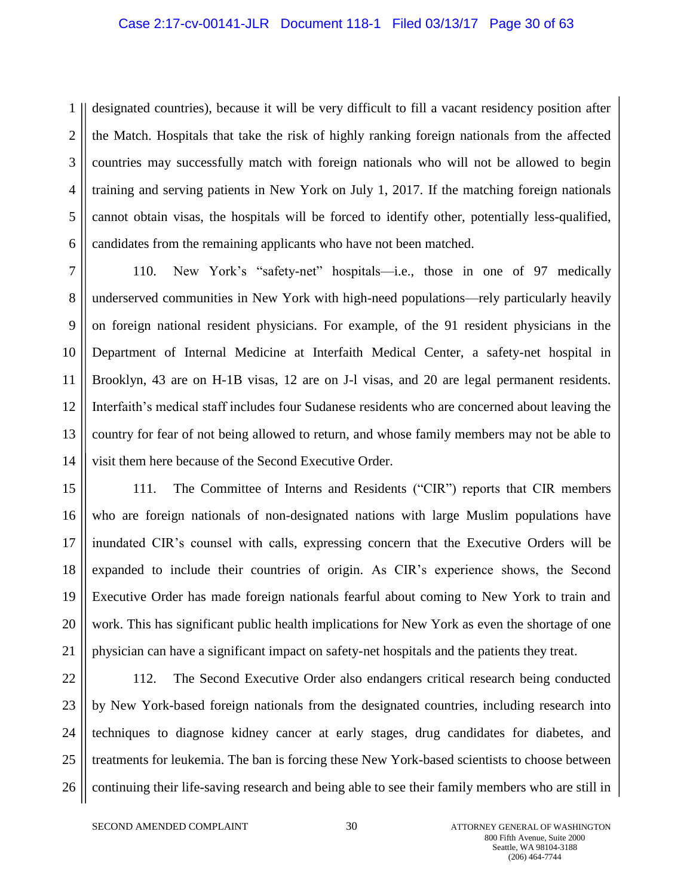#### Case 2:17-cv-00141-JLR Document 118-1 Filed 03/13/17 Page 30 of 63

1 2 3 4 5 6 designated countries), because it will be very difficult to fill a vacant residency position after the Match. Hospitals that take the risk of highly ranking foreign nationals from the affected countries may successfully match with foreign nationals who will not be allowed to begin training and serving patients in New York on July 1, 2017. If the matching foreign nationals cannot obtain visas, the hospitals will be forced to identify other, potentially less-qualified, candidates from the remaining applicants who have not been matched.

7 8 9 10 11 12 13 14 110. New York's "safety-net" hospitals—i.e., those in one of 97 medically underserved communities in New York with high-need populations—rely particularly heavily on foreign national resident physicians. For example, of the 91 resident physicians in the Department of Internal Medicine at Interfaith Medical Center, a safety-net hospital in Brooklyn, 43 are on H-1B visas, 12 are on J-l visas, and 20 are legal permanent residents. Interfaith's medical staff includes four Sudanese residents who are concerned about leaving the country for fear of not being allowed to return, and whose family members may not be able to visit them here because of the Second Executive Order.

15 16 17 18 19 20 21 111. The Committee of Interns and Residents ("CIR") reports that CIR members who are foreign nationals of non-designated nations with large Muslim populations have inundated CIR's counsel with calls, expressing concern that the Executive Orders will be expanded to include their countries of origin. As CIR's experience shows, the Second Executive Order has made foreign nationals fearful about coming to New York to train and work. This has significant public health implications for New York as even the shortage of one physician can have a significant impact on safety-net hospitals and the patients they treat.

22 23 24 25 26 112. The Second Executive Order also endangers critical research being conducted by New York-based foreign nationals from the designated countries, including research into techniques to diagnose kidney cancer at early stages, drug candidates for diabetes, and treatments for leukemia. The ban is forcing these New York-based scientists to choose between continuing their life-saving research and being able to see their family members who are still in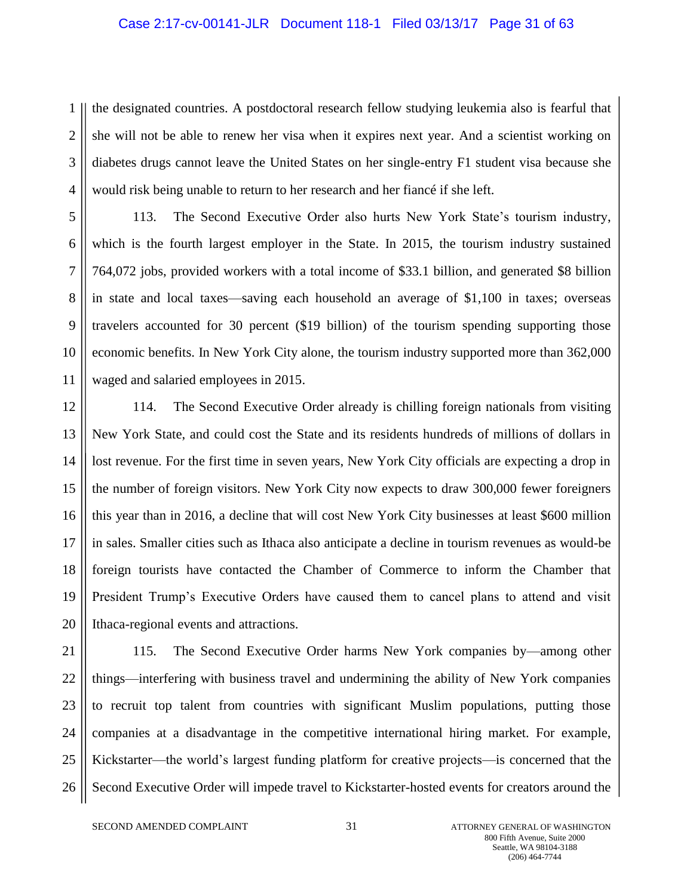#### Case 2:17-cv-00141-JLR Document 118-1 Filed 03/13/17 Page 31 of 63

1 2 3 4 the designated countries. A postdoctoral research fellow studying leukemia also is fearful that she will not be able to renew her visa when it expires next year. And a scientist working on diabetes drugs cannot leave the United States on her single-entry F1 student visa because she would risk being unable to return to her research and her fiancé if she left.

5 6 7 8 9 10 11 113. The Second Executive Order also hurts New York State's tourism industry, which is the fourth largest employer in the State. In 2015, the tourism industry sustained 764,072 jobs, provided workers with a total income of \$33.1 billion, and generated \$8 billion in state and local taxes—saving each household an average of \$1,100 in taxes; overseas travelers accounted for 30 percent (\$19 billion) of the tourism spending supporting those economic benefits. In New York City alone, the tourism industry supported more than 362,000 waged and salaried employees in 2015.

12 13 14 15 16 17 18 19 20 114. The Second Executive Order already is chilling foreign nationals from visiting New York State, and could cost the State and its residents hundreds of millions of dollars in lost revenue. For the first time in seven years, New York City officials are expecting a drop in the number of foreign visitors. New York City now expects to draw 300,000 fewer foreigners this year than in 2016, a decline that will cost New York City businesses at least \$600 million in sales. Smaller cities such as Ithaca also anticipate a decline in tourism revenues as would-be foreign tourists have contacted the Chamber of Commerce to inform the Chamber that President Trump's Executive Orders have caused them to cancel plans to attend and visit Ithaca-regional events and attractions.

21 22 23 24 25 26 115. The Second Executive Order harms New York companies by—among other things—interfering with business travel and undermining the ability of New York companies to recruit top talent from countries with significant Muslim populations, putting those companies at a disadvantage in the competitive international hiring market. For example, Kickstarter—the world's largest funding platform for creative projects—is concerned that the Second Executive Order will impede travel to Kickstarter-hosted events for creators around the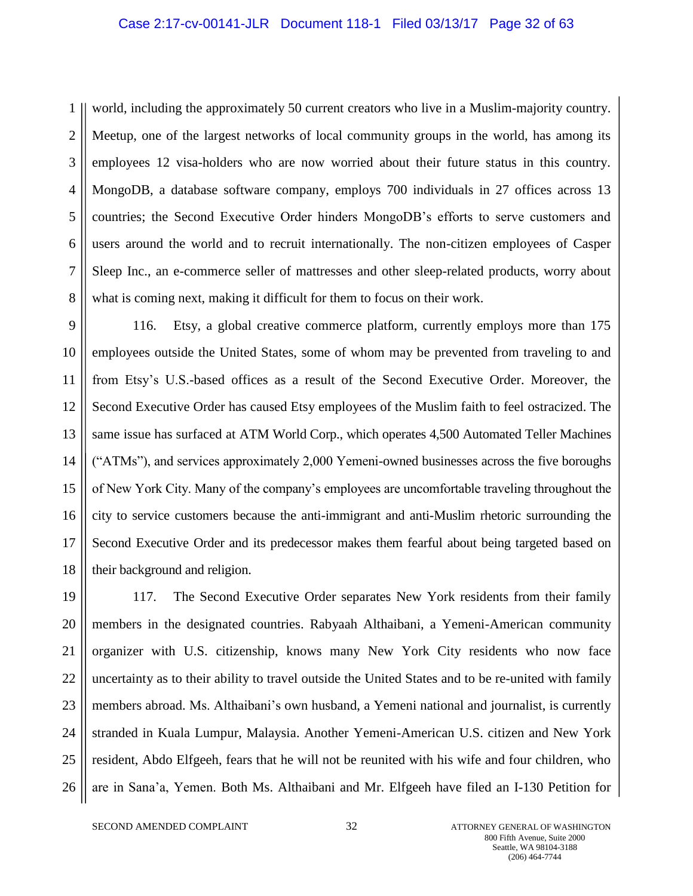#### Case 2:17-cv-00141-JLR Document 118-1 Filed 03/13/17 Page 32 of 63

1 2 3 4 5 6 7 8 world, including the approximately 50 current creators who live in a Muslim-majority country. Meetup, one of the largest networks of local community groups in the world, has among its employees 12 visa-holders who are now worried about their future status in this country. MongoDB, a database software company, employs 700 individuals in 27 offices across 13 countries; the Second Executive Order hinders MongoDB's efforts to serve customers and users around the world and to recruit internationally. The non-citizen employees of Casper Sleep Inc., an e-commerce seller of mattresses and other sleep-related products, worry about what is coming next, making it difficult for them to focus on their work.

9 10 11 12 13 14 15 16 17 18 116. Etsy, a global creative commerce platform, currently employs more than 175 employees outside the United States, some of whom may be prevented from traveling to and from Etsy's U.S.-based offices as a result of the Second Executive Order. Moreover, the Second Executive Order has caused Etsy employees of the Muslim faith to feel ostracized. The same issue has surfaced at ATM World Corp., which operates 4,500 Automated Teller Machines ("ATMs"), and services approximately 2,000 Yemeni-owned businesses across the five boroughs of New York City. Many of the company's employees are uncomfortable traveling throughout the city to service customers because the anti-immigrant and anti-Muslim rhetoric surrounding the Second Executive Order and its predecessor makes them fearful about being targeted based on their background and religion.

19 20 21 22 23 24 25 26 117. The Second Executive Order separates New York residents from their family members in the designated countries. Rabyaah Althaibani, a Yemeni-American community organizer with U.S. citizenship, knows many New York City residents who now face uncertainty as to their ability to travel outside the United States and to be re-united with family members abroad. Ms. Althaibani's own husband, a Yemeni national and journalist, is currently stranded in Kuala Lumpur, Malaysia. Another Yemeni-American U.S. citizen and New York resident, Abdo Elfgeeh, fears that he will not be reunited with his wife and four children, who are in Sana'a, Yemen. Both Ms. Althaibani and Mr. Elfgeeh have filed an I-130 Petition for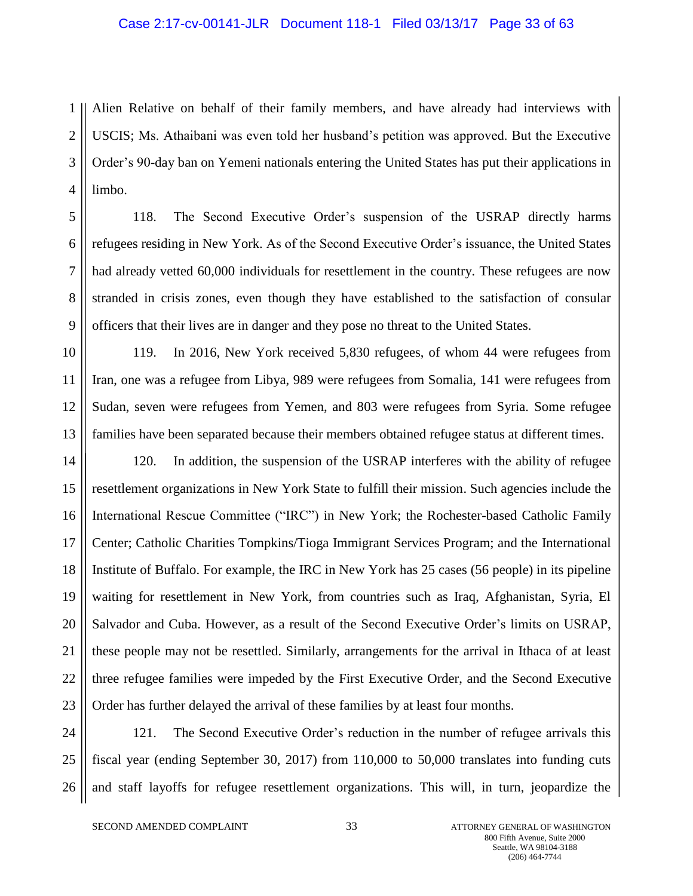#### Case 2:17-cv-00141-JLR Document 118-1 Filed 03/13/17 Page 33 of 63

1 2 3 4 Alien Relative on behalf of their family members, and have already had interviews with USCIS; Ms. Athaibani was even told her husband's petition was approved. But the Executive Order's 90-day ban on Yemeni nationals entering the United States has put their applications in limbo.

5 6 7 8 9 118. The Second Executive Order's suspension of the USRAP directly harms refugees residing in New York. As of the Second Executive Order's issuance, the United States had already vetted 60,000 individuals for resettlement in the country. These refugees are now stranded in crisis zones, even though they have established to the satisfaction of consular officers that their lives are in danger and they pose no threat to the United States.

10 11 12 13 119. In 2016, New York received 5,830 refugees, of whom 44 were refugees from Iran, one was a refugee from Libya, 989 were refugees from Somalia, 141 were refugees from Sudan, seven were refugees from Yemen, and 803 were refugees from Syria. Some refugee families have been separated because their members obtained refugee status at different times.

14 15 16 17 18 19 20 21 22 23 120. In addition, the suspension of the USRAP interferes with the ability of refugee resettlement organizations in New York State to fulfill their mission. Such agencies include the International Rescue Committee ("IRC") in New York; the Rochester-based Catholic Family Center; Catholic Charities Tompkins/Tioga Immigrant Services Program; and the International Institute of Buffalo. For example, the IRC in New York has 25 cases (56 people) in its pipeline waiting for resettlement in New York, from countries such as Iraq, Afghanistan, Syria, El Salvador and Cuba. However, as a result of the Second Executive Order's limits on USRAP, these people may not be resettled. Similarly, arrangements for the arrival in Ithaca of at least three refugee families were impeded by the First Executive Order, and the Second Executive Order has further delayed the arrival of these families by at least four months.

24 25 26 121. The Second Executive Order's reduction in the number of refugee arrivals this fiscal year (ending September 30, 2017) from 110,000 to 50,000 translates into funding cuts and staff layoffs for refugee resettlement organizations. This will, in turn, jeopardize the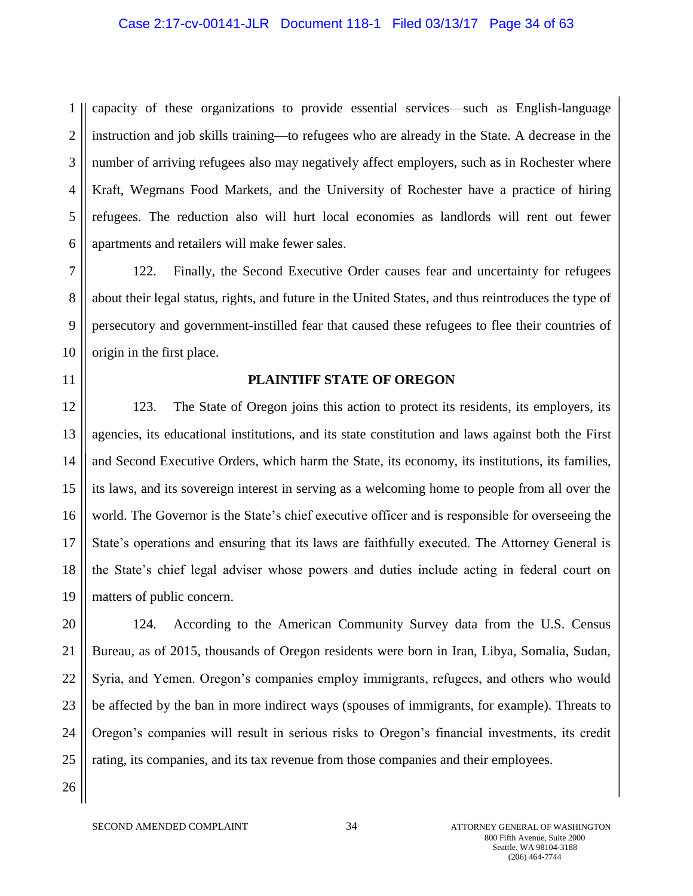#### Case 2:17-cv-00141-JLR Document 118-1 Filed 03/13/17 Page 34 of 63

1 2 3 4 5 6 capacity of these organizations to provide essential services—such as English-language instruction and job skills training—to refugees who are already in the State. A decrease in the number of arriving refugees also may negatively affect employers, such as in Rochester where Kraft, Wegmans Food Markets, and the University of Rochester have a practice of hiring refugees. The reduction also will hurt local economies as landlords will rent out fewer apartments and retailers will make fewer sales.

7 8 9 10 122. Finally, the Second Executive Order causes fear and uncertainty for refugees about their legal status, rights, and future in the United States, and thus reintroduces the type of persecutory and government-instilled fear that caused these refugees to flee their countries of origin in the first place.

11

# **PLAINTIFF STATE OF OREGON**

12 13 14 15 16 17 18 19 123. The State of Oregon joins this action to protect its residents, its employers, its agencies, its educational institutions, and its state constitution and laws against both the First and Second Executive Orders, which harm the State, its economy, its institutions, its families, its laws, and its sovereign interest in serving as a welcoming home to people from all over the world. The Governor is the State's chief executive officer and is responsible for overseeing the State's operations and ensuring that its laws are faithfully executed. The Attorney General is the State's chief legal adviser whose powers and duties include acting in federal court on matters of public concern.

20 21 22 23 24 25 124. According to the American Community Survey data from the U.S. Census Bureau, as of 2015, thousands of Oregon residents were born in Iran, Libya, Somalia, Sudan, Syria, and Yemen. Oregon's companies employ immigrants, refugees, and others who would be affected by the ban in more indirect ways (spouses of immigrants, for example). Threats to Oregon's companies will result in serious risks to Oregon's financial investments, its credit rating, its companies, and its tax revenue from those companies and their employees.

26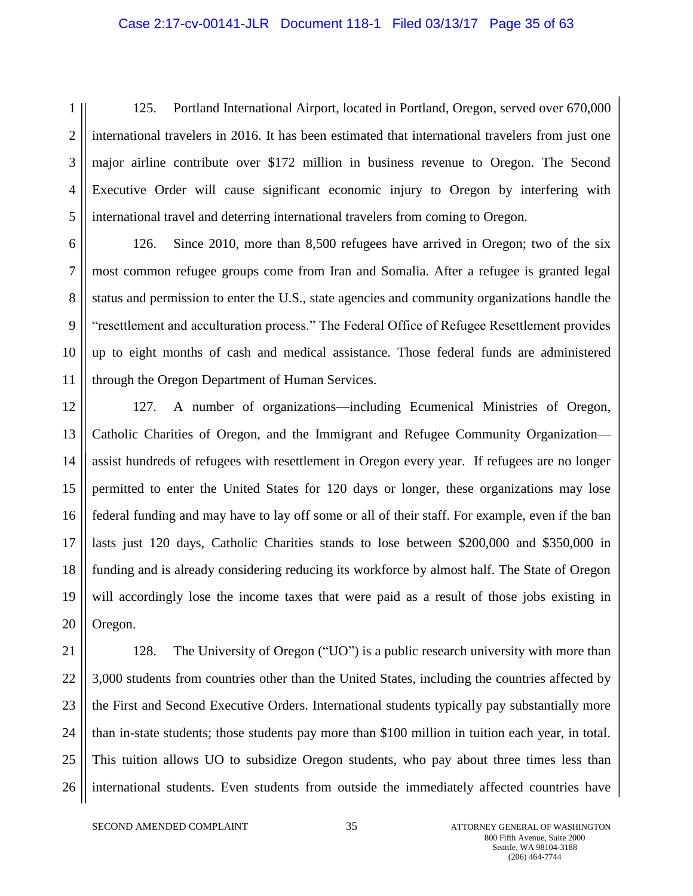#### Case 2:17-cv-00141-JLR Document 118-1 Filed 03/13/17 Page 35 of 63

1 2 3 4 5 125. Portland International Airport, located in Portland, Oregon, served over 670,000 international travelers in 2016. It has been estimated that international travelers from just one major airline contribute over \$172 million in business revenue to Oregon. The Second Executive Order will cause significant economic injury to Oregon by interfering with international travel and deterring international travelers from coming to Oregon.

6 7 8 9 10 11 126. Since 2010, more than 8,500 refugees have arrived in Oregon; two of the six most common refugee groups come from Iran and Somalia. After a refugee is granted legal status and permission to enter the U.S., state agencies and community organizations handle the "resettlement and acculturation process." The Federal Office of Refugee Resettlement provides up to eight months of cash and medical assistance. Those federal funds are administered through the Oregon Department of Human Services.

12 13 14 15 16 17 18 19 20 127. A number of organizations—including Ecumenical Ministries of Oregon, Catholic Charities of Oregon, and the Immigrant and Refugee Community Organization assist hundreds of refugees with resettlement in Oregon every year. If refugees are no longer permitted to enter the United States for 120 days or longer, these organizations may lose federal funding and may have to lay off some or all of their staff. For example, even if the ban lasts just 120 days, Catholic Charities stands to lose between \$200,000 and \$350,000 in funding and is already considering reducing its workforce by almost half. The State of Oregon will accordingly lose the income taxes that were paid as a result of those jobs existing in Oregon.

21 22 23 24 25 26 128. The University of Oregon ("UO") is a public research university with more than 3,000 students from countries other than the United States, including the countries affected by the First and Second Executive Orders. International students typically pay substantially more than in-state students; those students pay more than \$100 million in tuition each year, in total. This tuition allows UO to subsidize Oregon students, who pay about three times less than international students. Even students from outside the immediately affected countries have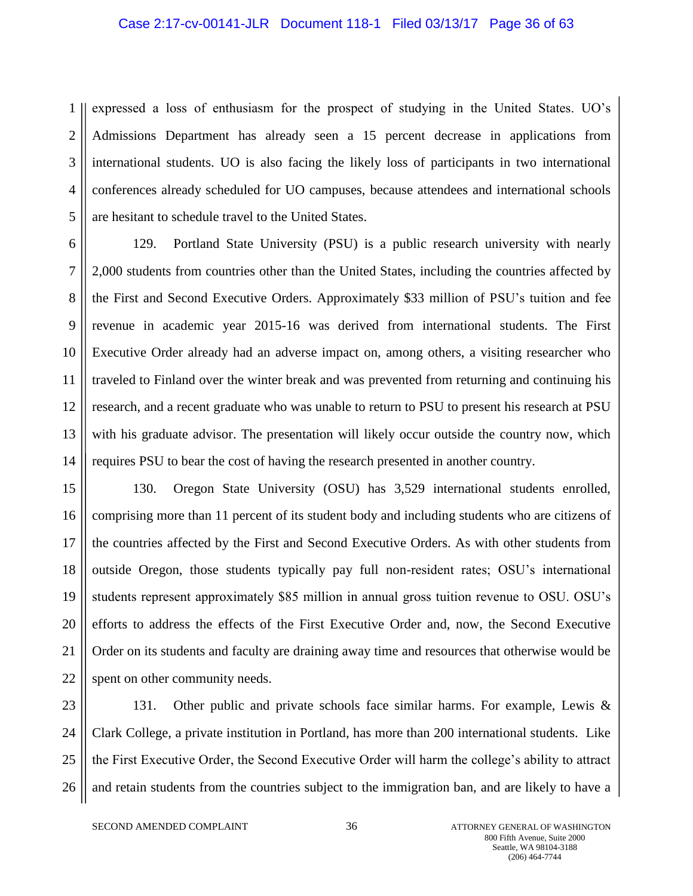#### Case 2:17-cv-00141-JLR Document 118-1 Filed 03/13/17 Page 36 of 63

1 2 3 4 5 expressed a loss of enthusiasm for the prospect of studying in the United States. UO's Admissions Department has already seen a 15 percent decrease in applications from international students. UO is also facing the likely loss of participants in two international conferences already scheduled for UO campuses, because attendees and international schools are hesitant to schedule travel to the United States.

6 7 8 9 10 11 12 13 14 129. Portland State University (PSU) is a public research university with nearly 2,000 students from countries other than the United States, including the countries affected by the First and Second Executive Orders. Approximately \$33 million of PSU's tuition and fee revenue in academic year 2015-16 was derived from international students. The First Executive Order already had an adverse impact on, among others, a visiting researcher who traveled to Finland over the winter break and was prevented from returning and continuing his research, and a recent graduate who was unable to return to PSU to present his research at PSU with his graduate advisor. The presentation will likely occur outside the country now, which requires PSU to bear the cost of having the research presented in another country.

15 16 17 18 19 20 21 22 130. Oregon State University (OSU) has 3,529 international students enrolled, comprising more than 11 percent of its student body and including students who are citizens of the countries affected by the First and Second Executive Orders. As with other students from outside Oregon, those students typically pay full non-resident rates; OSU's international students represent approximately \$85 million in annual gross tuition revenue to OSU. OSU's efforts to address the effects of the First Executive Order and, now, the Second Executive Order on its students and faculty are draining away time and resources that otherwise would be spent on other community needs.

23 24 25 26 131. Other public and private schools face similar harms. For example, Lewis & Clark College, a private institution in Portland, has more than 200 international students. Like the First Executive Order, the Second Executive Order will harm the college's ability to attract and retain students from the countries subject to the immigration ban, and are likely to have a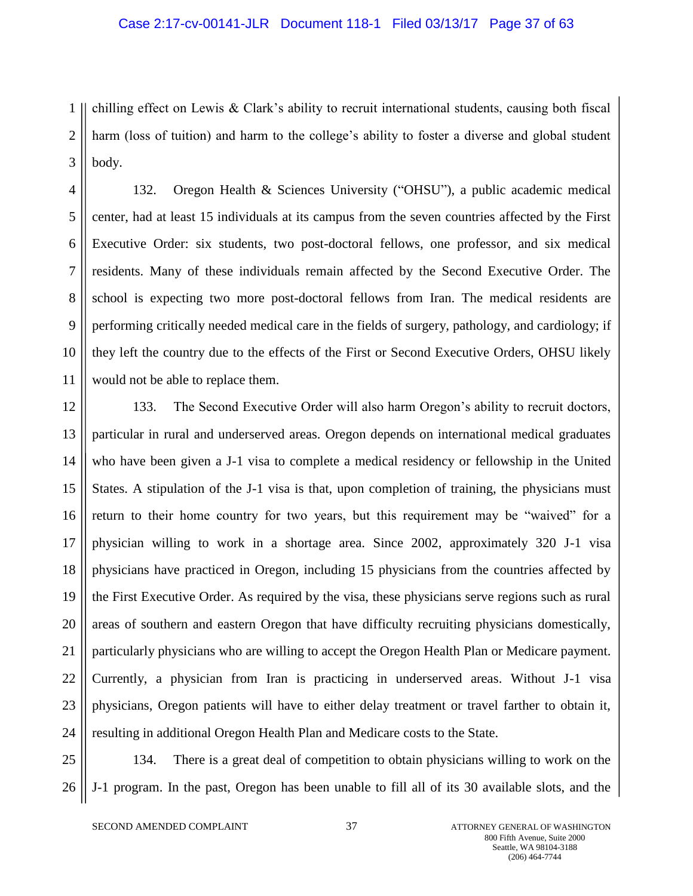#### Case 2:17-cv-00141-JLR Document 118-1 Filed 03/13/17 Page 37 of 63

1 2 3 chilling effect on Lewis & Clark's ability to recruit international students, causing both fiscal harm (loss of tuition) and harm to the college's ability to foster a diverse and global student body.

4 5 6 7 8 9 10 11 132. Oregon Health & Sciences University ("OHSU"), a public academic medical center, had at least 15 individuals at its campus from the seven countries affected by the First Executive Order: six students, two post-doctoral fellows, one professor, and six medical residents. Many of these individuals remain affected by the Second Executive Order. The school is expecting two more post-doctoral fellows from Iran. The medical residents are performing critically needed medical care in the fields of surgery, pathology, and cardiology; if they left the country due to the effects of the First or Second Executive Orders, OHSU likely would not be able to replace them.

12 13 14 15 16 17 18 19 20 21 22 23 24 133. The Second Executive Order will also harm Oregon's ability to recruit doctors, particular in rural and underserved areas. Oregon depends on international medical graduates who have been given a J-1 visa to complete a medical residency or fellowship in the United States. A stipulation of the J-1 visa is that, upon completion of training, the physicians must return to their home country for two years, but this requirement may be "waived" for a physician willing to work in a shortage area. Since 2002, approximately 320 J-1 visa physicians have practiced in Oregon, including 15 physicians from the countries affected by the First Executive Order. As required by the visa, these physicians serve regions such as rural areas of southern and eastern Oregon that have difficulty recruiting physicians domestically, particularly physicians who are willing to accept the Oregon Health Plan or Medicare payment. Currently, a physician from Iran is practicing in underserved areas. Without J-1 visa physicians, Oregon patients will have to either delay treatment or travel farther to obtain it, resulting in additional Oregon Health Plan and Medicare costs to the State.

25 26 134. There is a great deal of competition to obtain physicians willing to work on the J-1 program. In the past, Oregon has been unable to fill all of its 30 available slots, and the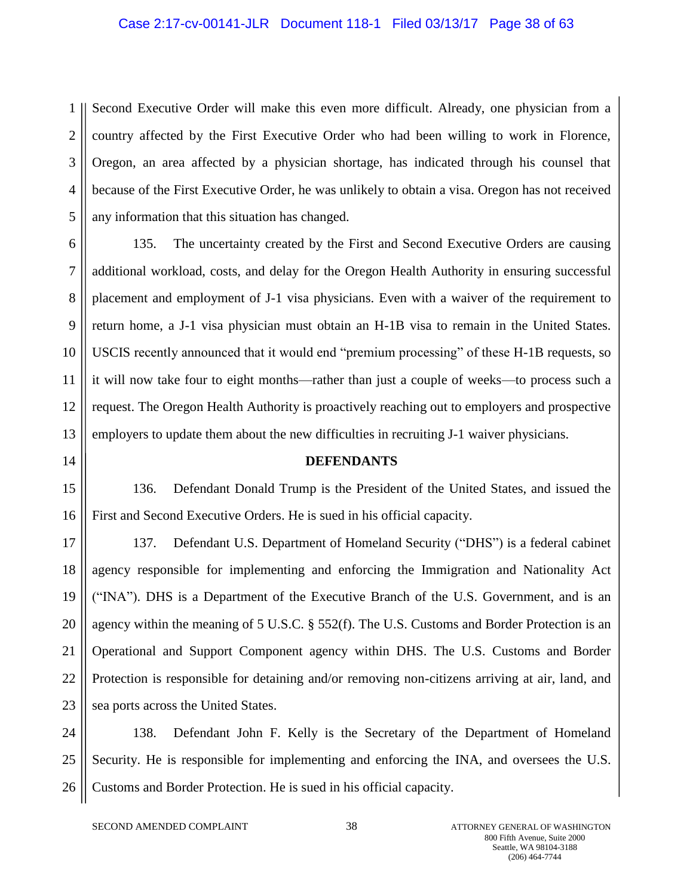#### Case 2:17-cv-00141-JLR Document 118-1 Filed 03/13/17 Page 38 of 63

1 2 3 4 5 Second Executive Order will make this even more difficult. Already, one physician from a country affected by the First Executive Order who had been willing to work in Florence, Oregon, an area affected by a physician shortage, has indicated through his counsel that because of the First Executive Order, he was unlikely to obtain a visa. Oregon has not received any information that this situation has changed.

6 7 8 9 10 11 12 13 135. The uncertainty created by the First and Second Executive Orders are causing additional workload, costs, and delay for the Oregon Health Authority in ensuring successful placement and employment of J-1 visa physicians. Even with a waiver of the requirement to return home, a J-1 visa physician must obtain an H-1B visa to remain in the United States. USCIS recently announced that it would end "premium processing" of these H-1B requests, so it will now take four to eight months—rather than just a couple of weeks—to process such a request. The Oregon Health Authority is proactively reaching out to employers and prospective employers to update them about the new difficulties in recruiting J-1 waiver physicians.

14

#### **DEFENDANTS**

15 16 136. Defendant Donald Trump is the President of the United States, and issued the First and Second Executive Orders. He is sued in his official capacity.

17 18 19 20 21 22 23 137. Defendant U.S. Department of Homeland Security ("DHS") is a federal cabinet agency responsible for implementing and enforcing the Immigration and Nationality Act ("INA"). DHS is a Department of the Executive Branch of the U.S. Government, and is an agency within the meaning of 5 U.S.C. § 552(f). The U.S. Customs and Border Protection is an Operational and Support Component agency within DHS. The U.S. Customs and Border Protection is responsible for detaining and/or removing non-citizens arriving at air, land, and sea ports across the United States.

24 25 26 138. Defendant John F. Kelly is the Secretary of the Department of Homeland Security. He is responsible for implementing and enforcing the INA, and oversees the U.S. Customs and Border Protection. He is sued in his official capacity.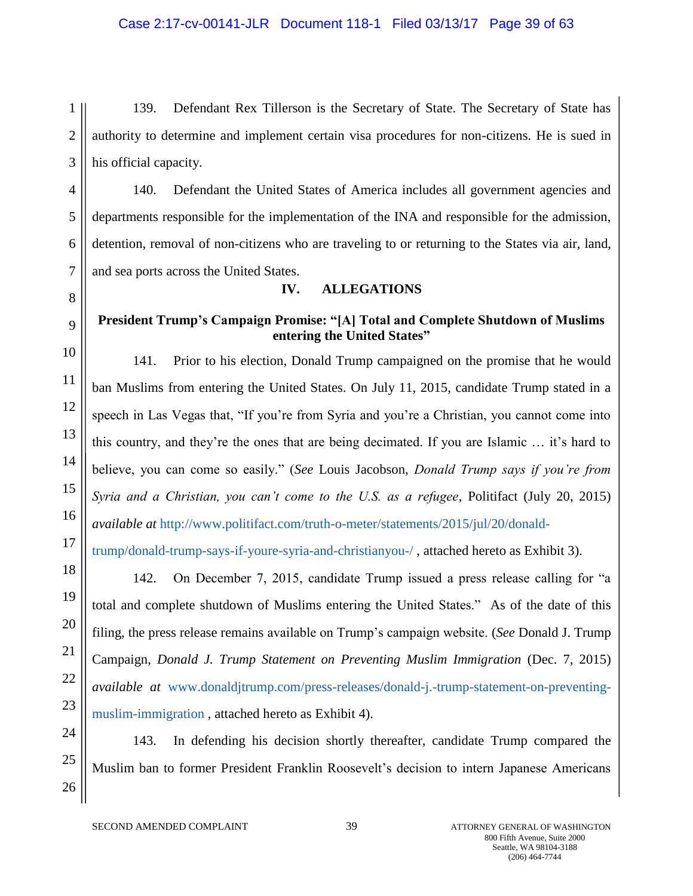# Case 2:17-cv-00141-JLR Document 118-1 Filed 03/13/17 Page 39 of 63

1 2 3 139. Defendant Rex Tillerson is the Secretary of State. The Secretary of State has authority to determine and implement certain visa procedures for non-citizens. He is sued in his official capacity.

4 5 6 7 140. Defendant the United States of America includes all government agencies and departments responsible for the implementation of the INA and responsible for the admission, detention, removal of non-citizens who are traveling to or returning to the States via air, land, and sea ports across the United States.

8

# 9

10

11

12

13

14

15

16

17

18

19

20

21

22

23

26

#### **President Trump's Campaign Promise: "[A] Total and Complete Shutdown of Muslims entering the United States"**

**IV. ALLEGATIONS**

141. Prior to his election, Donald Trump campaigned on the promise that he would ban Muslims from entering the United States. On July 11, 2015, candidate Trump stated in a speech in Las Vegas that, "If you're from Syria and you're a Christian, you cannot come into this country, and they're the ones that are being decimated. If you are Islamic … it's hard to believe, you can come so easily." (*See* Louis Jacobson, *Donald Trump says if you're from Syria and a Christian, you can't come to the U.S. as a refugee*, Politifact (July 20, 2015) *available at* [http://www.politifact.com/truth-o-meter/statements/2015/jul/20/donald-](http://www.politifact.com/truth-o-meter/statements/2015/jul/20/donald-trump/donald-trump-says-if-youre-syria-and-christianyou-/)

[trump/donald-trump-says-if-youre-syria-and-christianyou-/](http://www.politifact.com/truth-o-meter/statements/2015/jul/20/donald-trump/donald-trump-says-if-youre-syria-and-christianyou-/) , attached hereto as Exhibit 3).

142. On December 7, 2015, candidate Trump issued a press release calling for "a total and complete shutdown of Muslims entering the United States." As of the date of this filing, the press release remains available on Trump's campaign website. (*See* Donald J. Trump Campaign, *Donald J. Trump Statement on Preventing Muslim Immigration* (Dec. 7, 2015) *available at* [www.donaldjtrump.com/press-releases/donald-j.-trump-statement-on-preventing](http://www.donaldjtrump.com/press-releases/donald-j.-trump-statement-on-preventing-muslim-immigration)[muslim-immigration](http://www.donaldjtrump.com/press-releases/donald-j.-trump-statement-on-preventing-muslim-immigration) , attached hereto as Exhibit 4).

24 25

143. In defending his decision shortly thereafter, candidate Trump compared the Muslim ban to former President Franklin Roosevelt's decision to intern Japanese Americans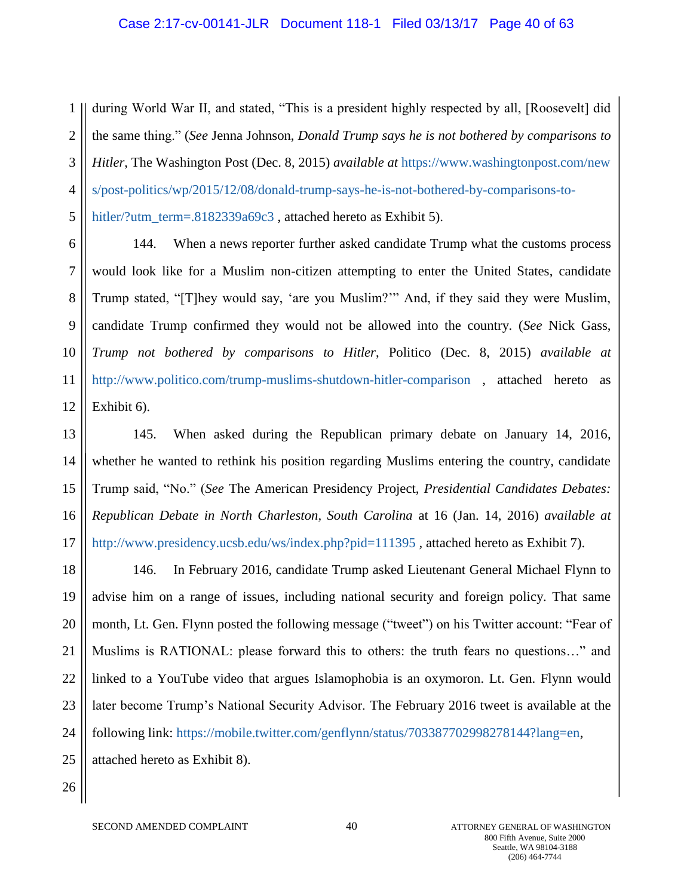#### Case 2:17-cv-00141-JLR Document 118-1 Filed 03/13/17 Page 40 of 63

1 2 3 4 5 during World War II, and stated, "This is a president highly respected by all, [Roosevelt] did the same thing." (*See* Jenna Johnson, *Donald Trump says he is not bothered by comparisons to Hitler*, The Washington Post (Dec. 8, 2015) *available at* [https://www.washingtonpost.com/new](https://www.washingtonpost.com/news/post-politics/wp/2015/12/08/donald-trump-says-he-is-not-bothered-by-comparisons-to-hitler/?utm_term=.8182339a69c3) [s/post-politics/wp/2015/12/08/donald-trump-says-he-is-not-bothered-by-comparisons-to](https://www.washingtonpost.com/news/post-politics/wp/2015/12/08/donald-trump-says-he-is-not-bothered-by-comparisons-to-hitler/?utm_term=.8182339a69c3)[hitler/?utm\\_term=.8182339a69c3](https://www.washingtonpost.com/news/post-politics/wp/2015/12/08/donald-trump-says-he-is-not-bothered-by-comparisons-to-hitler/?utm_term=.8182339a69c3), attached hereto as Exhibit 5).

6 7 8 9 10 11 12 144. When a news reporter further asked candidate Trump what the customs process would look like for a Muslim non-citizen attempting to enter the United States, candidate Trump stated, "[T]hey would say, 'are you Muslim?'" And, if they said they were Muslim, candidate Trump confirmed they would not be allowed into the country. (*See* Nick Gass, *Trump not bothered by comparisons to Hitler*, Politico (Dec. 8, 2015) *available at*  <http://www.politico.com/trump-muslims-shutdown-hitler-comparison> , attached hereto as Exhibit 6).

13 14 15 16 17 145. When asked during the Republican primary debate on January 14, 2016, whether he wanted to rethink his position regarding Muslims entering the country, candidate Trump said, "No." (*See* The American Presidency Project, *Presidential Candidates Debates: Republican Debate in North Charleston, South Carolina* at 16 (Jan. 14, 2016) *available at*  <http://www.presidency.ucsb.edu/ws/index.php?pid=111395>, attached hereto as Exhibit 7).

18 19 20 21 22 23 24 25 146. In February 2016, candidate Trump asked Lieutenant General Michael Flynn to advise him on a range of issues, including national security and foreign policy. That same month, Lt. Gen. Flynn posted the following message ("tweet") on his Twitter account: "Fear of Muslims is RATIONAL: please forward this to others: the truth fears no questions…" and linked to a YouTube video that argues Islamophobia is an oxymoron. Lt. Gen. Flynn would later become Trump's National Security Advisor. The February 2016 tweet is available at the following link: [https://mobile.twitter.com/genflynn/status/703387702998278144?lang=en,](https://mobile.twitter.com/genflynn/status/703387702998278144?lang=en) attached hereto as Exhibit 8).

26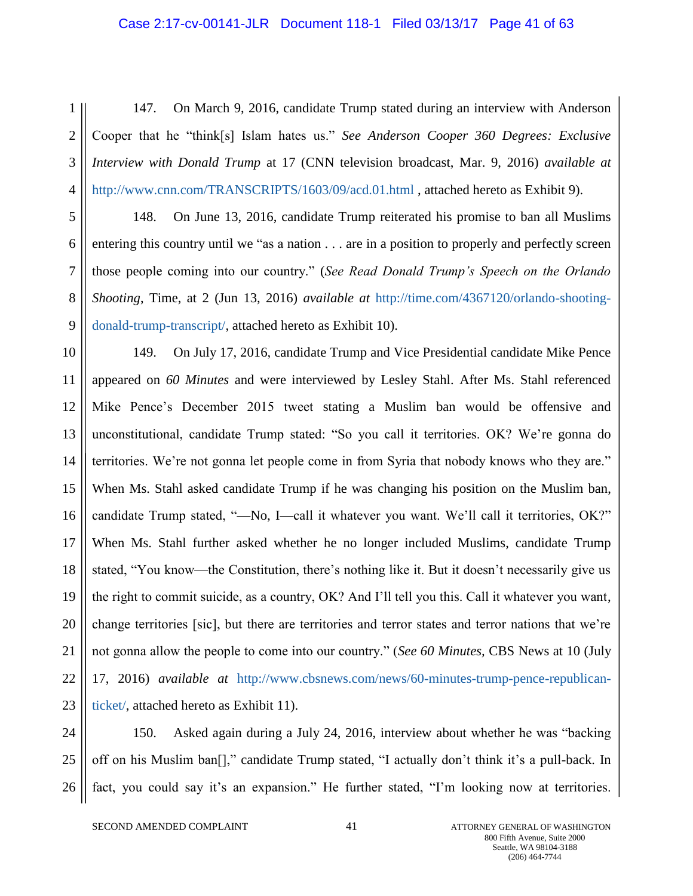#### Case 2:17-cv-00141-JLR Document 118-1 Filed 03/13/17 Page 41 of 63

1 2 3 4 147. On March 9, 2016, candidate Trump stated during an interview with Anderson Cooper that he "think[s] Islam hates us." *See Anderson Cooper 360 Degrees: Exclusive Interview with Donald Trump* at 17 (CNN television broadcast, Mar. 9, 2016) *available at*  <http://www.cnn.com/TRANSCRIPTS/1603/09/acd.01.html> , attached hereto as Exhibit 9).

5 6 7 8 9 148. On June 13, 2016, candidate Trump reiterated his promise to ban all Muslims entering this country until we "as a nation . . . are in a position to properly and perfectly screen those people coming into our country." (*See Read Donald Trump's Speech on the Orlando Shooting*, Time, at 2 (Jun 13, 2016) *available at* [http://time.com/4367120/orlando-shooting](http://time.com/4367120/orlando-shooting-donald-trump-transcript/)[donald-trump-transcript/,](http://time.com/4367120/orlando-shooting-donald-trump-transcript/) attached hereto as Exhibit 10).

10 11 12 13 14 15 16 17 18 19 20 21 22 23 149. On July 17, 2016, candidate Trump and Vice Presidential candidate Mike Pence appeared on *60 Minutes* and were interviewed by Lesley Stahl. After Ms. Stahl referenced Mike Pence's December 2015 tweet stating a Muslim ban would be offensive and unconstitutional, candidate Trump stated: "So you call it territories. OK? We're gonna do territories. We're not gonna let people come in from Syria that nobody knows who they are." When Ms. Stahl asked candidate Trump if he was changing his position on the Muslim ban, candidate Trump stated, "—No, I—call it whatever you want. We'll call it territories, OK?" When Ms. Stahl further asked whether he no longer included Muslims, candidate Trump stated, "You know—the Constitution, there's nothing like it. But it doesn't necessarily give us the right to commit suicide, as a country, OK? And I'll tell you this. Call it whatever you want, change territories [sic], but there are territories and terror states and terror nations that we're not gonna allow the people to come into our country." (*See 60 Minutes,* CBS News at 10 (July 17, 2016) *available at* [http://www.cbsnews.com/news/60-minutes-trump-pence-republican](http://www.cbsnews.com/news/60-minutes-trump-pence-republican-ticket/)[ticket/,](http://www.cbsnews.com/news/60-minutes-trump-pence-republican-ticket/) attached hereto as Exhibit 11).

24 25 26 150. Asked again during a July 24, 2016, interview about whether he was "backing off on his Muslim ban[]," candidate Trump stated, "I actually don't think it's a pull-back. In fact, you could say it's an expansion." He further stated, "I'm looking now at territories.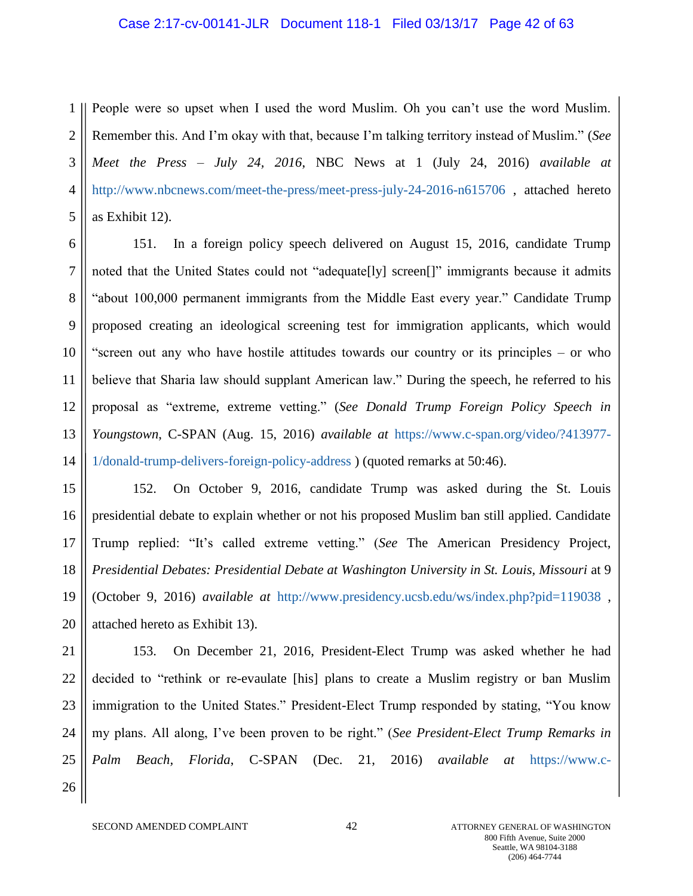#### Case 2:17-cv-00141-JLR Document 118-1 Filed 03/13/17 Page 42 of 63

1 2 3 4 5 People were so upset when I used the word Muslim. Oh you can't use the word Muslim. Remember this. And I'm okay with that, because I'm talking territory instead of Muslim." (*See Meet the Press – July 24, 2016*, NBC News at 1 (July 24, 2016) *available at*  <http://www.nbcnews.com/meet-the-press/meet-press-july-24-2016-n615706> , attached hereto as Exhibit 12).

6 7 8 9 10 11 12 13 14 151. In a foreign policy speech delivered on August 15, 2016, candidate Trump noted that the United States could not "adequate<sup>[]</sup>y] screen<sup>[]"</sup> immigrants because it admits "about 100,000 permanent immigrants from the Middle East every year." Candidate Trump proposed creating an ideological screening test for immigration applicants, which would "screen out any who have hostile attitudes towards our country or its principles – or who believe that Sharia law should supplant American law." During the speech, he referred to his proposal as "extreme, extreme vetting." (*See Donald Trump Foreign Policy Speech in Youngstown*, C-SPAN (Aug. 15, 2016) *available at* [https://www.c-span.org/video/?413977-](https://www.c-span.org/video/?413977-1/donald-trump-delivers-foreign-policy-address) [1/donald-trump-delivers-foreign-policy-address](https://www.c-span.org/video/?413977-1/donald-trump-delivers-foreign-policy-address) ) (quoted remarks at 50:46).

15 16 17 18 19 20 152. On October 9, 2016, candidate Trump was asked during the St. Louis presidential debate to explain whether or not his proposed Muslim ban still applied. Candidate Trump replied: "It's called extreme vetting." (*See* The American Presidency Project, *Presidential Debates: Presidential Debate at Washington University in St. Louis, Missouri* at 9 (October 9, 2016) *available at* <http://www.presidency.ucsb.edu/ws/index.php?pid=119038> , attached hereto as Exhibit 13).

21 22 23 24 25 26 153. On December 21, 2016, President-Elect Trump was asked whether he had decided to "rethink or re-evaulate [his] plans to create a Muslim registry or ban Muslim immigration to the United States." President-Elect Trump responded by stating, "You know my plans. All along, I've been proven to be right." (*See President-Elect Trump Remarks in Palm Beach, Florida*, C-SPAN (Dec. 21, 2016) *available at* [https://www.c-](https://www.c-span.org/video/?420583-101/presidentelect-trump-speaks-reporters-palm-beach-florida)

SECOND AMENDED COMPLAINT  $42$  attorney general of washington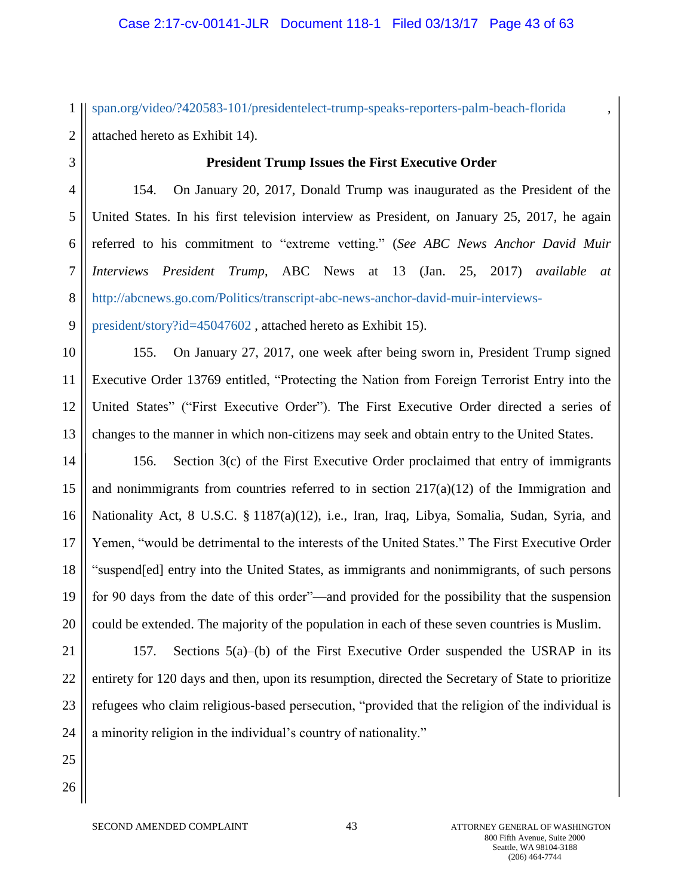1 2 [span.org/video/?420583-101/presidentelect-trump-speaks-reporters-palm-beach-florida](https://www.c-span.org/video/?420583-101/presidentelect-trump-speaks-reporters-palm-beach-florida) , attached hereto as Exhibit 14).

3

#### **President Trump Issues the First Executive Order**

4 5 6 7 8 154. On January 20, 2017, Donald Trump was inaugurated as the President of the United States. In his first television interview as President, on January 25, 2017, he again referred to his commitment to "extreme vetting." (*See ABC News Anchor David Muir Interviews President Trump*, ABC News at 13 (Jan. 25, 2017) *available at*  [http://abcnews.go.com/Politics/transcript-abc-news-anchor-david-muir-interviews-](http://abcnews.go.com/Politics/transcript-abc-news-anchor-david-muir-interviews-president/story?id=45047602)

9 [president/story?id=45047602](http://abcnews.go.com/Politics/transcript-abc-news-anchor-david-muir-interviews-president/story?id=45047602) , attached hereto as Exhibit 15).

10 11 12 13 155. On January 27, 2017, one week after being sworn in, President Trump signed Executive Order 13769 entitled, "Protecting the Nation from Foreign Terrorist Entry into the United States" ("First Executive Order"). The First Executive Order directed a series of changes to the manner in which non-citizens may seek and obtain entry to the United States.

14 15 16 17 18 19 20 156. Section 3(c) of the First Executive Order proclaimed that entry of immigrants and nonimmigrants from countries referred to in section  $217(a)(12)$  of the Immigration and Nationality Act, 8 U.S.C. § 1187(a)(12), i.e., Iran, Iraq, Libya, Somalia, Sudan, Syria, and Yemen, "would be detrimental to the interests of the United States." The First Executive Order "suspend[ed] entry into the United States, as immigrants and nonimmigrants, of such persons for 90 days from the date of this order"—and provided for the possibility that the suspension could be extended. The majority of the population in each of these seven countries is Muslim.

21 22 23 24 157. Sections 5(a)–(b) of the First Executive Order suspended the USRAP in its entirety for 120 days and then, upon its resumption, directed the Secretary of State to prioritize refugees who claim religious-based persecution, "provided that the religion of the individual is a minority religion in the individual's country of nationality."

25 26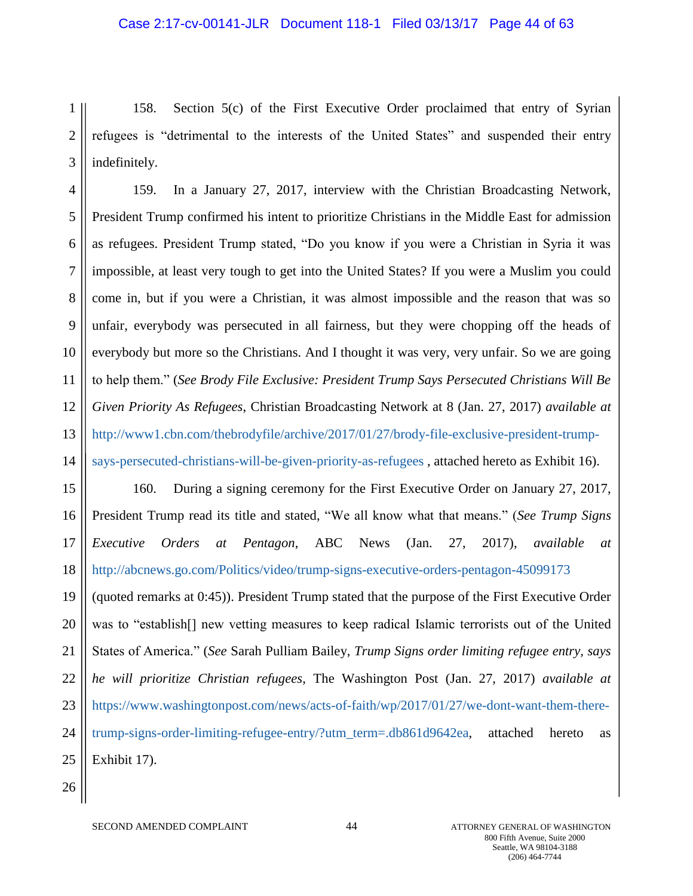#### Case 2:17-cv-00141-JLR Document 118-1 Filed 03/13/17 Page 44 of 63

1 2 3 158. Section 5(c) of the First Executive Order proclaimed that entry of Syrian refugees is "detrimental to the interests of the United States" and suspended their entry indefinitely.

4 5 6 7 8 9 10 11 12 13 14 159. In a January 27, 2017, interview with the Christian Broadcasting Network, President Trump confirmed his intent to prioritize Christians in the Middle East for admission as refugees. President Trump stated, "Do you know if you were a Christian in Syria it was impossible, at least very tough to get into the United States? If you were a Muslim you could come in, but if you were a Christian, it was almost impossible and the reason that was so unfair, everybody was persecuted in all fairness, but they were chopping off the heads of everybody but more so the Christians. And I thought it was very, very unfair. So we are going to help them." (*See Brody File Exclusive: President Trump Says Persecuted Christians Will Be Given Priority As Refugees*, Christian Broadcasting Network at 8 (Jan. 27, 2017) *available at*  [http://www1.cbn.com/thebrodyfile/archive/2017/01/27/brody-file-exclusive-president-trump](http://www1.cbn.com/thebrodyfile/archive/2017/01/27/brody-file-exclusive-president-trump-says-persecuted-christians-will-be-given-priority-as-refugees)[says-persecuted-christians-will-be-given-priority-as-refugees](http://www1.cbn.com/thebrodyfile/archive/2017/01/27/brody-file-exclusive-president-trump-says-persecuted-christians-will-be-given-priority-as-refugees) , attached hereto as Exhibit 16).

15 16 17 18 160. During a signing ceremony for the First Executive Order on January 27, 2017, President Trump read its title and stated, "We all know what that means." (*See Trump Signs Executive Orders at Pentagon*, ABC News (Jan. 27, 2017), *available at* <http://abcnews.go.com/Politics/video/trump-signs-executive-orders-pentagon-45099173>

19 20 21 22 23 24 25 (quoted remarks at 0:45)). President Trump stated that the purpose of the First Executive Order was to "establish[] new vetting measures to keep radical Islamic terrorists out of the United States of America." (*See* Sarah Pulliam Bailey, *Trump Signs order limiting refugee entry, says he will prioritize Christian refugees*, The Washington Post (Jan. 27, 2017) *available at*  [https://www.washingtonpost.com/news/acts-of-faith/wp/2017/01/27/we-dont-want-them-there](https://www.washingtonpost.com/news/acts-of-faith/wp/2017/01/27/we-dont-want-them-there-trump-signs-order-limiting-refugee-entry/?utm_term=.db861d9642ea)[trump-signs-order-limiting-refugee-entry/?utm\\_term=.db861d9642ea,](https://www.washingtonpost.com/news/acts-of-faith/wp/2017/01/27/we-dont-want-them-there-trump-signs-order-limiting-refugee-entry/?utm_term=.db861d9642ea) attached hereto as Exhibit 17).

26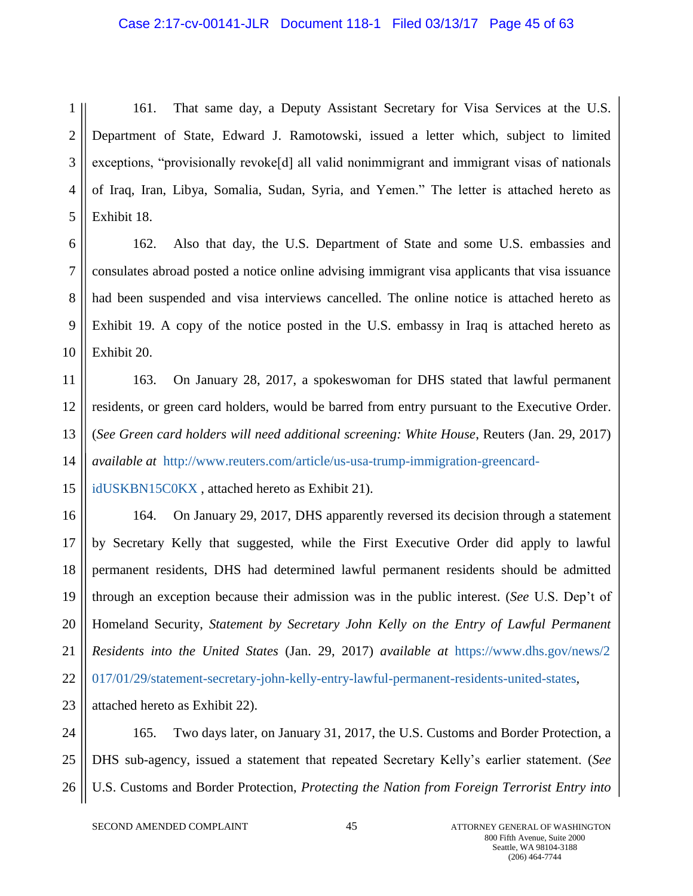#### Case 2:17-cv-00141-JLR Document 118-1 Filed 03/13/17 Page 45 of 63

1 2 3 4 5 161. That same day, a Deputy Assistant Secretary for Visa Services at the U.S. Department of State, Edward J. Ramotowski, issued a letter which, subject to limited exceptions, "provisionally revoke[d] all valid nonimmigrant and immigrant visas of nationals of Iraq, Iran, Libya, Somalia, Sudan, Syria, and Yemen." The letter is attached hereto as Exhibit 18.

6 7 8 9 10 162. Also that day, the U.S. Department of State and some U.S. embassies and consulates abroad posted a notice online advising immigrant visa applicants that visa issuance had been suspended and visa interviews cancelled. The online notice is attached hereto as Exhibit 19. A copy of the notice posted in the U.S. embassy in Iraq is attached hereto as Exhibit 20.

11 12 13 14 163. On January 28, 2017, a spokeswoman for DHS stated that lawful permanent residents, or green card holders, would be barred from entry pursuant to the Executive Order. (*See Green card holders will need additional screening: White House*, Reuters (Jan. 29, 2017) *available at* [http://www.reuters.com/article/us-usa-trump-immigration-greencard-](http://www.reuters.com/article/us-usa-trump-immigration-greencard-idUSKBN15C0KX)

15 [idUSKBN15C0KX](http://www.reuters.com/article/us-usa-trump-immigration-greencard-idUSKBN15C0KX) , attached hereto as Exhibit 21).

16 17 18 19 20 21 22 23 164. On January 29, 2017, DHS apparently reversed its decision through a statement by Secretary Kelly that suggested, while the First Executive Order did apply to lawful permanent residents, DHS had determined lawful permanent residents should be admitted through an exception because their admission was in the public interest. (*See* U.S. Dep't of Homeland Security, *Statement by Secretary John Kelly on the Entry of Lawful Permanent Residents into the United States* (Jan. 29, 2017) *available at* [https://www.dhs.gov/news/2](https://www.dhs.gov/news/2017/01/29/statement-secretary-john-kelly-entry-lawful-permanent-residents-united-states) [017/01/29/statement-secretary-john-kelly-entry-lawful-permanent-residents-united-states](https://www.dhs.gov/news/2017/01/29/statement-secretary-john-kelly-entry-lawful-permanent-residents-united-states)*,*  attached hereto as Exhibit 22).

24 25 26 165. Two days later, on January 31, 2017, the U.S. Customs and Border Protection, a DHS sub-agency, issued a statement that repeated Secretary Kelly's earlier statement. (*See*  U.S. Customs and Border Protection, *Protecting the Nation from Foreign Terrorist Entry into* 

SECOND AMENDED COMPLAINT 45 45 ATTORNEY GENERAL OF WASHINGTON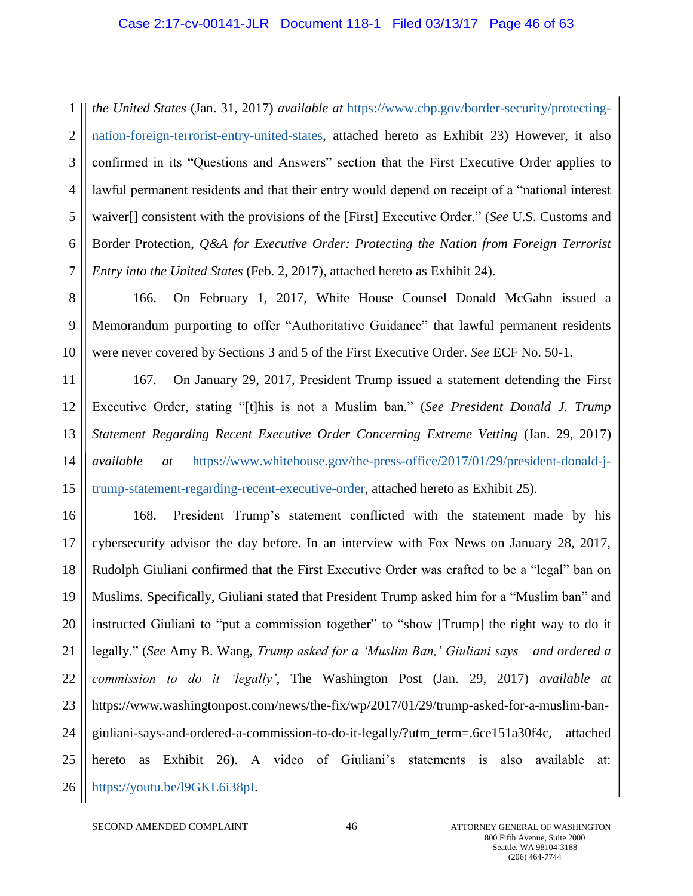1 2 3 4 5 6 7 *the United States* (Jan. 31, 2017) *available at* [https://www.cbp.gov/border-security/protecting](https://www.cbp.gov/border-security/protecting-nation-foreign-terrorist-entry-united-states)[nation-foreign-terrorist-entry-united-states,](https://www.cbp.gov/border-security/protecting-nation-foreign-terrorist-entry-united-states) attached hereto as Exhibit 23) However, it also confirmed in its "Questions and Answers" section that the First Executive Order applies to lawful permanent residents and that their entry would depend on receipt of a "national interest waiver[] consistent with the provisions of the [First] Executive Order." (*See* U.S. Customs and Border Protection, *Q&A for Executive Order: Protecting the Nation from Foreign Terrorist Entry into the United States* (Feb. 2, 2017), attached hereto as Exhibit 24).

8 9 10 166. On February 1, 2017, White House Counsel Donald McGahn issued a Memorandum purporting to offer "Authoritative Guidance" that lawful permanent residents were never covered by Sections 3 and 5 of the First Executive Order. *See* ECF No. 50-1.

11 12 13 14 15 167. On January 29, 2017, President Trump issued a statement defending the First Executive Order, stating "[t]his is not a Muslim ban." (*See President Donald J. Trump Statement Regarding Recent Executive Order Concerning Extreme Vetting* (Jan. 29, 2017) *available at* [https://www.whitehouse.gov/the-press-office/2017/01/29/president-donald-j](https://www.whitehouse.gov/the-press-office/2017/01/29/president-donald-j-trump-statement-regarding-recent-executive-order)[trump-statement-regarding-recent-executive-order,](https://www.whitehouse.gov/the-press-office/2017/01/29/president-donald-j-trump-statement-regarding-recent-executive-order) attached hereto as Exhibit 25).

16 17 18 19 20 21 22 23 24 25 26 168. President Trump's statement conflicted with the statement made by his cybersecurity advisor the day before. In an interview with Fox News on January 28, 2017, Rudolph Giuliani confirmed that the First Executive Order was crafted to be a "legal" ban on Muslims. Specifically, Giuliani stated that President Trump asked him for a "Muslim ban" and instructed Giuliani to "put a commission together" to "show [Trump] the right way to do it legally." (*See* Amy B. Wang, *Trump asked for a 'Muslim Ban,' Giuliani says – and ordered a commission to do it 'legally'*, The Washington Post (Jan. 29, 2017) *available at* https://www.washingtonpost.com/news/the-fix/wp/2017/01/29/trump-asked-for-a-muslim-bangiuliani-says-and-ordered-a-commission-to-do-it-legally/?utm\_term=.6ce151a30f4c, attached hereto as Exhibit 26). A video of Giuliani's statements is also available at: [https://youtu.be/l9GKL6i38pI.](https://youtu.be/l9GKL6i38pI)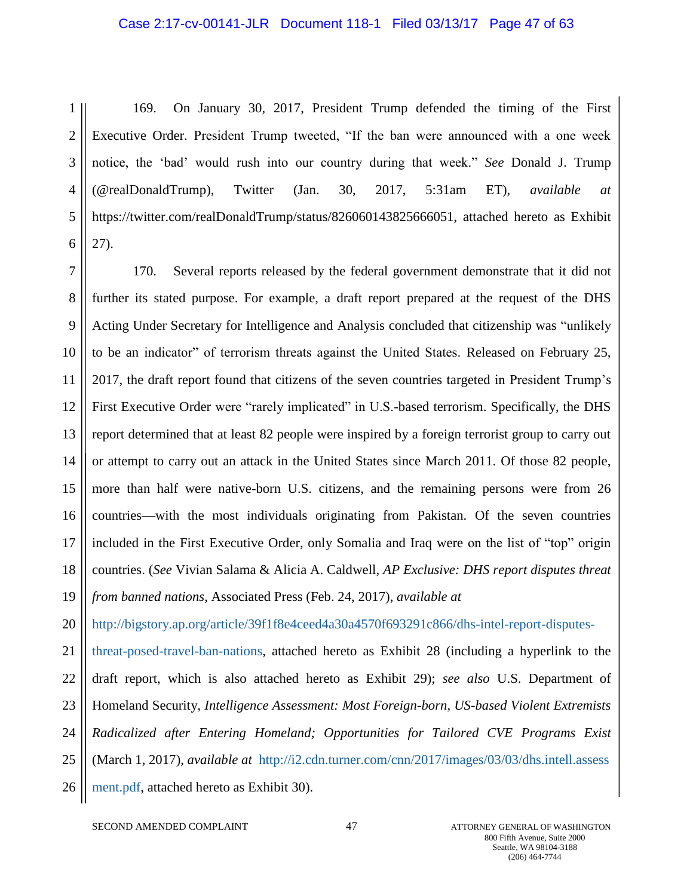#### Case 2:17-cv-00141-JLR Document 118-1 Filed 03/13/17 Page 47 of 63

1 2 3 4 5 6 169. On January 30, 2017, President Trump defended the timing of the First Executive Order. President Trump tweeted, "If the ban were announced with a one week notice, the 'bad' would rush into our country during that week." *See* Donald J. Trump (@realDonaldTrump), Twitter (Jan. 30, 2017, 5:31am ET), *available at* https://twitter.com/realDonaldTrump/status/826060143825666051, attached hereto as Exhibit 27).

7 8 9 10 11 12 13 14 15 16 17 18 19 170. Several reports released by the federal government demonstrate that it did not further its stated purpose. For example, a draft report prepared at the request of the DHS Acting Under Secretary for Intelligence and Analysis concluded that citizenship was "unlikely to be an indicator" of terrorism threats against the United States. Released on February 25, 2017, the draft report found that citizens of the seven countries targeted in President Trump's First Executive Order were "rarely implicated" in U.S.-based terrorism. Specifically, the DHS report determined that at least 82 people were inspired by a foreign terrorist group to carry out or attempt to carry out an attack in the United States since March 2011. Of those 82 people, more than half were native-born U.S. citizens, and the remaining persons were from 26 countries—with the most individuals originating from Pakistan. Of the seven countries included in the First Executive Order, only Somalia and Iraq were on the list of "top" origin countries. (*See* Vivian Salama & Alicia A. Caldwell, *AP Exclusive: DHS report disputes threat from banned nations*, Associated Press (Feb. 24, 2017), *available at* 

20 [http://bigstory.ap.org/article/39f1f8e4ceed4a30a4570f693291c866/dhs-intel-report-disputes-](http://bigstory.ap.org/article/39f1f8e4ceed4a30a4570f693291c866/dhs-intel-report-disputes-threat-posed-travel-ban-nations)

21 22 23 24 25 26 [threat-posed-travel-ban-nations,](http://bigstory.ap.org/article/39f1f8e4ceed4a30a4570f693291c866/dhs-intel-report-disputes-threat-posed-travel-ban-nations) attached hereto as Exhibit 28 (including a hyperlink to the draft report, which is also attached hereto as Exhibit 29); *see also* U.S. Department of Homeland Security, *Intelligence Assessment: Most Foreign-born, US-based Violent Extremists Radicalized after Entering Homeland; Opportunities for Tailored CVE Programs Exist*  (March 1, 2017), *available at* [http://i2.cdn.turner.com/cnn/2017/images/03/03/dhs.intell.assess](i2.cdn.turner.com/cnn/2017/images/03/03/dhs.intell.assessment.pdf) [ment.pdf,](i2.cdn.turner.com/cnn/2017/images/03/03/dhs.intell.assessment.pdf) attached hereto as Exhibit 30).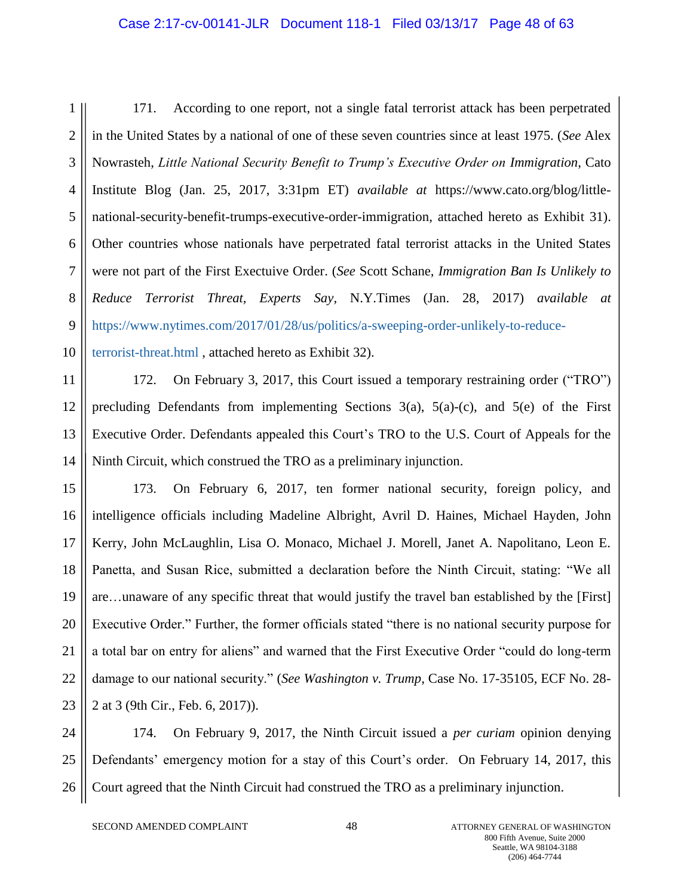### Case 2:17-cv-00141-JLR Document 118-1 Filed 03/13/17 Page 48 of 63

1 2 3 4 5 6 7 8 9 171. According to one report, not a single fatal terrorist attack has been perpetrated in the United States by a national of one of these seven countries since at least 1975. (*See* Alex Nowrasteh, *Little National Security Benefit to Trump's Executive Order on Immigration*, Cato Institute Blog (Jan. 25, 2017, 3:31pm ET) *available at* https://www.cato.org/blog/littlenational-security-benefit-trumps-executive-order-immigration, attached hereto as Exhibit 31). Other countries whose nationals have perpetrated fatal terrorist attacks in the United States were not part of the First Exectuive Order. (*See* Scott Schane, *Immigration Ban Is Unlikely to Reduce Terrorist Threat, Experts Say*, N.Y.Times (Jan. 28, 2017) *available at*  [https://www.nytimes.com/2017/01/28/us/politics/a-sweeping-order-unlikely-to-reduce-](https://www.nytimes.com/2017/01/28/us/politics/a-sweeping-order-unlikely-to-reduce-terrorist-threat.html)

10

[terrorist-threat.html](https://www.nytimes.com/2017/01/28/us/politics/a-sweeping-order-unlikely-to-reduce-terrorist-threat.html) , attached hereto as Exhibit 32).

11 12 13 14 172. On February 3, 2017, this Court issued a temporary restraining order ("TRO") precluding Defendants from implementing Sections  $3(a)$ ,  $5(a)-(c)$ , and  $5(e)$  of the First Executive Order. Defendants appealed this Court's TRO to the U.S. Court of Appeals for the Ninth Circuit, which construed the TRO as a preliminary injunction.

15 16 17 18 19 20 21 22 23 173. On February 6, 2017, ten former national security, foreign policy, and intelligence officials including Madeline Albright, Avril D. Haines, Michael Hayden, John Kerry, John McLaughlin, Lisa O. Monaco, Michael J. Morell, Janet A. Napolitano, Leon E. Panetta, and Susan Rice, submitted a declaration before the Ninth Circuit, stating: "We all are…unaware of any specific threat that would justify the travel ban established by the [First] Executive Order." Further, the former officials stated "there is no national security purpose for a total bar on entry for aliens" and warned that the First Executive Order "could do long-term damage to our national security." (*See Washington v. Trump*, Case No. 17-35105, ECF No. 28- 2 at 3 (9th Cir., Feb. 6, 2017)).

24 25 26 174. On February 9, 2017, the Ninth Circuit issued a *per curiam* opinion denying Defendants' emergency motion for a stay of this Court's order. On February 14, 2017, this Court agreed that the Ninth Circuit had construed the TRO as a preliminary injunction.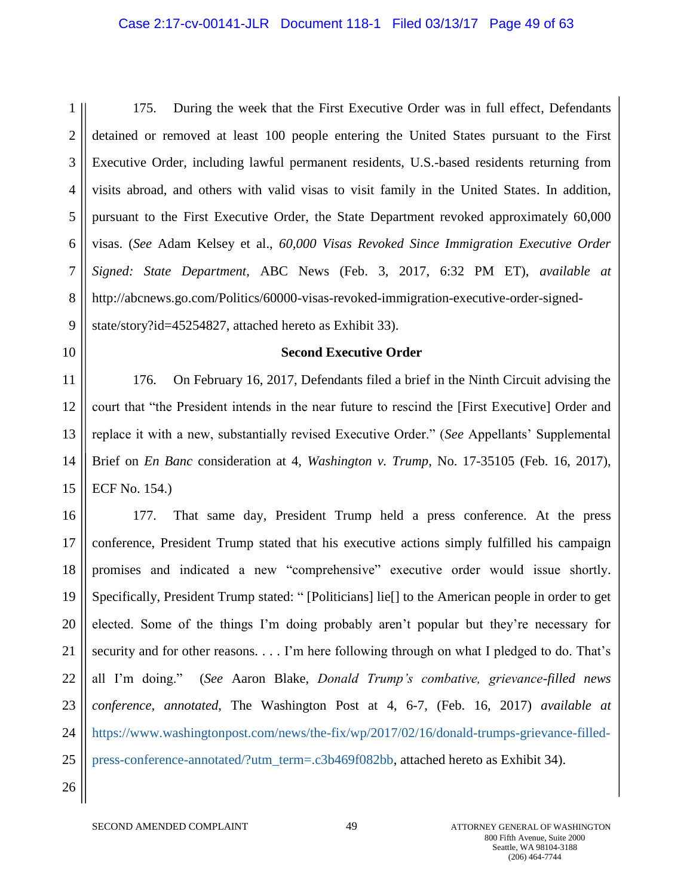#### Case 2:17-cv-00141-JLR Document 118-1 Filed 03/13/17 Page 49 of 63

1 2 3 4 5 6 7 8 9 175. During the week that the First Executive Order was in full effect, Defendants detained or removed at least 100 people entering the United States pursuant to the First Executive Order, including lawful permanent residents, U.S.-based residents returning from visits abroad, and others with valid visas to visit family in the United States. In addition, pursuant to the First Executive Order, the State Department revoked approximately 60,000 visas. (*See* Adam Kelsey et al., *60,000 Visas Revoked Since Immigration Executive Order Signed: State Department*, ABC News (Feb. 3, 2017, 6:32 PM ET), *available at*  http://abcnews.go.com/Politics/60000-visas-revoked-immigration-executive-order-signedstate/story?id=45254827, attached hereto as Exhibit 33).

10

#### **Second Executive Order**

11 12 13 14 15 176. On February 16, 2017, Defendants filed a brief in the Ninth Circuit advising the court that "the President intends in the near future to rescind the [First Executive] Order and replace it with a new, substantially revised Executive Order." (*See* Appellants' Supplemental Brief on *En Banc* consideration at 4, *Washington v. Trump*, No. 17-35105 (Feb. 16, 2017), ECF No. 154.)

16 17 18 19 20 21 22 23 24 25 26 177. That same day, President Trump held a press conference. At the press conference, President Trump stated that his executive actions simply fulfilled his campaign promises and indicated a new "comprehensive" executive order would issue shortly. Specifically, President Trump stated: " [Politicians] lie[] to the American people in order to get elected. Some of the things I'm doing probably aren't popular but they're necessary for security and for other reasons. . . . I'm here following through on what I pledged to do. That's all I'm doing." (*See* Aaron Blake, *Donald Trump's combative, grievance-filled news conference, annotated*, The Washington Post at 4, 6-7, (Feb. 16, 2017) *available at*  [https://www.washingtonpost.com/news/the-fix/wp/2017/02/16/donald-trumps-grievance-filled](https://www.washingtonpost.com/news/the-fix/wp/2017/02/16/donald-trumps-grievance-filled-press-conference-annotated/?utm_term=.c3b469f082bb)[press-conference-annotated/?utm\\_term=.c3b469f082bb,](https://www.washingtonpost.com/news/the-fix/wp/2017/02/16/donald-trumps-grievance-filled-press-conference-annotated/?utm_term=.c3b469f082bb) attached hereto as Exhibit 34).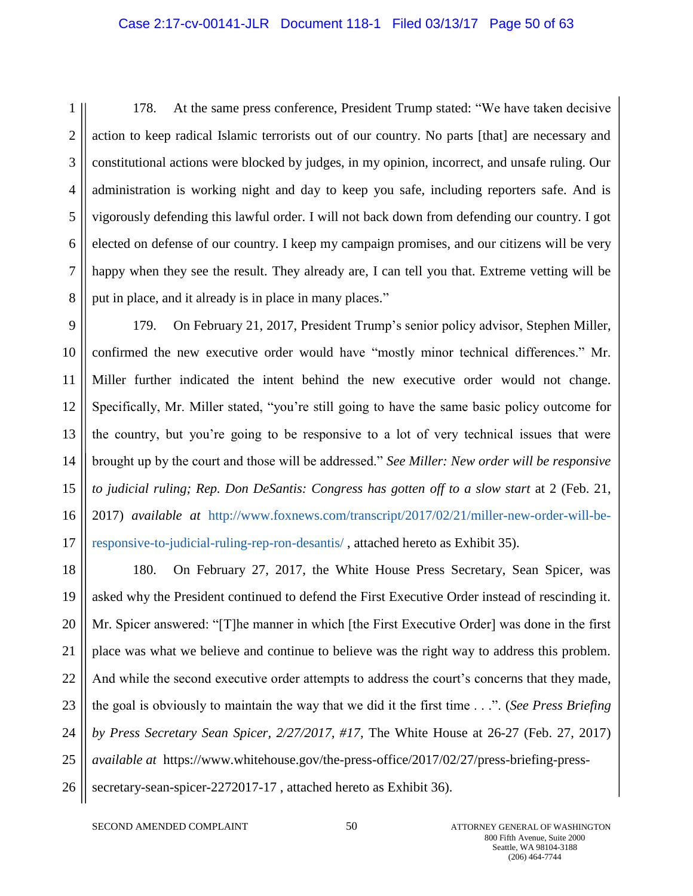#### Case 2:17-cv-00141-JLR Document 118-1 Filed 03/13/17 Page 50 of 63

1 2 3 4 5 6 7 8 178. At the same press conference, President Trump stated: "We have taken decisive action to keep radical Islamic terrorists out of our country. No parts [that] are necessary and constitutional actions were blocked by judges, in my opinion, incorrect, and unsafe ruling. Our administration is working night and day to keep you safe, including reporters safe. And is vigorously defending this lawful order. I will not back down from defending our country. I got elected on defense of our country. I keep my campaign promises, and our citizens will be very happy when they see the result. They already are, I can tell you that. Extreme vetting will be put in place, and it already is in place in many places."

9 10 11 12 13 14 15 16 17 179. On February 21, 2017, President Trump's senior policy advisor, Stephen Miller, confirmed the new executive order would have "mostly minor technical differences." Mr. Miller further indicated the intent behind the new executive order would not change. Specifically, Mr. Miller stated, "you're still going to have the same basic policy outcome for the country, but you're going to be responsive to a lot of very technical issues that were brought up by the court and those will be addressed." *See Miller: New order will be responsive to judicial ruling; Rep. Don DeSantis: Congress has gotten off to a slow start* at 2 (Feb. 21, 2017) *available at* [http://www.foxnews.com/transcript/2017/02/21/miller-new-order-will-be](http://www.foxnews.com/transcript/2017/02/21/miller-new-order-will-be-responsive-to-judicial-ruling-rep-ron-desantis/)[responsive-to-judicial-ruling-rep-ron-desantis/](http://www.foxnews.com/transcript/2017/02/21/miller-new-order-will-be-responsive-to-judicial-ruling-rep-ron-desantis/) , attached hereto as Exhibit 35).

18 19 20 21 22 23 24 25 26 180. On February 27, 2017, the White House Press Secretary, Sean Spicer, was asked why the President continued to defend the First Executive Order instead of rescinding it. Mr. Spicer answered: "[T]he manner in which [the First Executive Order] was done in the first place was what we believe and continue to believe was the right way to address this problem. And while the second executive order attempts to address the court's concerns that they made, the goal is obviously to maintain the way that we did it the first time . . .". (*See Press Briefing by Press Secretary Sean Spicer, 2/27/2017, #17,* The White House at 26-27 (Feb. 27, 2017) *available at* [https://www.whitehouse.gov/the-press-office/2017/02/27/press-briefing-press](https://www.whitehouse.gov/the-press-office/2017/02/27/press-briefing-press-secretary-sean-spicer-2272017-17)[secretary-sean-spicer-2272017-17](https://www.whitehouse.gov/the-press-office/2017/02/27/press-briefing-press-secretary-sean-spicer-2272017-17) , attached hereto as Exhibit 36).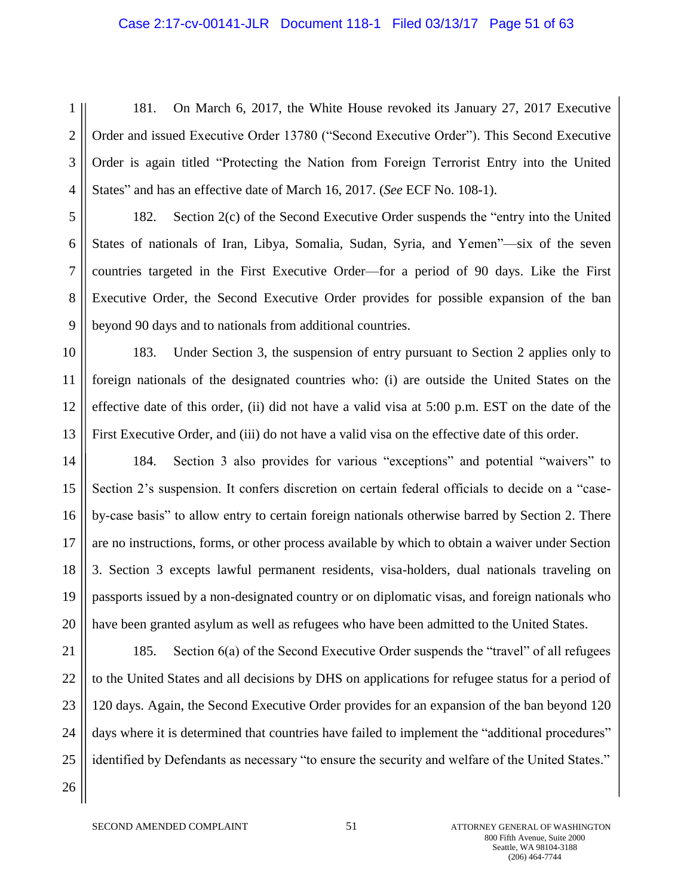#### Case 2:17-cv-00141-JLR Document 118-1 Filed 03/13/17 Page 51 of 63

1 2 3 4 181. On March 6, 2017, the White House revoked its January 27, 2017 Executive Order and issued Executive Order 13780 ("Second Executive Order"). This Second Executive Order is again titled "Protecting the Nation from Foreign Terrorist Entry into the United States" and has an effective date of March 16, 2017. (*See* ECF No. 108-1).

5 6 7 8 9 182. Section 2(c) of the Second Executive Order suspends the "entry into the United States of nationals of Iran, Libya, Somalia, Sudan, Syria, and Yemen"—six of the seven countries targeted in the First Executive Order—for a period of 90 days. Like the First Executive Order, the Second Executive Order provides for possible expansion of the ban beyond 90 days and to nationals from additional countries.

10 11 12 13 183. Under Section 3, the suspension of entry pursuant to Section 2 applies only to foreign nationals of the designated countries who: (i) are outside the United States on the effective date of this order, (ii) did not have a valid visa at 5:00 p.m. EST on the date of the First Executive Order, and (iii) do not have a valid visa on the effective date of this order.

14 15 16 17 18 19 20 184. Section 3 also provides for various "exceptions" and potential "waivers" to Section 2's suspension. It confers discretion on certain federal officials to decide on a "caseby-case basis" to allow entry to certain foreign nationals otherwise barred by Section 2. There are no instructions, forms, or other process available by which to obtain a waiver under Section 3. Section 3 excepts lawful permanent residents, visa-holders, dual nationals traveling on passports issued by a non-designated country or on diplomatic visas, and foreign nationals who have been granted asylum as well as refugees who have been admitted to the United States.

21 22 23 24 25 26 185. Section 6(a) of the Second Executive Order suspends the "travel" of all refugees to the United States and all decisions by DHS on applications for refugee status for a period of 120 days. Again, the Second Executive Order provides for an expansion of the ban beyond 120 days where it is determined that countries have failed to implement the "additional procedures" identified by Defendants as necessary "to ensure the security and welfare of the United States."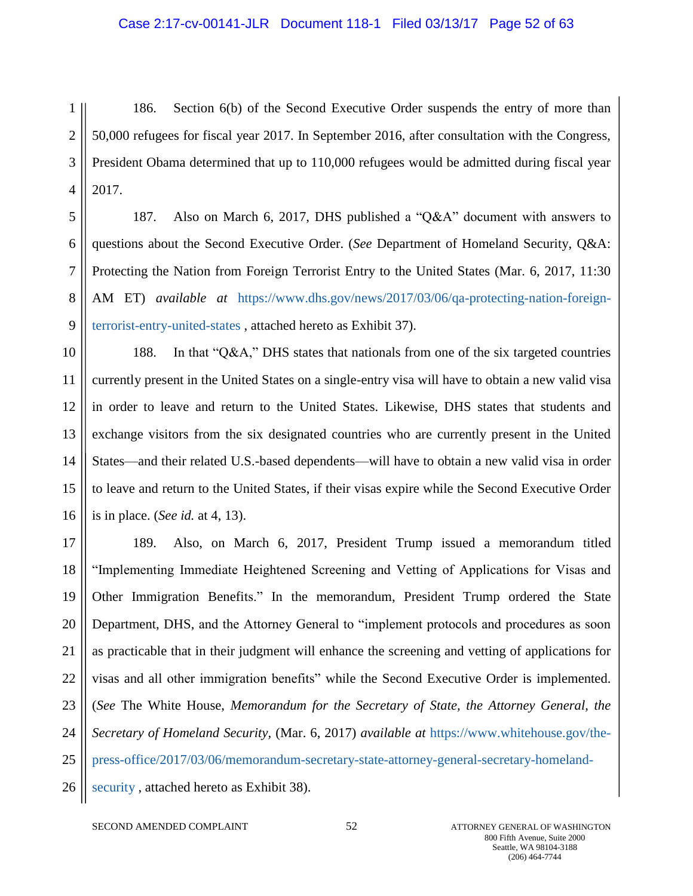#### Case 2:17-cv-00141-JLR Document 118-1 Filed 03/13/17 Page 52 of 63

1 2 3 4 186. Section 6(b) of the Second Executive Order suspends the entry of more than 50,000 refugees for fiscal year 2017. In September 2016, after consultation with the Congress, President Obama determined that up to 110,000 refugees would be admitted during fiscal year 2017.

5 6 7 8 9 187. Also on March 6, 2017, DHS published a "Q&A" document with answers to questions about the Second Executive Order. (*See* Department of Homeland Security, Q&A: Protecting the Nation from Foreign Terrorist Entry to the United States (Mar. 6, 2017, 11:30 AM ET) *available at* [https://www.dhs.gov/news/2017/03/06/qa-protecting-nation-foreign](https://www.dhs.gov/news/2017/03/06/qa-protecting-nation-foreign-terrorist-entry-united-states)[terrorist-entry-united-states](https://www.dhs.gov/news/2017/03/06/qa-protecting-nation-foreign-terrorist-entry-united-states) , attached hereto as Exhibit 37).

10 11 12 13 14 15 16 188. In that "Q&A," DHS states that nationals from one of the six targeted countries currently present in the United States on a single-entry visa will have to obtain a new valid visa in order to leave and return to the United States. Likewise, DHS states that students and exchange visitors from the six designated countries who are currently present in the United States—and their related U.S.-based dependents—will have to obtain a new valid visa in order to leave and return to the United States, if their visas expire while the Second Executive Order is in place. (*See id.* at 4, 13).

17 18 19 20 21 22 23 24 25 26 189. Also, on March 6, 2017, President Trump issued a memorandum titled "Implementing Immediate Heightened Screening and Vetting of Applications for Visas and Other Immigration Benefits." In the memorandum, President Trump ordered the State Department, DHS, and the Attorney General to "implement protocols and procedures as soon as practicable that in their judgment will enhance the screening and vetting of applications for visas and all other immigration benefits" while the Second Executive Order is implemented. (*See* The White House, *Memorandum for the Secretary of State, the Attorney General, the Secretary of Homeland Security,* (Mar. 6, 2017) *available at* [https://www.whitehouse.gov/the](https://www.whitehouse.gov/the-press-office/2017/03/06/memorandum-secretary-state-attorney-general-secretary-homeland-security)[press-office/2017/03/06/memorandum-secretary-state-attorney-general-secretary-homeland](https://www.whitehouse.gov/the-press-office/2017/03/06/memorandum-secretary-state-attorney-general-secretary-homeland-security)[security](https://www.whitehouse.gov/the-press-office/2017/03/06/memorandum-secretary-state-attorney-general-secretary-homeland-security), attached hereto as Exhibit 38).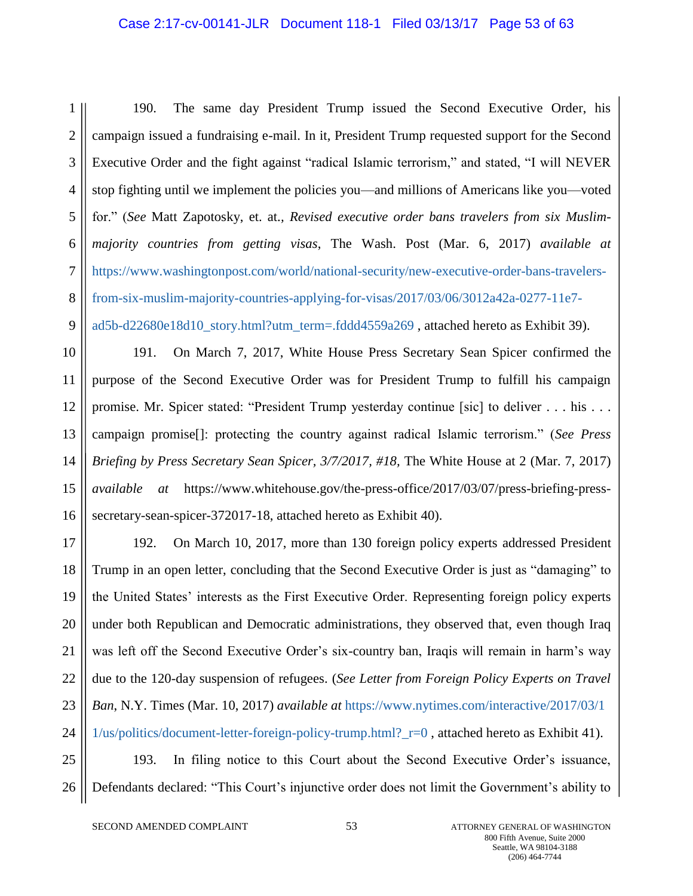### Case 2:17-cv-00141-JLR Document 118-1 Filed 03/13/17 Page 53 of 63

1 2 3 4 5 6 7 8 9 190. The same day President Trump issued the Second Executive Order, his campaign issued a fundraising e-mail. In it, President Trump requested support for the Second Executive Order and the fight against "radical Islamic terrorism," and stated, "I will NEVER stop fighting until we implement the policies you—and millions of Americans like you—voted for." (*See* Matt Zapotosky, et. at.*, Revised executive order bans travelers from six Muslimmajority countries from getting visas*, The Wash. Post (Mar. 6, 2017) *available at*  [https://www.washingtonpost.com/world/national-security/new-executive-order-bans-travelers](https://www.washingtonpost.com/world/national-security/new-executive-order-bans-travelers-from-six-muslim-majority-countries-applying-for-visas/2017/03/06/3012a42a-0277-11e7-ad5b-d22680e18d10_story.html?utm_term=.fddd4559a269)[from-six-muslim-majority-countries-applying-for-visas/2017/03/06/3012a42a-0277-11e7](https://www.washingtonpost.com/world/national-security/new-executive-order-bans-travelers-from-six-muslim-majority-countries-applying-for-visas/2017/03/06/3012a42a-0277-11e7-ad5b-d22680e18d10_story.html?utm_term=.fddd4559a269) [ad5b-d22680e18d10\\_story.html?utm\\_term=.fddd4559a269](https://www.washingtonpost.com/world/national-security/new-executive-order-bans-travelers-from-six-muslim-majority-countries-applying-for-visas/2017/03/06/3012a42a-0277-11e7-ad5b-d22680e18d10_story.html?utm_term=.fddd4559a269) , attached hereto as Exhibit 39).

10 11 12 13 14 15 16 191. On March 7, 2017, White House Press Secretary Sean Spicer confirmed the purpose of the Second Executive Order was for President Trump to fulfill his campaign promise. Mr. Spicer stated: "President Trump yesterday continue [sic] to deliver . . . his . . . campaign promise[]: protecting the country against radical Islamic terrorism." (*See Press Briefing by Press Secretary Sean Spicer, 3/7/2017, #18, The White House at 2 (Mar. 7, 2017) available at* https://www.whitehouse.gov/the-press-office/2017/03/07/press-briefing-presssecretary-sean-spicer-372017-18, attached hereto as Exhibit 40).

17 18 19 20 21 22 23 24 192. On March 10, 2017, more than 130 foreign policy experts addressed President Trump in an open letter, concluding that the Second Executive Order is just as "damaging" to the United States' interests as the First Executive Order. Representing foreign policy experts under both Republican and Democratic administrations, they observed that, even though Iraq was left off the Second Executive Order's six-country ban, Iraqis will remain in harm's way due to the 120-day suspension of refugees. (*See Letter from Foreign Policy Experts on Travel Ban*, N.Y. Times (Mar. 10, 2017) *available at* [https://www.nytimes.com/interactive/2017/03/1](https://www.nytimes.com/interactive/2017/03/11/us/politics/document-letter-foreign-policy-trump.html?_r=0) [1/us/politics/document-letter-foreign-policy-trump.html?\\_r=0](https://www.nytimes.com/interactive/2017/03/11/us/politics/document-letter-foreign-policy-trump.html?_r=0) , attached hereto as Exhibit 41).

25 26 193. In filing notice to this Court about the Second Executive Order's issuance, Defendants declared: "This Court's injunctive order does not limit the Government's ability to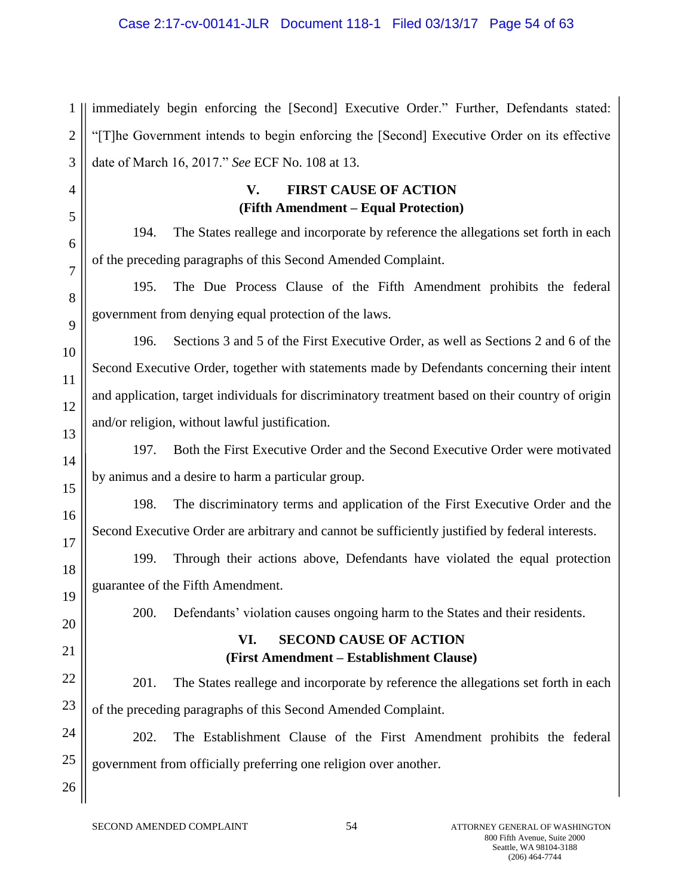1 2 3 immediately begin enforcing the [Second] Executive Order." Further, Defendants stated: "[T]he Government intends to begin enforcing the [Second] Executive Order on its effective date of March 16, 2017." *See* ECF No. 108 at 13.

# **V. FIRST CAUSE OF ACTION (Fifth Amendment – Equal Protection)**

194. The States reallege and incorporate by reference the allegations set forth in each of the preceding paragraphs of this Second Amended Complaint.

195. The Due Process Clause of the Fifth Amendment prohibits the federal government from denying equal protection of the laws.

196. Sections 3 and 5 of the First Executive Order, as well as Sections 2 and 6 of the Second Executive Order, together with statements made by Defendants concerning their intent and application, target individuals for discriminatory treatment based on their country of origin and/or religion, without lawful justification.

197. Both the First Executive Order and the Second Executive Order were motivated by animus and a desire to harm a particular group.

198. The discriminatory terms and application of the First Executive Order and the Second Executive Order are arbitrary and cannot be sufficiently justified by federal interests.

199. Through their actions above, Defendants have violated the equal protection guarantee of the Fifth Amendment.

19 20

4

5

6

7

8

9

10

11

12

13

14

15

16

17

18

21

22

23

26

200. Defendants' violation causes ongoing harm to the States and their residents.

# **VI. SECOND CAUSE OF ACTION (First Amendment – Establishment Clause)**

201. The States reallege and incorporate by reference the allegations set forth in each of the preceding paragraphs of this Second Amended Complaint.

24 25 202. The Establishment Clause of the First Amendment prohibits the federal government from officially preferring one religion over another.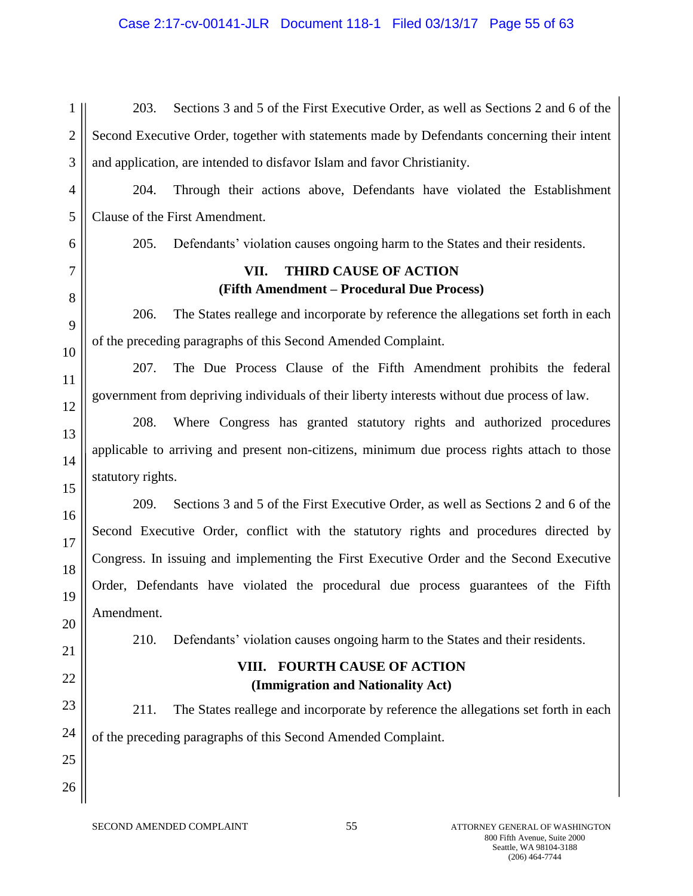# Case 2:17-cv-00141-JLR Document 118-1 Filed 03/13/17 Page 55 of 63

1 2 3 203. Sections 3 and 5 of the First Executive Order, as well as Sections 2 and 6 of the Second Executive Order, together with statements made by Defendants concerning their intent and application, are intended to disfavor Islam and favor Christianity.

4 5 204. Through their actions above, Defendants have violated the Establishment Clause of the First Amendment.

205. Defendants' violation causes ongoing harm to the States and their residents.

# **VII. THIRD CAUSE OF ACTION (Fifth Amendment – Procedural Due Process)**

206. The States reallege and incorporate by reference the allegations set forth in each of the preceding paragraphs of this Second Amended Complaint.

207. The Due Process Clause of the Fifth Amendment prohibits the federal government from depriving individuals of their liberty interests without due process of law.

208. Where Congress has granted statutory rights and authorized procedures applicable to arriving and present non-citizens, minimum due process rights attach to those statutory rights.

209. Sections 3 and 5 of the First Executive Order, as well as Sections 2 and 6 of the Second Executive Order, conflict with the statutory rights and procedures directed by Congress. In issuing and implementing the First Executive Order and the Second Executive Order, Defendants have violated the procedural due process guarantees of the Fifth Amendment.

210. Defendants' violation causes ongoing harm to the States and their residents.

# **VIII. FOURTH CAUSE OF ACTION (Immigration and Nationality Act)**

23 24 211. The States reallege and incorporate by reference the allegations set forth in each of the preceding paragraphs of this Second Amended Complaint.

6

7

8

9

10

11

12

13

14

15

16

17

18

19

20

21

22

25

26

SECOND AMENDED COMPLAINT 55 55 ATTORNEY GENERAL OF WASHINGTON 800 Fifth Avenue, Suite 2000 Seattle, WA 98104-3188 (206) 464-7744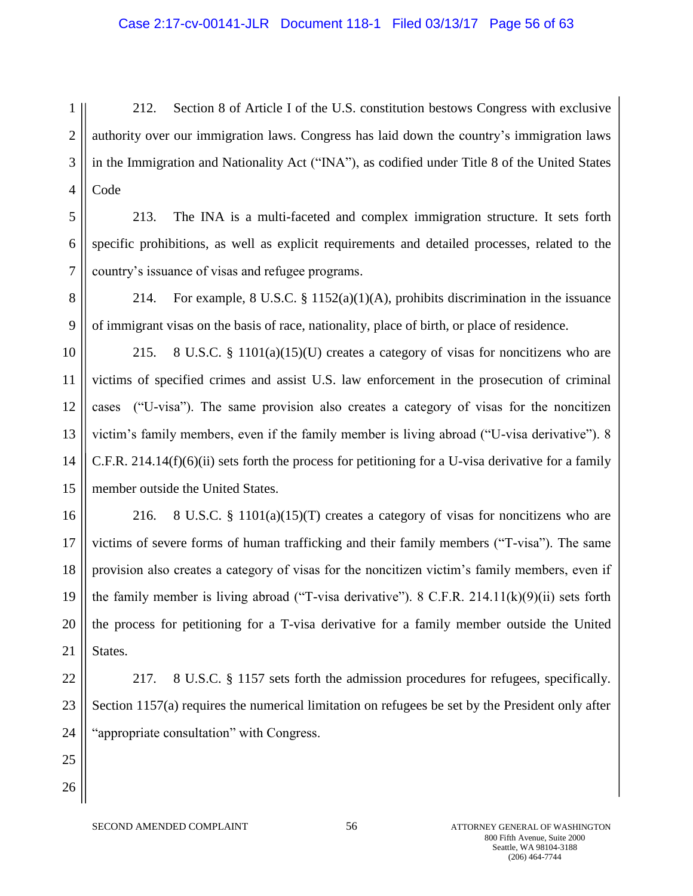#### Case 2:17-cv-00141-JLR Document 118-1 Filed 03/13/17 Page 56 of 63

1 2 3 4 212. Section 8 of Article I of the U.S. constitution bestows Congress with exclusive authority over our immigration laws. Congress has laid down the country's immigration laws in the Immigration and Nationality Act ("INA"), as codified under Title 8 of the United States Code

5 6 7 213. The INA is a multi-faceted and complex immigration structure. It sets forth specific prohibitions, as well as explicit requirements and detailed processes, related to the country's issuance of visas and refugee programs.

8 9 214. For example, 8 U.S.C. § 1152(a)(1)(A), prohibits discrimination in the issuance of immigrant visas on the basis of race, nationality, place of birth, or place of residence.

10 11 12 13 14 15 215. 8 U.S.C. § 1101(a)(15)(U) creates a category of visas for noncitizens who are victims of specified crimes and assist U.S. law enforcement in the prosecution of criminal cases ("U-visa"). The same provision also creates a category of visas for the noncitizen victim's family members, even if the family member is living abroad ("U-visa derivative"). 8 C.F.R. 214.14(f)(6)(ii) sets forth the process for petitioning for a U-visa derivative for a family member outside the United States.

16 17 18 19 20 21 216. 8 U.S.C. § 1101(a)(15)(T) creates a category of visas for noncitizens who are victims of severe forms of human trafficking and their family members ("T-visa"). The same provision also creates a category of visas for the noncitizen victim's family members, even if the family member is living abroad ("T-visa derivative"). 8 C.F.R. 214.11(k)(9)(ii) sets forth the process for petitioning for a T-visa derivative for a family member outside the United States.

217. 8 U.S.C. § 1157 sets forth the admission procedures for refugees, specifically. Section 1157(a) requires the numerical limitation on refugees be set by the President only after "appropriate consultation" with Congress.

SECOND AMENDED COMPLAINT 56 56 ATTORNEY GENERAL OF WASHINGTON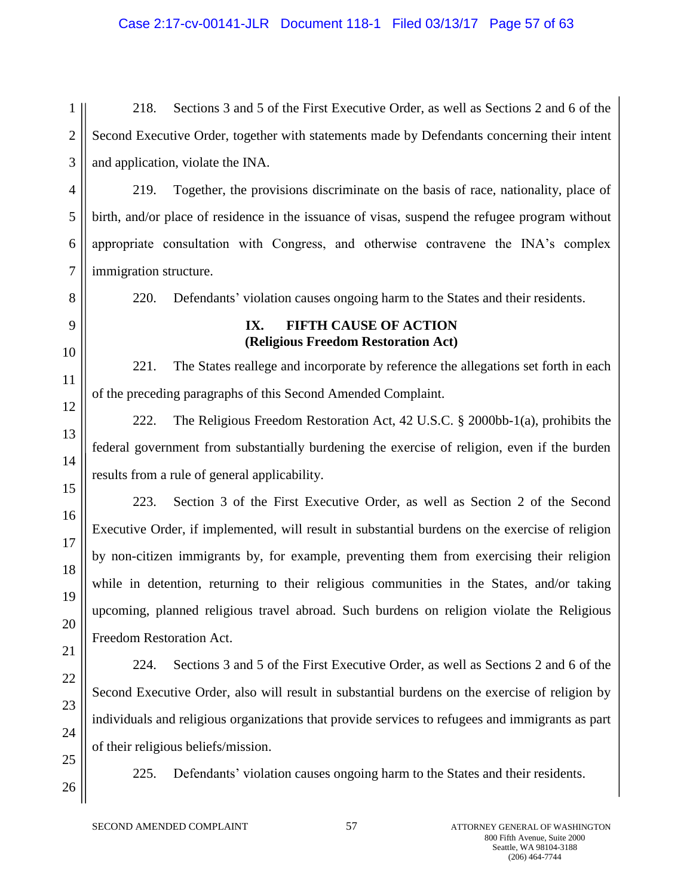# Case 2:17-cv-00141-JLR Document 118-1 Filed 03/13/17 Page 57 of 63

1 2 3 218. Sections 3 and 5 of the First Executive Order, as well as Sections 2 and 6 of the Second Executive Order, together with statements made by Defendants concerning their intent and application, violate the INA.

4 5 219. Together, the provisions discriminate on the basis of race, nationality, place of birth, and/or place of residence in the issuance of visas, suspend the refugee program without appropriate consultation with Congress, and otherwise contravene the INA's complex immigration structure.

220. Defendants' violation causes ongoing harm to the States and their residents.

### **IX. FIFTH CAUSE OF ACTION (Religious Freedom Restoration Act)**

221. The States reallege and incorporate by reference the allegations set forth in each of the preceding paragraphs of this Second Amended Complaint.

222. The Religious Freedom Restoration Act, 42 U.S.C. § 2000bb-1(a), prohibits the federal government from substantially burdening the exercise of religion, even if the burden results from a rule of general applicability.

223. Section 3 of the First Executive Order, as well as Section 2 of the Second Executive Order, if implemented, will result in substantial burdens on the exercise of religion by non-citizen immigrants by, for example, preventing them from exercising their religion while in detention, returning to their religious communities in the States, and/or taking upcoming, planned religious travel abroad. Such burdens on religion violate the Religious Freedom Restoration Act.

224. Sections 3 and 5 of the First Executive Order, as well as Sections 2 and 6 of the Second Executive Order, also will result in substantial burdens on the exercise of religion by individuals and religious organizations that provide services to refugees and immigrants as part of their religious beliefs/mission.

225. Defendants' violation causes ongoing harm to the States and their residents.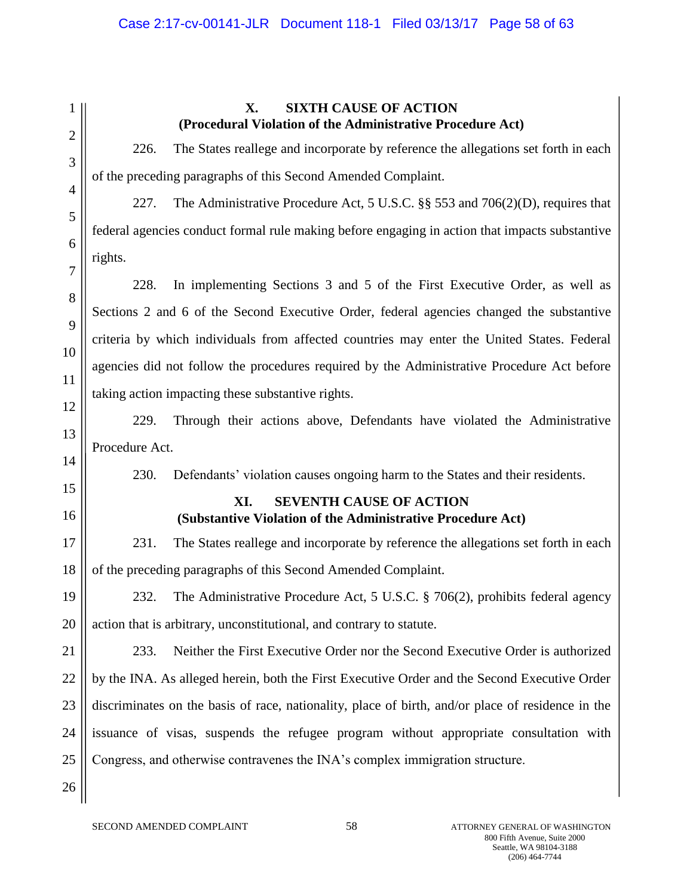### Case 2:17-cv-00141-JLR Document 118-1 Filed 03/13/17 Page 58 of 63

1 2 3 4 5 6 7 8 9 10 11 12 13 14 15 16 17 18 19 20 21 22 23 24 25 26 **X. SIXTH CAUSE OF ACTION (Procedural Violation of the Administrative Procedure Act)** 226. The States reallege and incorporate by reference the allegations set forth in each of the preceding paragraphs of this Second Amended Complaint. 227. The Administrative Procedure Act, 5 U.S.C. §§ 553 and 706(2)(D), requires that federal agencies conduct formal rule making before engaging in action that impacts substantive rights. 228. In implementing Sections 3 and 5 of the First Executive Order, as well as Sections 2 and 6 of the Second Executive Order, federal agencies changed the substantive criteria by which individuals from affected countries may enter the United States. Federal agencies did not follow the procedures required by the Administrative Procedure Act before taking action impacting these substantive rights. 229. Through their actions above, Defendants have violated the Administrative Procedure Act. 230. Defendants' violation causes ongoing harm to the States and their residents. **XI. SEVENTH CAUSE OF ACTION (Substantive Violation of the Administrative Procedure Act)** 231. The States reallege and incorporate by reference the allegations set forth in each of the preceding paragraphs of this Second Amended Complaint. 232. The Administrative Procedure Act, 5 U.S.C. § 706(2), prohibits federal agency action that is arbitrary, unconstitutional, and contrary to statute. 233. Neither the First Executive Order nor the Second Executive Order is authorized by the INA. As alleged herein, both the First Executive Order and the Second Executive Order discriminates on the basis of race, nationality, place of birth, and/or place of residence in the issuance of visas, suspends the refugee program without appropriate consultation with Congress, and otherwise contravenes the INA's complex immigration structure.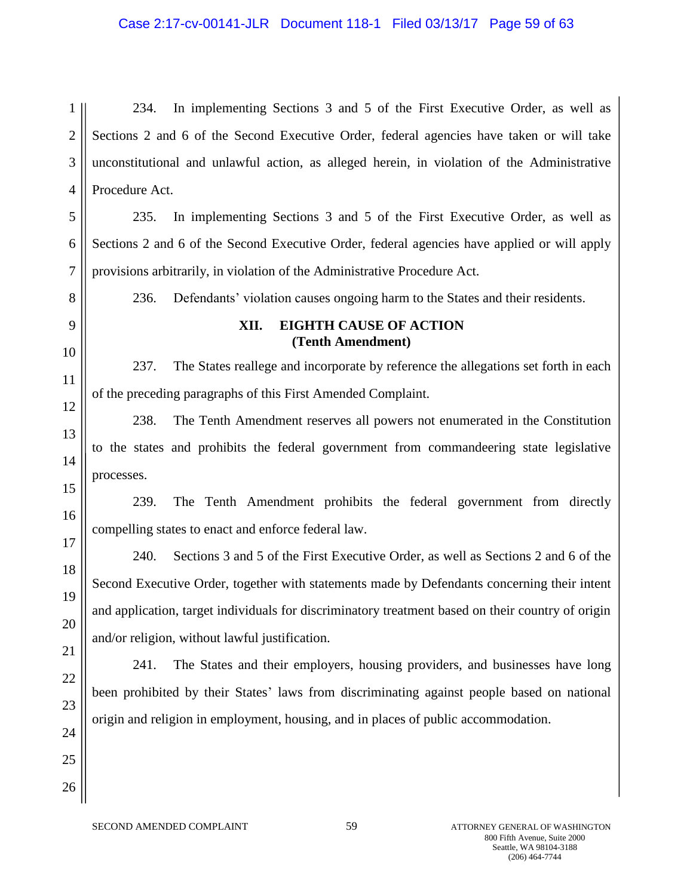### Case 2:17-cv-00141-JLR Document 118-1 Filed 03/13/17 Page 59 of 63

1 2 3 4 234. In implementing Sections 3 and 5 of the First Executive Order, as well as Sections 2 and 6 of the Second Executive Order, federal agencies have taken or will take unconstitutional and unlawful action, as alleged herein, in violation of the Administrative Procedure Act.

5 6 7 235. In implementing Sections 3 and 5 of the First Executive Order, as well as Sections 2 and 6 of the Second Executive Order, federal agencies have applied or will apply provisions arbitrarily, in violation of the Administrative Procedure Act.

236. Defendants' violation causes ongoing harm to the States and their residents.

### **XII. EIGHTH CAUSE OF ACTION (Tenth Amendment)**

237. The States reallege and incorporate by reference the allegations set forth in each of the preceding paragraphs of this First Amended Complaint.

238. The Tenth Amendment reserves all powers not enumerated in the Constitution to the states and prohibits the federal government from commandeering state legislative processes.

239. The Tenth Amendment prohibits the federal government from directly compelling states to enact and enforce federal law.

240. Sections 3 and 5 of the First Executive Order, as well as Sections 2 and 6 of the Second Executive Order, together with statements made by Defendants concerning their intent and application, target individuals for discriminatory treatment based on their country of origin and/or religion, without lawful justification.

241. The States and their employers, housing providers, and businesses have long been prohibited by their States' laws from discriminating against people based on national origin and religion in employment, housing, and in places of public accommodation.

SECOND AMENDED COMPLAINT 59 35 ATTORNEY GENERAL OF WASHINGTON

8

9

10

11

12

13

14

15

16

17

18

19

20

21

22

23

24

25

26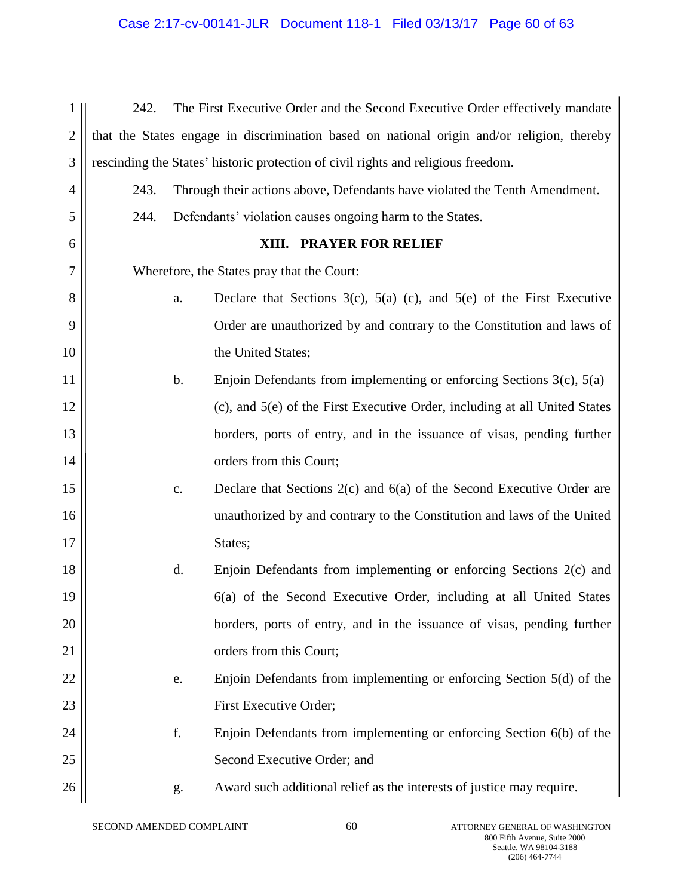# Case 2:17-cv-00141-JLR Document 118-1 Filed 03/13/17 Page 60 of 63

| 1            | 242.                                       |                | The First Executive Order and the Second Executive Order effectively mandate               |
|--------------|--------------------------------------------|----------------|--------------------------------------------------------------------------------------------|
| $\mathbf{2}$ |                                            |                | that the States engage in discrimination based on national origin and/or religion, thereby |
| 3            |                                            |                | rescinding the States' historic protection of civil rights and religious freedom.          |
| 4            | 243.                                       |                | Through their actions above, Defendants have violated the Tenth Amendment.                 |
| 5            | 244.                                       |                | Defendants' violation causes ongoing harm to the States.                                   |
| 6            |                                            |                | XIII. PRAYER FOR RELIEF                                                                    |
| 7            | Wherefore, the States pray that the Court: |                |                                                                                            |
| 8            |                                            | a.             | Declare that Sections 3(c), $5(a)$ –(c), and $5(e)$ of the First Executive                 |
| 9            |                                            |                | Order are unauthorized by and contrary to the Constitution and laws of                     |
| 10           |                                            |                | the United States;                                                                         |
| 11           |                                            | b.             | Enjoin Defendants from implementing or enforcing Sections $3(c)$ , $5(a)$                  |
| 12           |                                            |                | (c), and 5(e) of the First Executive Order, including at all United States                 |
| 13           |                                            |                | borders, ports of entry, and in the issuance of visas, pending further                     |
| 14           |                                            |                | orders from this Court;                                                                    |
| 15           |                                            | $\mathbf{c}$ . | Declare that Sections $2(c)$ and $6(a)$ of the Second Executive Order are                  |
| 16           |                                            |                | unauthorized by and contrary to the Constitution and laws of the United                    |
| 17           |                                            |                | States;                                                                                    |
| 18           |                                            | d.             | Enjoin Defendants from implementing or enforcing Sections 2(c) and                         |
| 19           |                                            |                | 6(a) of the Second Executive Order, including at all United States                         |
| 20           |                                            |                | borders, ports of entry, and in the issuance of visas, pending further                     |
| 21           |                                            |                | orders from this Court;                                                                    |
| 22           |                                            | e.             | Enjoin Defendants from implementing or enforcing Section 5(d) of the                       |
| 23           |                                            |                | First Executive Order;                                                                     |
| 24           |                                            | f.             | Enjoin Defendants from implementing or enforcing Section 6(b) of the                       |
| 25           |                                            |                | Second Executive Order; and                                                                |
| 26           |                                            | g.             | Award such additional relief as the interests of justice may require.                      |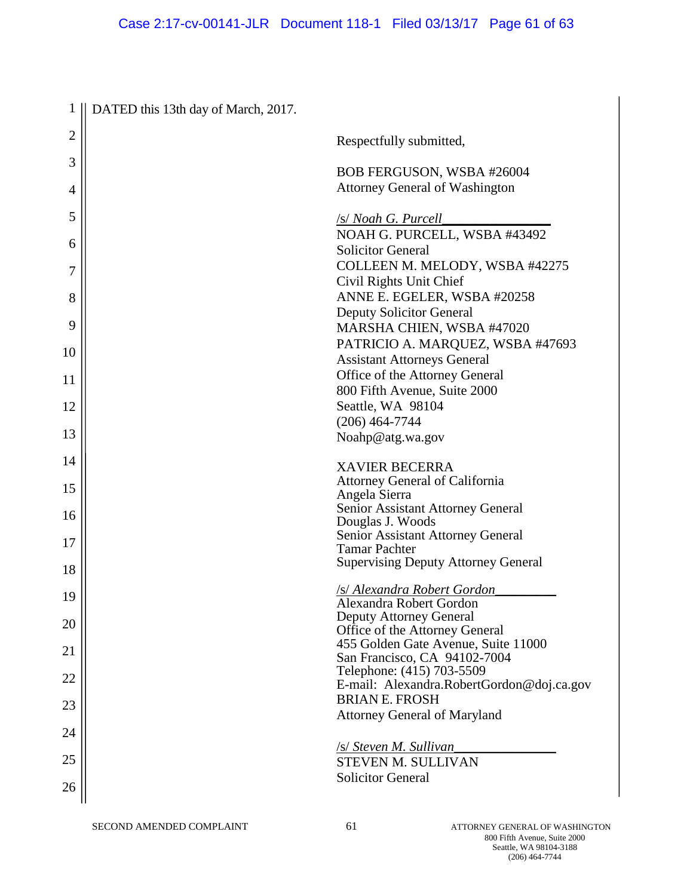| 1            | DATED this 13th day of March, 2017. |                                                                       |
|--------------|-------------------------------------|-----------------------------------------------------------------------|
| $\mathbf{2}$ |                                     | Respectfully submitted,                                               |
| 3            |                                     | BOB FERGUSON, WSBA #26004                                             |
| 4            |                                     | <b>Attorney General of Washington</b>                                 |
|              |                                     |                                                                       |
| 5            |                                     | /s/ Noah G. Purcell                                                   |
| 6            |                                     | NOAH G. PURCELL, WSBA #43492<br><b>Solicitor General</b>              |
|              |                                     | COLLEEN M. MELODY, WSBA #42275                                        |
| 7            |                                     | Civil Rights Unit Chief                                               |
| 8            |                                     | ANNE E. EGELER, WSBA #20258                                           |
| 9            |                                     | <b>Deputy Solicitor General</b><br>MARSHA CHIEN, WSBA #47020          |
|              |                                     | PATRICIO A. MARQUEZ, WSBA #47693                                      |
| 10           |                                     | <b>Assistant Attorneys General</b>                                    |
| 11           |                                     | Office of the Attorney General                                        |
|              |                                     | 800 Fifth Avenue, Suite 2000                                          |
| 12           |                                     | Seattle, WA 98104<br>$(206)$ 464-7744                                 |
| 13           |                                     | Noahp@atg.wa.gov                                                      |
| 14           |                                     |                                                                       |
|              |                                     | <b>XAVIER BECERRA</b><br>Attorney General of California               |
| 15           |                                     | Angela Sierra                                                         |
| 16           |                                     | Senior Assistant Attorney General                                     |
|              |                                     | Douglas J. Woods<br>Senior Assistant Attorney General                 |
| 17           |                                     | <b>Tamar Pachter</b>                                                  |
| 18           |                                     | <b>Supervising Deputy Attorney General</b>                            |
| 19           |                                     | <u>/s/ Alexandra Robert Gordon</u><br>Alexandra Robert Gordon         |
| 20           |                                     | <b>Deputy Attorney General</b>                                        |
|              |                                     | Office of the Attorney General<br>455 Golden Gate Avenue, Suite 11000 |
| 21           |                                     | San Francisco, CA 94102-7004                                          |
| 22           |                                     | Telephone: (415) 703-5509                                             |
|              |                                     | E-mail: Alexandra.RobertGordon@doj.ca.gov<br><b>BRIAN E. FROSH</b>    |
| 23           |                                     | <b>Attorney General of Maryland</b>                                   |
| 24           |                                     |                                                                       |
| 25           |                                     | /s/ Steven M. Sullivan<br>STEVEN M. SULLIVAN                          |
|              |                                     | <b>Solicitor General</b>                                              |
| 26           |                                     |                                                                       |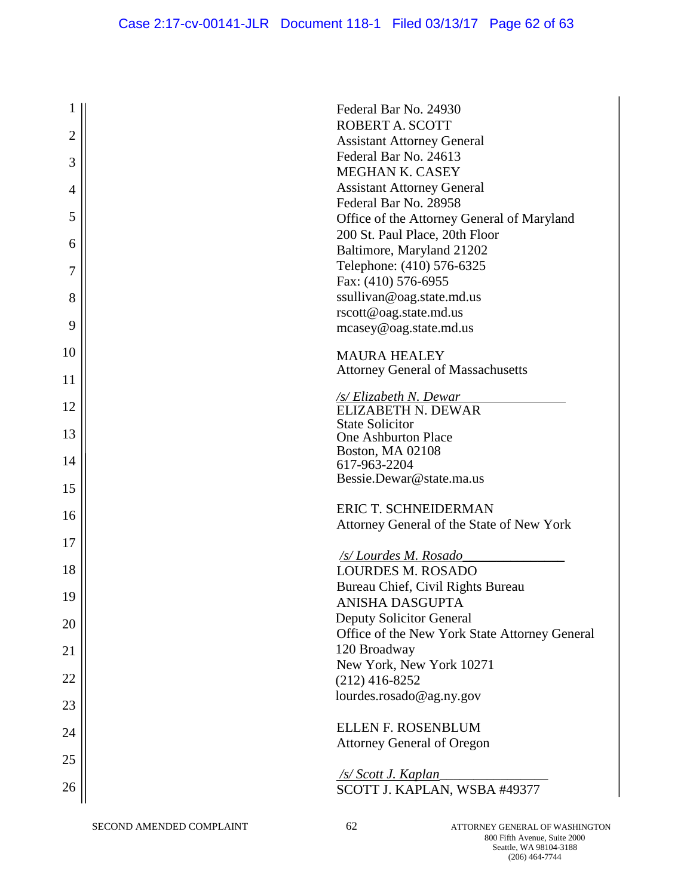| 1              | Federal Bar No. 24930                                                            |
|----------------|----------------------------------------------------------------------------------|
| $\overline{2}$ | ROBERT A. SCOTT<br><b>Assistant Attorney General</b>                             |
| 3              | Federal Bar No. 24613                                                            |
|                | <b>MEGHAN K. CASEY</b>                                                           |
| 4              | <b>Assistant Attorney General</b>                                                |
|                | Federal Bar No. 28958                                                            |
| 5              | Office of the Attorney General of Maryland                                       |
| 6              | 200 St. Paul Place, 20th Floor<br>Baltimore, Maryland 21202                      |
|                | Telephone: (410) 576-6325                                                        |
| 7              | Fax: (410) 576-6955                                                              |
| 8              | ssullivan@oag.state.md.us                                                        |
|                | rscott@oag.state.md.us                                                           |
| 9              | mcasey@oag.state.md.us                                                           |
| 10             |                                                                                  |
|                | <b>MAURA HEALEY</b><br><b>Attorney General of Massachusetts</b>                  |
| 11             |                                                                                  |
|                | <u>/s/ Elizabeth N. Dewar</u>                                                    |
| 12             | <b>ELIZABETH N. DEWAR</b>                                                        |
| 13             | <b>State Solicitor</b><br>One Ashburton Place                                    |
|                | <b>Boston, MA 02108</b>                                                          |
| 14             | 617-963-2204                                                                     |
| 15             | Bessie.Dewar@state.ma.us                                                         |
|                | ERIC T. SCHNEIDERMAN                                                             |
| 16             | Attorney General of the State of New York                                        |
| 17             |                                                                                  |
|                | /s/Lourdes M. Rosado                                                             |
| 18             | <b>LOURDES M. ROSADO</b>                                                         |
| 19             | Bureau Chief, Civil Rights Bureau                                                |
|                | ANISHA DASGUPTA                                                                  |
| 20             | <b>Deputy Solicitor General</b><br>Office of the New York State Attorney General |
| 21             | 120 Broadway                                                                     |
|                | New York, New York 10271                                                         |
| 22             | $(212)$ 416-8252                                                                 |
|                | lourdes.rosado@ag.ny.gov                                                         |
| 23             |                                                                                  |
| 24             | <b>ELLEN F. ROSENBLUM</b>                                                        |
|                | <b>Attorney General of Oregon</b>                                                |
| 25             | /s/ Scott J. Kaplan                                                              |
| 26             | SCOTT J. KAPLAN, WSBA #49377                                                     |
|                |                                                                                  |